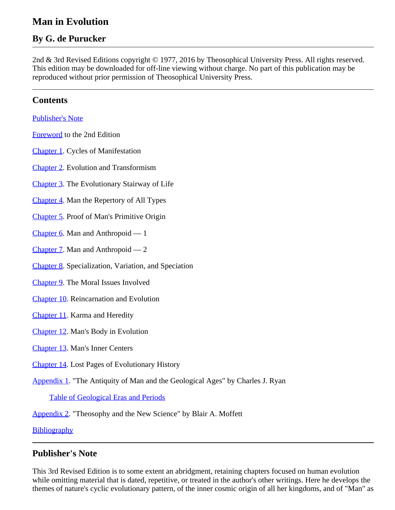# **Man in Evolution**

# **By G. de Purucker**

2nd & 3rd Revised Editions copyright © 1977, 2016 by Theosophical University Press. All rights reserved. This edition may be downloaded for off-line viewing without charge. No part of this publication may be reproduced without prior permission of Theosophical University Press.

# <span id="page-0-1"></span>**Contents**

[Publisher's Note](#page-0-0)

[Foreword](#page-1-0) to the 2nd Edition

[Chapter 1](#page-2-0). Cycles of Manifestation

[Chapter 2](#page-6-0). Evolution and Transformism

[Chapter 3](#page-10-0). The Evolutionary Stairway of Life

[Chapter 4](#page-14-0). Man the Repertory of All Types

[Chapter 5](#page-19-0). Proof of Man's Primitive Origin

[Chapter 6](#page-23-0). Man and Anthropoid — 1

[Chapter 7](#page-26-0). Man and Anthropoid — 2

[Chapter 8](#page-30-0). Specialization, Variation, and Speciation

[Chapter 9](#page-33-0). The Moral Issues Involved

[Chapter 10](#page-36-0). Reincarnation and Evolution

[Chapter 11](#page-41-0). Karma and Heredity

[Chapter 12](#page-43-0). Man's Body in Evolution

[Chapter 13](#page-49-0). Man's Inner Centers

[Chapter 14](#page-51-0). Lost Pages of Evolutionary History

[Appendix 1](#page-57-0). "The Antiquity of Man and the Geological Ages" by Charles J. Ryan

[Table of Geological Eras and Periods](#page-78-0)

[Appendix 2](#page-61-0). "Theosophy and the New Science" by Blair A. Moffett

**[Bibliography](#page-75-0)** 

### <span id="page-0-0"></span>**Publisher's Note**

This 3rd Revised Edition is to some extent an abridgment, retaining chapters focused on human evolution while omitting material that is dated, repetitive, or treated in the author's other writings. Here he develops the themes of nature's cyclic evolutionary pattern, of the inner cosmic origin of all her kingdoms, and of "Man" as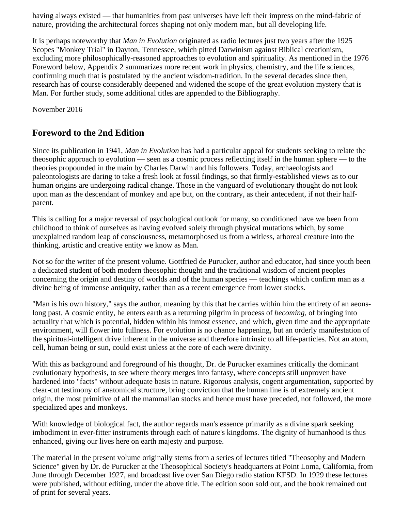having always existed — that humanities from past universes have left their impress on the mind-fabric of nature, providing the architectural forces shaping not only modern man, but all developing life.

It is perhaps noteworthy that *Man in Evolution* originated as radio lectures just two years after the 1925 Scopes "Monkey Trial" in Dayton, Tennessee, which pitted Darwinism against Biblical creationism, excluding more philosophically-reasoned approaches to evolution and spirituality. As mentioned in the 1976 Foreword below, Appendix 2 summarizes more recent work in physics, chemistry, and the life sciences, confirming much that is postulated by the ancient wisdom-tradition. In the several decades since then, research has of course considerably deepened and widened the scope of the great evolution mystery that is Man. For further study, some additional titles are appended to the Bibliography.

November 2016

# <span id="page-1-0"></span>**Foreword to the 2nd Edition**

Since its publication in 1941, *Man in Evolution* has had a particular appeal for students seeking to relate the theosophic approach to evolution — seen as a cosmic process reflecting itself in the human sphere — to the theories propounded in the main by Charles Darwin and his followers. Today, archaeologists and paleontologists are daring to take a fresh look at fossil findings, so that firmly-established views as to our human origins are undergoing radical change. Those in the vanguard of evolutionary thought do not look upon man as the descendant of monkey and ape but, on the contrary, as their antecedent, if not their halfparent.

This is calling for a major reversal of psychological outlook for many, so conditioned have we been from childhood to think of ourselves as having evolved solely through physical mutations which, by some unexplained random leap of consciousness, metamorphosed us from a witless, arboreal creature into the thinking, artistic and creative entity we know as Man.

Not so for the writer of the present volume. Gottfried de Purucker, author and educator, had since youth been a dedicated student of both modern theosophic thought and the traditional wisdom of ancient peoples concerning the origin and destiny of worlds and of the human species — teachings which confirm man as a divine being of immense antiquity, rather than as a recent emergence from lower stocks.

"Man is his own history," says the author, meaning by this that he carries within him the entirety of an aeonslong past. A cosmic entity, he enters earth as a returning pilgrim in process of *becoming*, of bringing into actuality that which is potential, hidden within his inmost essence, and which, given time and the appropriate environment, will flower into fullness. For evolution is no chance happening, but an orderly manifestation of the spiritual-intelligent drive inherent in the universe and therefore intrinsic to all life-particles. Not an atom, cell, human being or sun, could exist unless at the core of each were divinity.

With this as background and foreground of his thought, Dr. de Purucker examines critically the dominant evolutionary hypothesis, to see where theory merges into fantasy, where concepts still unproven have hardened into "facts" without adequate basis in nature. Rigorous analysis, cogent argumentation, supported by clear-cut testimony of anatomical structure, bring conviction that the human line is of extremely ancient origin, the most primitive of all the mammalian stocks and hence must have preceded, not followed, the more specialized apes and monkeys.

With knowledge of biological fact, the author regards man's essence primarily as a divine spark seeking imbodiment in ever-fitter instruments through each of nature's kingdoms. The dignity of humanhood is thus enhanced, giving our lives here on earth majesty and purpose.

The material in the present volume originally stems from a series of lectures titled "Theosophy and Modern Science" given by Dr. de Purucker at the Theosophical Society's headquarters at Point Loma, California, from June through December 1927, and broadcast live over San Diego radio station KFSD. In 1929 these lectures were published, without editing, under the above title. The edition soon sold out, and the book remained out of print for several years.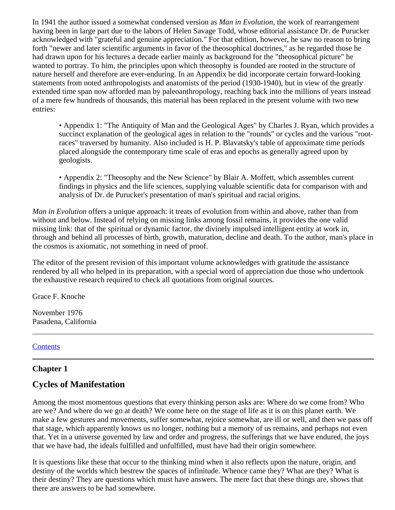In 1941 the author issued a somewhat condensed version as *Man in Evolution*, the work of rearrangement having been in large part due to the labors of Helen Savage Todd, whose editorial assistance Dr. de Purucker acknowledged with "grateful and genuine appreciation." For that edition, however, he saw no reason to bring forth "newer and later scientific arguments in favor of the theosophical doctrines," as he regarded those he had drawn upon for his lectures a decade earlier mainly as background for the "theosophical picture" he wanted to portray. To him, the principles upon which theosophy is founded are rooted in the structure of nature herself and therefore are ever-enduring. In an Appendix he did incorporate certain forward-looking statements from noted anthropologists and anatomists of the period (1930-1940), but in view of the greatly extended time span now afforded man by paleoanthropology, reaching back into the millions of years instead of a mere few hundreds of thousands, this material has been replaced in the present volume with two new entries:

• Appendix 1: "The Antiquity of Man and the Geological Ages" by Charles J. Ryan, which provides a succinct explanation of the geological ages in relation to the "rounds" or cycles and the various "rootraces" traversed by humanity. Also included is H. P. Blavatsky's table of approximate time periods placed alongside the contemporary time scale of eras and epochs as generally agreed upon by geologists.

• Appendix 2: "Theosophy and the New Science" by Blair A. Moffett, which assembles current findings in physics and the life sciences, supplying valuable scientific data for comparison with and analysis of Dr. de Purucker's presentation of man's spiritual and racial origins.

*Man in Evolution* offers a unique approach: it treats of evolution from within and above, rather than from without and below. Instead of relying on missing links among fossil remains, it provides the one valid missing link: that of the spiritual or dynamic factor, the divinely impulsed intelligent entity at work in, through and behind all processes of birth, growth, maturation, decline and death. To the author, man's place in the cosmos is axiomatic, not something in need of proof.

The editor of the present revision of this important volume acknowledges with gratitude the assistance rendered by all who helped in its preparation, with a special word of appreciation due those who undertook the exhaustive research required to check all quotations from original sources.

Grace F. Knoche

November 1976 Pasadena, California

### **[Contents](#page-0-1)**

### <span id="page-2-0"></span>**Chapter 1**

# **Cycles of Manifestation**

Among the most momentous questions that every thinking person asks are: Where do we come from? Who are we? And where do we go at death? We come here on the stage of life as it is on this planet earth. We make a few gestures and movements, suffer somewhat, rejoice somewhat, are ill or well, and then we pass off that stage, which apparently knows us no longer, nothing but a memory of us remains, and perhaps not even that. Yet in a universe governed by law and order and progress, the sufferings that we have endured, the joys that we have had, the ideals fulfilled and unfulfilled, must have had their origin somewhere.

It is questions like these that occur to the thinking mind when it also reflects upon the nature, origin, and destiny of the worlds which bestrew the spaces of infinitude. Whence came they? What are they? What is their destiny? They are questions which must have answers. The mere fact that these things are, shows that there are answers to be had somewhere.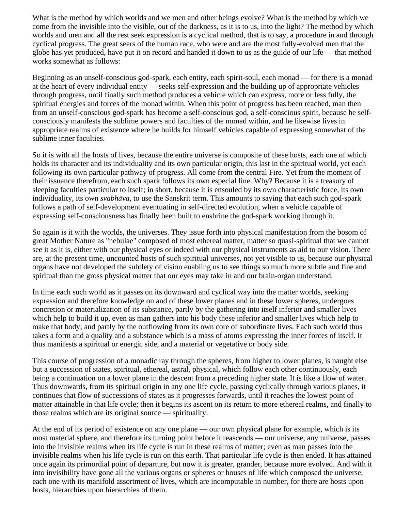What is the method by which worlds and we men and other beings evolve? What is the method by which we come from the invisible into the visible, out of the darkness, as it is to us, into the light? The method by which worlds and men and all the rest seek expression is a cyclical method, that is to say, a procedure in and through cyclical progress. The great seers of the human race, who were and are the most fully-evolved men that the globe has yet produced, have put it on record and handed it down to us as the guide of our life — that method works somewhat as follows:

Beginning as an unself-conscious god-spark, each entity, each spirit-soul, each monad — for there is a monad at the heart of every individual entity — seeks self-expression and the building up of appropriate vehicles through progress, until finally such method produces a vehicle which can express, more or less fully, the spiritual energies and forces of the monad within. When this point of progress has been reached, man then from an unself-conscious god-spark has become a self-conscious god, a self-conscious spirit, because he selfconsciously manifests the sublime powers and faculties of the monad within, and he likewise lives in appropriate realms of existence where he builds for himself vehicles capable of expressing somewhat of the sublime inner faculties.

So it is with all the hosts of lives, because the entire universe is composite of these hosts, each one of which holds its character and its individuality and its own particular origin, this last in the spiritual world, yet each following its own particular pathway of progress. All come from the central Fire. Yet from the moment of their issuance therefrom, each such spark follows its own especial line. Why? Because it is a treasury of sleeping faculties particular to itself; in short, because it is ensouled by its own characteristic force, its own individuality, its own *svabhāva*, to use the Sanskrit term. This amounts to saying that each such god-spark follows a path of self-development eventuating in self-directed evolution, when a vehicle capable of expressing self-consciousness has finally been built to enshrine the god-spark working through it.

So again is it with the worlds, the universes. They issue forth into physical manifestation from the bosom of great Mother Nature as "nebulae" composed of most ethereal matter, matter so quasi-spiritual that we cannot see it as it is, either with our physical eyes or indeed with our physical instruments as aid to our vision. There are, at the present time, uncounted hosts of such spiritual universes, not yet visible to us, because our physical organs have not developed the subtlety of vision enabling us to see things so much more subtle and fine and spiritual than the gross physical matter that our eyes may take in and our brain-organ understand.

In time each such world as it passes on its downward and cyclical way into the matter worlds, seeking expression and therefore knowledge on and of these lower planes and in these lower spheres, undergoes concretion or materialization of its substance, partly by the gathering into itself inferior and smaller lives which help to build it up, even as man gathers into his body these inferior and smaller lives which help to make that body; and partly by the outflowing from its own core of subordinate lives. Each such world thus takes a form and a quality and a substance which is a mass of atoms expressing the inner forces of itself. It thus manifests a spiritual or energic side, and a material or vegetative or body side.

This course of progression of a monadic ray through the spheres, from higher to lower planes, is naught else but a succession of states, spiritual, ethereal, astral, physical, which follow each other continuously, each being a continuation on a lower plane in the descent from a preceding higher state. It is like a flow of water. Thus downwards, from its spiritual origin in any one life cycle, passing cyclically through various planes, it continues that flow of successions of states as it progresses forwards, until it reaches the lowest point of matter attainable in that life cycle; then it begins its ascent on its return to more ethereal realms, and finally to those realms which are its original source — spirituality.

At the end of its period of existence on any one plane — our own physical plane for example, which is its most material sphere, and therefore its turning point before it reascends — our universe, any universe, passes into the invisible realms when its life cycle is run in these realms of matter; even as man passes into the invisible realms when his life cycle is run on this earth. That particular life cycle is then ended. It has attained once again its primordial point of departure, but now it is greater, grander, because more evolved. And with it into invisibility have gone all the various organs or spheres or houses of life which composed the universe, each one with its manifold assortment of lives, which are incomputable in number, for there are hosts upon hosts, hierarchies upon hierarchies of them.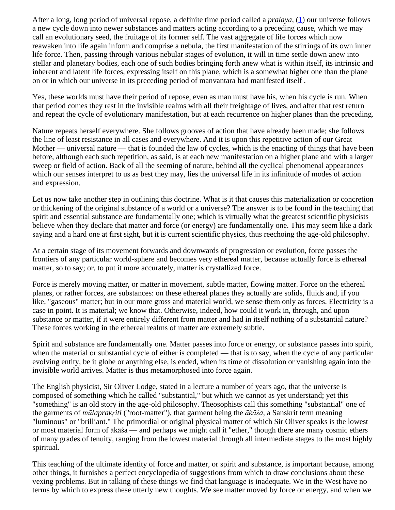<span id="page-4-0"></span>After a long, long period of universal repose, a definite time period called a *pralaya*, ([1\)](#page-6-1) our universe follows a new cycle down into newer substances and matters acting according to a preceding cause, which we may call an evolutionary seed, the fruitage of its former self. The vast aggregate of life forces which now reawaken into life again inform and comprise a nebula, the first manifestation of the stirrings of its own inner life force. Then, passing through various nebular stages of evolution, it will in time settle down anew into stellar and planetary bodies, each one of such bodies bringing forth anew what is within itself, its intrinsic and inherent and latent life forces, expressing itself on this plane, which is a somewhat higher one than the plane on or in which our universe in its preceding period of manvantara had manifested itself .

Yes, these worlds must have their period of repose, even as man must have his, when his cycle is run. When that period comes they rest in the invisible realms with all their freightage of lives, and after that rest return and repeat the cycle of evolutionary manifestation, but at each recurrence on higher planes than the preceding.

Nature repeats herself everywhere. She follows grooves of action that have already been made; she follows the line of least resistance in all cases and everywhere. And it is upon this repetitive action of our Great Mother — universal nature — that is founded the law of cycles, which is the enacting of things that have been before, although each such repetition, as said, is at each new manifestation on a higher plane and with a larger sweep or field of action. Back of all the seeming of nature, behind all the cyclical phenomenal appearances which our senses interpret to us as best they may, lies the universal life in its infinitude of modes of action and expression.

Let us now take another step in outlining this doctrine. What is it that causes this materialization or concretion or thickening of the original substance of a world or a universe? The answer is to be found in the teaching that spirit and essential substance are fundamentally one; which is virtually what the greatest scientific physicists believe when they declare that matter and force (or energy) are fundamentally one. This may seem like a dark saying and a hard one at first sight, but it is current scientific physics, thus reechoing the age-old philosophy.

At a certain stage of its movement forwards and downwards of progression or evolution, force passes the frontiers of any particular world-sphere and becomes very ethereal matter, because actually force is ethereal matter, so to say; or, to put it more accurately, matter is crystallized force.

Force is merely moving matter, or matter in movement, subtle matter, flowing matter. Force on the ethereal planes, or rather forces, are substances: on these ethereal planes they actually are solids, fluids and, if you like, "gaseous" matter; but in our more gross and material world, we sense them only as forces. Electricity is a case in point. It is material; we know that. Otherwise, indeed, how could it work in, through, and upon substance or matter, if it were entirely different from matter and had in itself nothing of a substantial nature? These forces working in the ethereal realms of matter are extremely subtle.

Spirit and substance are fundamentally one. Matter passes into force or energy, or substance passes into spirit, when the material or substantial cycle of either is completed — that is to say, when the cycle of any particular evolving entity, be it globe or anything else, is ended, when its time of dissolution or vanishing again into the invisible world arrives. Matter is thus metamorphosed into force again.

The English physicist, Sir Oliver Lodge, stated in a lecture a number of years ago, that the universe is composed of something which he called "substantial," but which we cannot as yet understand; yet this "something" is an old story in the age-old philosophy. Theosophists call this something "substantial" one of the garments of *mūlaprakṛiti* ("root-matter"), that garment being the *ākāśa,* a Sanskrit term meaning "luminous" or "brilliant." The primordial or original physical matter of which Sir Oliver speaks is the lowest or most material form of ākāśa — and perhaps we might call it "ether," though there are many cosmic ethers of many grades of tenuity, ranging from the lowest material through all intermediate stages to the most highly spiritual.

This teaching of the ultimate identity of force and matter, or spirit and substance, is important because, among other things, it furnishes a perfect encyclopedia of suggestions from which to draw conclusions about these vexing problems. But in talking of these things we find that language is inadequate. We in the West have no terms by which to express these utterly new thoughts. We see matter moved by force or energy, and when we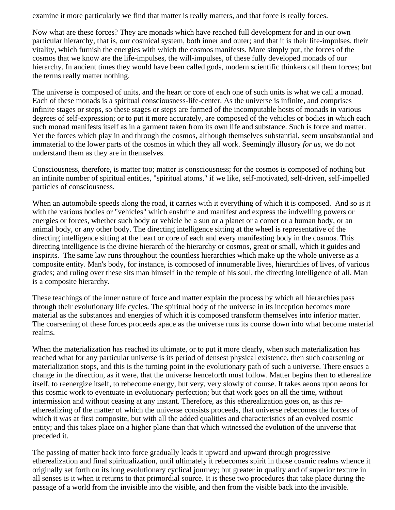examine it more particularly we find that matter is really matters, and that force is really forces.

Now what are these forces? They are monads which have reached full development for and in our own particular hierarchy, that is, our cosmical system, both inner and outer; and that it is their life-impulses, their vitality, which furnish the energies with which the cosmos manifests. More simply put, the forces of the cosmos that we know are the life-impulses, the will-impulses, of these fully developed monads of our hierarchy. In ancient times they would have been called gods, modern scientific thinkers call them forces; but the terms really matter nothing.

The universe is composed of units, and the heart or core of each one of such units is what we call a monad. Each of these monads is a spiritual consciousness-life-center. As the universe is infinite, and comprises infinite stages or steps, so these stages or steps are formed of the incomputable hosts of monads in various degrees of self-expression; or to put it more accurately, are composed of the vehicles or bodies in which each such monad manifests itself as in a garment taken from its own life and substance. Such is force and matter. Yet the forces which play in and through the cosmos, although themselves substantial, seem unsubstantial and immaterial to the lower parts of the cosmos in which they all work. Seemingly illusory *for us*, we do not understand them as they are in themselves.

Consciousness, therefore, is matter too; matter is consciousness; for the cosmos is composed of nothing but an infinite number of spiritual entities, "spiritual atoms," if we like, self-motivated, self-driven, self-impelled particles of consciousness.

When an automobile speeds along the road, it carries with it everything of which it is composed. And so is it with the various bodies or "vehicles" which enshrine and manifest and express the indwelling powers or energies or forces, whether such body or vehicle be a sun or a planet or a comet or a human body, or an animal body, or any other body. The directing intelligence sitting at the wheel is representative of the directing intelligence sitting at the heart or core of each and every manifesting body in the cosmos. This directing intelligence is the divine hierarch of the hierarchy or cosmos, great or small, which it guides and inspirits. The same law runs throughout the countless hierarchies which make up the whole universe as a composite entity. Man's body, for instance, is composed of innumerable lives, hierarchies of lives, of various grades; and ruling over these sits man himself in the temple of his soul, the directing intelligence of all. Man is a composite hierarchy.

These teachings of the inner nature of force and matter explain the process by which all hierarchies pass through their evolutionary life cycles. The spiritual body of the universe in its inception becomes more material as the substances and energies of which it is composed transform themselves into inferior matter. The coarsening of these forces proceeds apace as the universe runs its course down into what become material realms.

When the materialization has reached its ultimate, or to put it more clearly, when such materialization has reached what for any particular universe is its period of densest physical existence, then such coarsening or materialization stops, and this is the turning point in the evolutionary path of such a universe. There ensues a change in the direction, as it were, that the universe henceforth must follow. Matter begins then to etherealize itself, to reenergize itself, to rebecome energy, but very, very slowly of course. It takes aeons upon aeons for this cosmic work to eventuate in evolutionary perfection; but that work goes on all the time, without intermission and without ceasing at any instant. Therefore, as this etherealization goes on, as this reetherealizing of the matter of which the universe consists proceeds, that universe rebecomes the forces of which it was at first composite, but with all the added qualities and characteristics of an evolved cosmic entity; and this takes place on a higher plane than that which witnessed the evolution of the universe that preceded it.

The passing of matter back into force gradually leads it upward and upward through progressive etherealization and final spiritualization, until ultimately it rebecomes spirit in those cosmic realms whence it originally set forth on its long evolutionary cyclical journey; but greater in quality and of superior texture in all senses is it when it returns to that primordial source. It is these two procedures that take place during the passage of a world from the invisible into the visible, and then from the visible back into the invisible.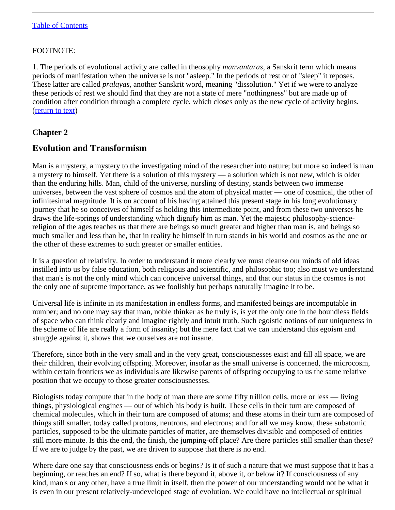### <span id="page-6-1"></span>FOOTNOTE:

1. The periods of evolutional activity are called in theosophy *manvantaras,* a Sanskrit term which means periods of manifestation when the universe is not "asleep." In the periods of rest or of "sleep" it reposes. These latter are called *pralayas*, another Sanskrit word, meaning "dissolution." Yet if we were to analyze these periods of rest we should find that they are not a state of mere "nothingness" but are made up of condition after condition through a complete cycle, which closes only as the new cycle of activity begins. [\(return to text](#page-4-0))

# <span id="page-6-0"></span>**Chapter 2**

# **Evolution and Transformism**

Man is a mystery, a mystery to the investigating mind of the researcher into nature; but more so indeed is man a mystery to himself. Yet there is a solution of this mystery — a solution which is not new, which is older than the enduring hills. Man, child of the universe, nursling of destiny, stands between two immense universes, between the vast sphere of cosmos and the atom of physical matter — one of cosmical, the other of infinitesimal magnitude. It is on account of his having attained this present stage in his long evolutionary journey that he so conceives of himself as holding this intermediate point, and from these two universes he draws the life-springs of understanding which dignify him as man. Yet the majestic philosophy-sciencereligion of the ages teaches us that there are beings so much greater and higher than man is, and beings so much smaller and less than he, that in reality he himself in turn stands in his world and cosmos as the one or the other of these extremes to such greater or smaller entities.

It is a question of relativity. In order to understand it more clearly we must cleanse our minds of old ideas instilled into us by false education, both religious and scientific, and philosophic too; also must we understand that man's is not the only mind which can conceive universal things, and that our status in the cosmos is not the only one of supreme importance, as we foolishly but perhaps naturally imagine it to be.

Universal life is infinite in its manifestation in endless forms, and manifested beings are incomputable in number; and no one may say that man, noble thinker as he truly is, is yet the only one in the boundless fields of space who can think clearly and imagine rightly and intuit truth. Such egoistic notions of our uniqueness in the scheme of life are really a form of insanity; but the mere fact that we can understand this egoism and struggle against it, shows that we ourselves are not insane.

Therefore, since both in the very small and in the very great, consciousnesses exist and fill all space, we are their children, their evolving offspring. Moreover, insofar as the small universe is concerned, the microcosm, within certain frontiers we as individuals are likewise parents of offspring occupying to us the same relative position that we occupy to those greater consciousnesses.

Biologists today compute that in the body of man there are some fifty trillion cells, more or less — living things, physiological engines — out of which his body is built. These cells in their turn are composed of chemical molecules, which in their turn are composed of atoms; and these atoms in their turn are composed of things still smaller, today called protons, neutrons, and electrons; and for all we may know, these subatomic particles, supposed to be the ultimate particles of matter, are themselves divisible and composed of entities still more minute. Is this the end, the finish, the jumping-off place? Are there particles still smaller than these? If we are to judge by the past, we are driven to suppose that there is no end.

Where dare one say that consciousness ends or begins? Is it of such a nature that we must suppose that it has a beginning, or reaches an end? If so, what is there beyond it, above it, or below it? If consciousness of any kind, man's or any other, have a true limit in itself, then the power of our understanding would not be what it is even in our present relatively-undeveloped stage of evolution. We could have no intellectual or spiritual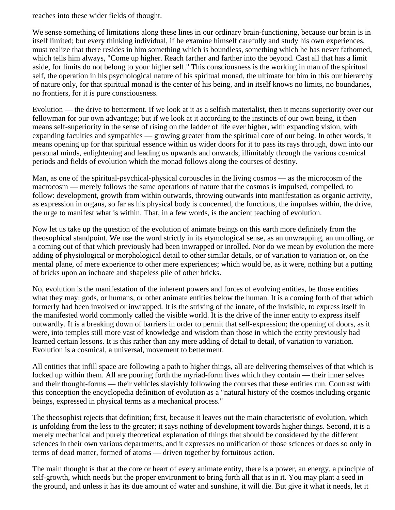reaches into these wider fields of thought.

We sense something of limitations along these lines in our ordinary brain-functioning, because our brain is in itself limited; but every thinking individual, if he examine himself carefully and study his own experiences, must realize that there resides in him something which is boundless, something which he has never fathomed, which tells him always, "Come up higher. Reach farther and farther into the beyond. Cast all that has a limit aside, for limits do not belong to your higher self." This consciousness is the working in man of the spiritual self, the operation in his psychological nature of his spiritual monad, the ultimate for him in this our hierarchy of nature only, for that spiritual monad is the center of his being, and in itself knows no limits, no boundaries, no frontiers, for it is pure consciousness.

Evolution — the drive to betterment. If we look at it as a selfish materialist, then it means superiority over our fellowman for our own advantage; but if we look at it according to the instincts of our own being, it then means self-superiority in the sense of rising on the ladder of life ever higher, with expanding vision, with expanding faculties and sympathies — growing greater from the spiritual core of our being. In other words, it means opening up for that spiritual essence within us wider doors for it to pass its rays through, down into our personal minds, enlightening and leading us upwards and onwards, illimitably through the various cosmical periods and fields of evolution which the monad follows along the courses of destiny.

Man, as one of the spiritual-psychical-physical corpuscles in the living cosmos — as the microcosm of the macrocosm — merely follows the same operations of nature that the cosmos is impulsed, compelled, to follow: development, growth from within outwards, throwing outwards into manifestation as organic activity, as expression in organs, so far as his physical body is concerned, the functions, the impulses within, the drive, the urge to manifest what is within. That, in a few words, is the ancient teaching of evolution.

Now let us take up the question of the evolution of animate beings on this earth more definitely from the theosophical standpoint. We use the word strictly in its etymological sense, as an unwrapping, an unrolling, or a coming out of that which previously had been inwrapped or inrolled. Nor do we mean by evolution the mere adding of physiological or morphological detail to other similar details, or of variation to variation or, on the mental plane, of mere experience to other mere experiences; which would be, as it were, nothing but a putting of bricks upon an inchoate and shapeless pile of other bricks.

No, evolution is the manifestation of the inherent powers and forces of evolving entities, be those entities what they may: gods, or humans, or other animate entities below the human. It is a coming forth of that which formerly had been involved or inwrapped. It is the striving of the innate, of the invisible, to express itself in the manifested world commonly called the visible world. It is the drive of the inner entity to express itself outwardly. It is a breaking down of barriers in order to permit that self-expression; the opening of doors, as it were, into temples still more vast of knowledge and wisdom than those in which the entity previously had learned certain lessons. It is this rather than any mere adding of detail to detail, of variation to variation. Evolution is a cosmical, a universal, movement to betterment.

All entities that infill space are following a path to higher things, all are delivering themselves of that which is locked up within them. All are pouring forth the myriad-form lives which they contain — their inner selves and their thought-forms — their vehicles slavishly following the courses that these entities run. Contrast with this conception the encyclopedia definition of evolution as a "natural history of the cosmos including organic beings, expressed in physical terms as a mechanical process."

The theosophist rejects that definition; first, because it leaves out the main characteristic of evolution, which is unfolding from the less to the greater; it says nothing of development towards higher things. Second, it is a merely mechanical and purely theoretical explanation of things that should be considered by the different sciences in their own various departments, and it expresses no unification of those sciences or does so only in terms of dead matter, formed of atoms — driven together by fortuitous action.

The main thought is that at the core or heart of every animate entity, there is a power, an energy, a principle of self-growth, which needs but the proper environment to bring forth all that is in it. You may plant a seed in the ground, and unless it has its due amount of water and sunshine, it will die. But give it what it needs, let it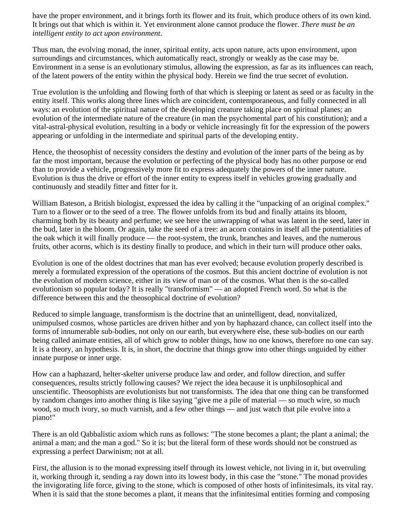have the proper environment, and it brings forth its flower and its fruit, which produce others of its own kind. It brings out that which is within it. Yet environment alone cannot produce the flower. *There must be an intelligent entity to act upon environment*.

Thus man, the evolving monad, the inner, spiritual entity, acts upon nature, acts upon environment, upon surroundings and circumstances, which automatically react, strongly or weakly as the case may be. Environment in a sense is an evolutionary stimulus, allowing the expression, as far as its influences can reach, of the latent powers of the entity within the physical body. Herein we find the true secret of evolution.

True evolution is the unfolding and flowing forth of that which is sleeping or latent as seed or as faculty in the entity itself. This works along three lines which are coincident, contemporaneous, and fully connected in all ways: an evolution of the spiritual nature of the developing creature taking place on spiritual planes; an evolution of the intermediate nature of the creature (in man the psychomental part of his constitution); and a vital-astral-physical evolution, resulting in a body or vehicle increasingly fit for the expression of the powers appearing or unfolding in the intermediate and spiritual parts of the developing entity.

Hence, the theosophist of necessity considers the destiny and evolution of the inner parts of the being as by far the most important, because the evolution or perfecting of the physical body has no other purpose or end than to provide a vehicle, progressively more fit to express adequately the powers of the inner nature. Evolution is thus the drive or effort of the inner entity to express itself in vehicles growing gradually and continuously and steadily fitter and fitter for it.

William Bateson, a British biologist, expressed the idea by calling it the "unpacking of an original complex." Turn to a flower or to the seed of a tree. The flower unfolds from its bud and finally attains its bloom, charming both by its beauty and perfume; we see here the unwrapping of what was latent in the seed, later in the bud, later in the bloom. Or again, take the seed of a tree: an acorn contains in itself all the potentialities of the oak which it will finally produce — the root-system, the trunk, branches and leaves, and the numerous fruits, other acorns, which is its destiny finally to produce, and which in their turn will produce other oaks.

Evolution is one of the oldest doctrines that man has ever evolved; because evolution properly described is merely a formulated expression of the operations of the cosmos. But this ancient doctrine of evolution is not the evolution of modern science, either in its view of man or of the cosmos. What then is the so-called evolutionism so popular today? It is really "transformism" — an adopted French word. So what is the difference between this and the theosophical doctrine of evolution?

Reduced to simple language, transformism is the doctrine that an unintelligent, dead, nonvitalized, unimpulsed cosmos, whose particles are driven hither and yon by haphazard chance, can collect itself into the forms of innumerable sub-bodies, not only on our earth, but everywhere else, these sub-bodies on our earth being called animate entities, all of which grow to nobler things, how no one knows, therefore no one can say. It is a theory, an hypothesis. It is, in short, the doctrine that things grow into other things unguided by either innate purpose or inner urge.

How can a haphazard, helter-skelter universe produce law and order, and follow direction, and suffer consequences, results strictly following causes? We reject the idea because it is unphilosophical and unscientific. Theosophists are evolutionists but not transformists. The idea that one thing can be transformed by random changes into another thing is like saying "give me a pile of material — so much wire, so much wood, so much ivory, so much varnish, and a few other things — and just watch that pile evolve into a piano!"

There is an old Qabbalistic axiom which runs as follows: "The stone becomes a plant; the plant a animal; the animal a man; and the man a god." So it is; but the literal form of these words should not be construed as expressing a perfect Darwinism; not at all.

First, the allusion is to the monad expressing itself through its lowest vehicle, not living in it, but overruling it, working through it, sending a ray down into its lowest body, in this case the "stone." The monad provides the invigorating life force, giving to the stone, which is composed of other hosts of infinitesimals, its vital ray. When it is said that the stone becomes a plant, it means that the infinitesimal entities forming and composing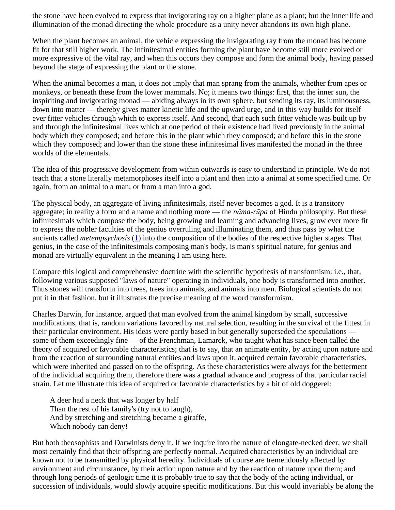the stone have been evolved to express that invigorating ray on a higher plane as a plant; but the inner life and illumination of the monad directing the whole procedure as a unity never abandons its own high plane.

When the plant becomes an animal, the vehicle expressing the invigorating ray from the monad has become fit for that still higher work. The infinitesimal entities forming the plant have become still more evolved or more expressive of the vital ray, and when this occurs they compose and form the animal body, having passed beyond the stage of expressing the plant or the stone.

When the animal becomes a man, it does not imply that man sprang from the animals, whether from apes or monkeys, or beneath these from the lower mammals. No; it means two things: first, that the inner sun, the inspiriting and invigorating monad — abiding always in its own sphere, but sending its ray, its luminousness, down into matter — thereby gives matter kinetic life and the upward urge, and in this way builds for itself ever fitter vehicles through which to express itself. And second, that each such fitter vehicle was built up by and through the infinitesimal lives which at one period of their existence had lived previously in the animal body which they composed; and before this in the plant which they composed; and before this in the stone which they composed; and lower than the stone these infinitesimal lives manifested the monad in the three worlds of the elementals.

The idea of this progressive development from within outwards is easy to understand in principle. We do not teach that a stone literally metamorphoses itself into a plant and then into a animal at some specified time. Or again, from an animal to a man; or from a man into a god.

The physical body, an aggregate of living infinitesimals, itself never becomes a god. It is a transitory aggregate; in reality a form and a name and nothing more — the *nāma-rūpa* of Hindu philosophy. But these infinitesimals which compose the body, being growing and learning and advancing lives, grow ever more fit to express the nobler faculties of the genius overruling and illuminating them, and thus pass by what the ancients called *metempsychosis* ([1\)](#page-10-1) into the composition of the bodies of the respective higher stages. That genius, in the case of the infinitesimals composing man's body, is man's spiritual nature, for genius and monad are virtually equivalent in the meaning I am using here.

<span id="page-9-0"></span>Compare this logical and comprehensive doctrine with the scientific hypothesis of transformism: i.e., that, following various supposed "laws of nature" operating in individuals, one body is transformed into another. Thus stones will transform into trees, trees into animals, and animals into men. Biological scientists do not put it in that fashion, but it illustrates the precise meaning of the word transformism.

Charles Darwin, for instance, argued that man evolved from the animal kingdom by small, successive modifications, that is, random variations favored by natural selection, resulting in the survival of the fittest in their particular environment. His ideas were partly based in but generally superseded the speculations some of them exceedingly fine — of the Frenchman, Lamarck, who taught what has since been called the theory of acquired or favorable characteristics; that is to say, that an animate entity, by acting upon nature and from the reaction of surrounding natural entities and laws upon it, acquired certain favorable characteristics, which were inherited and passed on to the offspring. As these characteristics were always for the betterment of the individual acquiring them, therefore there was a gradual advance and progress of that particular racial strain. Let me illustrate this idea of acquired or favorable characteristics by a bit of old doggerel:

A deer had a neck that was longer by half Than the rest of his family's (try not to laugh), And by stretching and stretching became a giraffe, Which nobody can deny!

But both theosophists and Darwinists deny it. If we inquire into the nature of elongate-necked deer, we shall most certainly find that their offspring are perfectly normal. Acquired characteristics by an individual are known not to be transmitted by physical heredity. Individuals of course are tremendously affected by environment and circumstance, by their action upon nature and by the reaction of nature upon them; and through long periods of geologic time it is probably true to say that the body of the acting individual, or succession of individuals, would slowly acquire specific modifications. But this would invariably be along the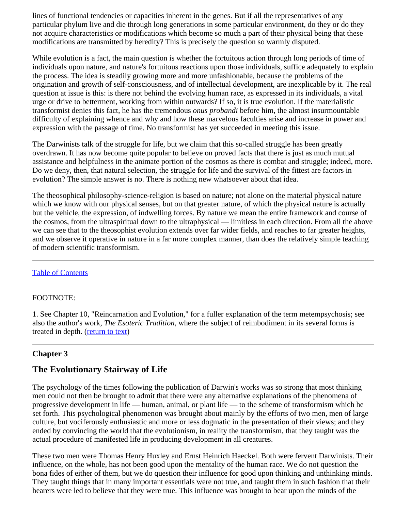lines of functional tendencies or capacities inherent in the genes. But if all the representatives of any particular phylum live and die through long generations in some particular environment, do they or do they not acquire characteristics or modifications which become so much a part of their physical being that these modifications are transmitted by heredity? This is precisely the question so warmly disputed.

While evolution is a fact, the main question is whether the fortuitous action through long periods of time of individuals upon nature, and nature's fortuitous reactions upon those individuals, suffice adequately to explain the process. The idea is steadily growing more and more unfashionable, because the problems of the origination and growth of self-consciousness, and of intellectual development, are inexplicable by it. The real question at issue is this: is there not behind the evolving human race, as expressed in its individuals, a vital urge or drive to betterment, working from within outwards? If so, it is true evolution. If the materialistic transformist denies this fact, he has the tremendous *onus probandi* before him, the almost insurmountable difficulty of explaining whence and why and how these marvelous faculties arise and increase in power and expression with the passage of time. No transformist has yet succeeded in meeting this issue.

The Darwinists talk of the struggle for life, but we claim that this so-called struggle has been greatly overdrawn. It has now become quite popular to believe on proved facts that there is just as much mutual assistance and helpfulness in the animate portion of the cosmos as there is combat and struggle; indeed, more. Do we deny, then, that natural selection, the struggle for life and the survival of the fittest are factors in evolution? The simple answer is no. There is nothing new whatsoever about that idea.

The theosophical philosophy-science-religion is based on nature; not alone on the material physical nature which we know with our physical senses, but on that greater nature, of which the physical nature is actually but the vehicle, the expression, of indwelling forces. By nature we mean the entire framework and course of the cosmos, from the ultraspiritual down to the ultraphysical — limitless in each direction. From all the above we can see that to the theosophist evolution extends over far wider fields, and reaches to far greater heights, and we observe it operative in nature in a far more complex manner, than does the relatively simple teaching of modern scientific transformism.

### [Table of Contents](#page-0-1)

### <span id="page-10-1"></span>FOOTNOTE:

1. See Chapter 10, "Reincarnation and Evolution," for a fuller explanation of the term metempsychosis; see also the author's work, *The Esoteric Tradition,* where the subject of reimbodiment in its several forms is treated in depth. [\(return to text\)](#page-9-0)

### <span id="page-10-0"></span>**Chapter 3**

# **The Evolutionary Stairway of Life**

The psychology of the times following the publication of Darwin's works was so strong that most thinking men could not then be brought to admit that there were any alternative explanations of the phenomena of progressive development in life — human, animal, or plant life — to the scheme of transformism which he set forth. This psychological phenomenon was brought about mainly by the efforts of two men, men of large culture, but vociferously enthusiastic and more or less dogmatic in the presentation of their views; and they ended by convincing the world that the evolutionism, in reality the transformism, that they taught was the actual procedure of manifested life in producing development in all creatures.

These two men were Thomas Henry Huxley and Ernst Heinrich Haeckel. Both were fervent Darwinists. Their influence, on the whole, has not been good upon the mentality of the human race. We do not question the bona fides of either of them, but we do question their influence for good upon thinking and unthinking minds. They taught things that in many important essentials were not true, and taught them in such fashion that their hearers were led to believe that they were true. This influence was brought to bear upon the minds of the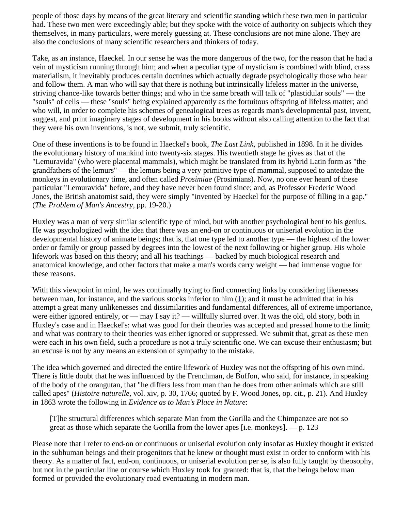people of those days by means of the great literary and scientific standing which these two men in particular had. These two men were exceedingly able; but they spoke with the voice of authority on subjects which they themselves, in many particulars, were merely guessing at. These conclusions are not mine alone. They are also the conclusions of many scientific researchers and thinkers of today.

Take, as an instance, Haeckel. In our sense he was the more dangerous of the two, for the reason that he had a vein of mysticism running through him; and when a peculiar type of mysticism is combined with blind, crass materialism, it inevitably produces certain doctrines which actually degrade psychologically those who hear and follow them. A man who will say that there is nothing but intrinsically lifeless matter in the universe, striving chance-like towards better things; and who in the same breath will talk of "plastidular souls" — the "souls" of cells — these "souls" being explained apparently as the fortuitous offspring of lifeless matter; and who will, in order to complete his schemes of genealogical trees as regards man's developmental past, invent, suggest, and print imaginary stages of development in his books without also calling attention to the fact that they were his own inventions, is not, we submit, truly scientific.

One of these inventions is to be found in Haeckel's book, *The Last Link*, published in 1898. In it he divides the evolutionary history of mankind into twenty-six stages. His twentieth stage he gives as that of the "Lemuravida" (who were placental mammals), which might be translated from its hybrid Latin form as "the grandfathers of the lemurs" — the lemurs being a very primitive type of mammal, supposed to antedate the monkeys in evolutionary time, and often called *Prosimiae* (Prosimians). Now, no one ever heard of these particular "Lemuravida" before, and they have never been found since; and, as Professor Frederic Wood Jones, the British anatomist said, they were simply "invented by Haeckel for the purpose of filling in a gap." (*The Problem of Man's Ancestry,* pp. 19-20.)

Huxley was a man of very similar scientific type of mind, but with another psychological bent to his genius. He was psychologized with the idea that there was an end-on or continuous or uniserial evolution in the developmental history of animate beings; that is, that one type led to another type — the highest of the lower order or family or group passed by degrees into the lowest of the next following or higher group. His whole lifework was based on this theory; and all his teachings — backed by much biological research and anatomical knowledge, and other factors that make a man's words carry weight — had immense vogue for these reasons.

<span id="page-11-0"></span>With this viewpoint in mind, he was continually trying to find connecting links by considering likenesses between man, for instance, and the various stocks inferior to him  $(1)$  $(1)$ ; and it must be admitted that in his attempt a great many unlikenesses and dissimilarities and fundamental differences, all of extreme importance, were either ignored entirely, or — may I say it? — willfully slurred over. It was the old, old story, both in Huxley's case and in Haeckel's: what was good for their theories was accepted and pressed home to the limit; and what was contrary to their theories was either ignored or suppressed. We submit that, great as these men were each in his own field, such a procedure is not a truly scientific one. We can excuse their enthusiasm; but an excuse is not by any means an extension of sympathy to the mistake.

The idea which governed and directed the entire lifework of Huxley was not the offspring of his own mind. There is little doubt that he was influenced by the Frenchman, de Buffon, who said, for instance, in speaking of the body of the orangutan, that "he differs less from man than he does from other animals which are still called apes" (*Histoire naturelle,* vol. xiv, p. 30, 1766; quoted by F. Wood Jones, op. cit., p. 21). And Huxley in 1863 wrote the following in *Evidence as to Man's Place in Nature*:

[T]he structural differences which separate Man from the Gorilla and the Chimpanzee are not so great as those which separate the Gorilla from the lower apes [i.e. monkeys].  $-$  p. 123

Please note that I refer to end-on or continuous or uniserial evolution only insofar as Huxley thought it existed in the subhuman beings and their progenitors that he knew or thought must exist in order to conform with his theory. As a matter of fact, end-on, continuous, or uniserial evolution per se, is also fully taught by theosophy, but not in the particular line or course which Huxley took for granted: that is, that the beings below man formed or provided the evolutionary road eventuating in modern man.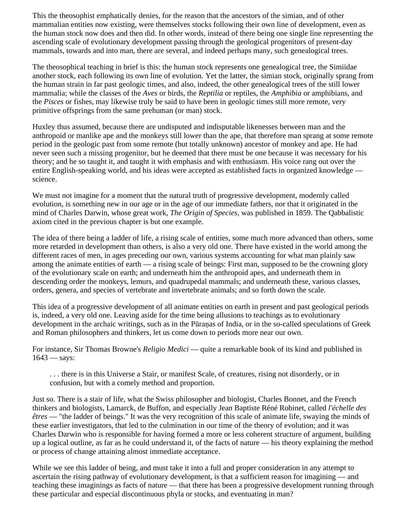This the theosophist emphatically denies, for the reason that the ancestors of the simian, and of other mammalian entities now existing, were themselves stocks following their own line of development, even as the human stock now does and then did. In other words, instead of there being one single line representing the ascending scale of evolutionary development passing through the geological progenitors of present-day mammals, towards and into man, there are several, and indeed perhaps many, such genealogical trees.

The theosophical teaching in brief is this: the human stock represents one genealogical tree, the Simiidae another stock, each following its own line of evolution. Yet the latter, the simian stock, originally sprang from the human strain in far past geologic times, and also, indeed, the other genealogical trees of the still lower mammalia; while the classes of the *Aves* or birds, the *Reptilia* or reptiles, the *Amphibia* or amphibians, and the *Pisces* or fishes, may likewise truly be said to have been in geologic times still more remote, very primitive offsprings from the same prehuman (or man) stock.

Huxley thus assumed, because there are undisputed and indisputable likenesses between man and the anthropoid or manlike ape and the monkeys still lower than the ape, that therefore man sprang at some remote period in the geologic past from some remote (but totally unknown) ancestor of monkey and ape. He had never seen such a missing progenitor, but he deemed that there must be one because it was necessary for his theory; and he so taught it, and taught it with emphasis and with enthusiasm. His voice rang out over the entire English-speaking world, and his ideas were accepted as established facts in organized knowledge science.

We must not imagine for a moment that the natural truth of progressive development, modernly called evolution, is something new in our age or in the age of our immediate fathers, nor that it originated in the mind of Charles Darwin, whose great work, *The Origin of Species,* was published in 1859. The Qabbalistic axiom cited in the previous chapter is but one example.

The idea of there being a ladder of life, a rising scale of entities, some much more advanced than others, some more retarded in development than others, is also a very old one. There have existed in the world among the different races of men, in ages preceding our own, various systems accounting for what man plainly saw among the animate entities of earth — a rising scale of beings: First man, supposed to be the crowning glory of the evolutionary scale on earth; and underneath him the anthropoid apes, and underneath them in descending order the monkeys, lemurs, and quadrupedal mammals; and underneath these, various classes, orders, genera, and species of vertebrate and invertebrate animals; and so forth down the scale.

This idea of a progressive development of all animate entities on earth in present and past geological periods is, indeed, a very old one. Leaving aside for the time being allusions to teachings as to evolutionary development in the archaic writings, such as in the Pūraṇas of India, or in the so-called speculations of Greek and Roman philosophers and thinkers, let us come down to periods more near our own.

For instance, Sir Thomas Browne's *Religio Medici* — quite a remarkable book of its kind and published in  $1643 - says:$ 

. . . there is in this Universe a Stair, or manifest Scale, of creatures, rising not disorderly, or in confusion, but with a comely method and proportion.

Just so. There is a stair of life, what the Swiss philosopher and biologist, Charles Bonnet, and the French thinkers and biologists, Lamarck, de Buffon, and especially Jean Baptiste Réné Robinet, called *l'échelle des êtres* — "the ladder of beings." It was the very recognition of this scale of animate life, swaying the minds of these earlier investigators, that led to the culmination in our time of the theory of evolution; and it was Charles Darwin who is responsible for having formed a more or less coherent structure of argument, building up a logical outline, as far as he could understand it, of the facts of nature — his theory explaining the method or process of change attaining almost immediate acceptance.

While we see this ladder of being, and must take it into a full and proper consideration in any attempt to ascertain the rising pathway of evolutionary development, is that a sufficient reason for imagining — and teaching these imaginings as facts of nature — that there has been a progressive development running through these particular and especial discontinuous phyla or stocks, and eventuating in man?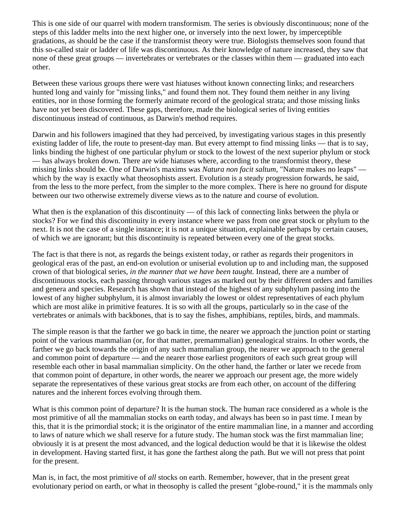This is one side of our quarrel with modern transformism. The series is obviously discontinuous; none of the steps of this ladder melts into the next higher one, or inversely into the next lower, by imperceptible gradations, as should be the case if the transformist theory were true. Biologists themselves soon found that this so-called stair or ladder of life was discontinuous. As their knowledge of nature increased, they saw that none of these great groups — invertebrates or vertebrates or the classes within them — graduated into each other.

Between these various groups there were vast hiatuses without known connecting links; and researchers hunted long and vainly for "missing links," and found them not. They found them neither in any living entities, nor in those forming the formerly animate record of the geological strata; and those missing links have not yet been discovered. These gaps, therefore, made the biological series of living entities discontinuous instead of continuous, as Darwin's method requires.

Darwin and his followers imagined that they had perceived, by investigating various stages in this presently existing ladder of life, the route to present-day man. But every attempt to find missing links — that is to say, links binding the highest of one particular phylum or stock to the lowest of the next superior phylum or stock — has always broken down. There are wide hiatuses where, according to the transformist theory, these missing links should be. One of Darwin's maxims was *Natura non facit saltum*, "Nature makes no leaps" which by the way is exactly what theosophists assert. Evolution is a steady progression forwards, he said, from the less to the more perfect, from the simpler to the more complex. There is here no ground for dispute between our two otherwise extremely diverse views as to the nature and course of evolution.

What then is the explanation of this discontinuity — of this lack of connecting links between the phyla or stocks? For we find this discontinuity in every instance where we pass from one great stock or phylum to the next. It is not the case of a single instance; it is not a unique situation, explainable perhaps by certain causes, of which we are ignorant; but this discontinuity is repeated between every one of the great stocks.

The fact is that there is not, as regards the beings existent today, or rather as regards their progenitors in geological eras of the past, an end-on evolution or uniserial evolution up to and including man, the supposed crown of that biological series, *in the manner that we have been taught.* Instead, there are a number of discontinuous stocks, each passing through various stages as marked out by their different orders and families and genera and species. Research has shown that instead of the highest of any subphylum passing into the lowest of any higher subphylum, it is almost invariably the lowest or oldest representatives of each phylum which are most alike in primitive features. It is so with all the groups, particularly so in the case of the vertebrates or animals with backbones, that is to say the fishes, amphibians, reptiles, birds, and mammals.

The simple reason is that the farther we go back in time, the nearer we approach the junction point or starting point of the various mammalian (or, for that matter, premammalian) genealogical strains. In other words, the farther we go back towards the origin of any such mammalian group, the nearer we approach to the general and common point of departure — and the nearer those earliest progenitors of each such great group will resemble each other in basal mammalian simplicity. On the other hand, the farther or later we recede from that common point of departure, in other words, the nearer we approach our present age, the more widely separate the representatives of these various great stocks are from each other, on account of the differing natures and the inherent forces evolving through them.

What is this common point of departure? It is the human stock. The human race considered as a whole is the most primitive of all the mammalian stocks on earth today, and always has been so in past time. I mean by this, that it is the primordial stock; it is the originator of the entire mammalian line, in a manner and according to laws of nature which we shall reserve for a future study. The human stock was the first mammalian line; obviously it is at present the most advanced, and the logical deduction would be that it is likewise the oldest in development. Having started first, it has gone the farthest along the path. But we will not press that point for the present.

Man is, in fact, the most primitive of *all* stocks on earth. Remember, however, that in the present great evolutionary period on earth, or what in theosophy is called the present "globe-round," it is the mammals only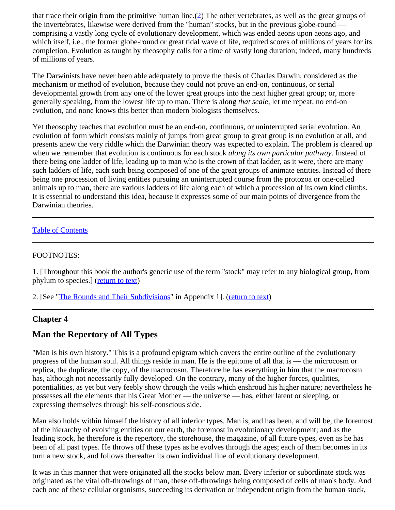<span id="page-14-3"></span>that trace their origin from the primitive human line.[\(2](#page-14-2)) The other vertebrates, as well as the great groups of the invertebrates, likewise were derived from the "human" stocks, but in the previous globe-round comprising a vastly long cycle of evolutionary development, which was ended aeons upon aeons ago, and which itself, i.e., the former globe-round or great tidal wave of life, required scores of millions of years for its completion. Evolution as taught by theosophy calls for a time of vastly long duration; indeed, many hundreds of millions of years.

The Darwinists have never been able adequately to prove the thesis of Charles Darwin, considered as the mechanism or method of evolution, because they could not prove an end-on, continuous, or serial developmental growth from any one of the lower great groups into the next higher great group; or, more generally speaking, from the lowest life up to man. There is along *that scale,* let me repeat, no end-on evolution, and none knows this better than modern biologists themselves.

Yet theosophy teaches that evolution must be an end-on, continuous, or uninterrupted serial evolution. An evolution of form which consists mainly of jumps from great group to great group is no evolution at all, and presents anew the very riddle which the Darwinian theory was expected to explain. The problem is cleared up when we remember that evolution is continuous for each stock *along its own particular pathway.* Instead of there being one ladder of life, leading up to man who is the crown of that ladder, as it were, there are many such ladders of life, each such being composed of one of the great groups of animate entities. Instead of there being one procession of living entities pursuing an uninterrupted course from the protozoa or one-celled animals up to man, there are various ladders of life along each of which a procession of its own kind climbs. It is essential to understand this idea, because it expresses some of our main points of divergence from the Darwinian theories.

### [Table of Contents](#page-0-1)

### <span id="page-14-1"></span>FOOTNOTES:

1. [Throughout this book the author's generic use of the term "stock" may refer to any biological group, from phylum to species.] ([return to text\)](#page-11-0)

<span id="page-14-2"></span>2. [See ["The Rounds and Their Subdivisions](#page-58-0)" in Appendix 1]. [\(return to text](#page-14-3))

### <span id="page-14-0"></span>**Chapter 4**

# **Man the Repertory of All Types**

"Man is his own history." This is a profound epigram which covers the entire outline of the evolutionary progress of the human soul. All things reside in man. He is the epitome of all that is — the microcosm or replica, the duplicate, the copy, of the macrocosm. Therefore he has everything in him that the macrocosm has, although not necessarily fully developed. On the contrary, many of the higher forces, qualities, potentialities, as yet but very feebly show through the veils which enshroud his higher nature; nevertheless he possesses all the elements that his Great Mother — the universe — has, either latent or sleeping, or expressing themselves through his self-conscious side.

Man also holds within himself the history of all inferior types. Man is, and has been, and will be, the foremost of the hierarchy of evolving entities on our earth, the foremost in evolutionary development; and as the leading stock, he therefore is the repertory, the storehouse, the magazine, of all future types, even as he has been of all past types. He throws off these types as he evolves through the ages; each of them becomes in its turn a new stock, and follows thereafter its own individual line of evolutionary development.

It was in this manner that were originated all the stocks below man. Every inferior or subordinate stock was originated as the vital off-throwings of man, these off-throwings being composed of cells of man's body. And each one of these cellular organisms, succeeding its derivation or independent origin from the human stock,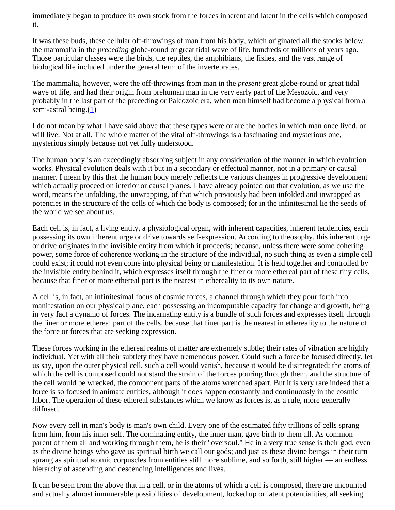immediately began to produce its own stock from the forces inherent and latent in the cells which composed it.

It was these buds, these cellular off-throwings of man from his body, which originated all the stocks below the mammalia in the *preceding* globe-round or great tidal wave of life, hundreds of millions of years ago. Those particular classes were the birds, the reptiles, the amphibians, the fishes, and the vast range of biological life included under the general term of the invertebrates.

The mammalia, however, were the off-throwings from man in the *present* great globe-round or great tidal wave of life, and had their origin from prehuman man in the very early part of the Mesozoic, and very probably in the last part of the preceding or Paleozoic era, when man himself had become a physical from a semi-astral being. $(1)$  $(1)$ 

<span id="page-15-0"></span>I do not mean by what I have said above that these types were or are the bodies in which man once lived, or will live. Not at all. The whole matter of the vital off-throwings is a fascinating and mysterious one, mysterious simply because not yet fully understood.

The human body is an exceedingly absorbing subject in any consideration of the manner in which evolution works. Physical evolution deals with it but in a secondary or effectual manner, not in a primary or causal manner. I mean by this that the human body merely reflects the various changes in progressive development which actually proceed on interior or causal planes. I have already pointed out that evolution, as we use the word, means the unfolding, the unwrapping, of that which previously had been infolded and inwrapped as potencies in the structure of the cells of which the body is composed; for in the infinitesimal lie the seeds of the world we see about us.

Each cell is, in fact, a living entity, a physiological organ, with inherent capacities, inherent tendencies, each possessing its own inherent urge or drive towards self-expression. According to theosophy, this inherent urge or drive originates in the invisible entity from which it proceeds; because, unless there were some cohering power, some force of coherence working in the structure of the individual, no such thing as even a simple cell could exist; it could not even come into physical being or manifestation. It is held together and controlled by the invisible entity behind it, which expresses itself through the finer or more ethereal part of these tiny cells, because that finer or more ethereal part is the nearest in ethereality to its own nature.

A cell is, in fact, an infinitesimal focus of cosmic forces, a channel through which they pour forth into manifestation on our physical plane, each possessing an incomputable capacity for change and growth, being in very fact a dynamo of forces. The incarnating entity is a bundle of such forces and expresses itself through the finer or more ethereal part of the cells, because that finer part is the nearest in ethereality to the nature of the force or forces that are seeking expression.

These forces working in the ethereal realms of matter are extremely subtle; their rates of vibration are highly individual. Yet with all their subtlety they have tremendous power. Could such a force be focused directly, let us say, upon the outer physical cell, such a cell would vanish, because it would be disintegrated; the atoms of which the cell is composed could not stand the strain of the forces pouring through them, and the structure of the cell would be wrecked, the component parts of the atoms wrenched apart. But it is very rare indeed that a force is so focused in animate entities, although it does happen constantly and continuously in the cosmic labor. The operation of these ethereal substances which we know as forces is, as a rule, more generally diffused.

Now every cell in man's body is man's own child. Every one of the estimated fifty trillions of cells sprang from him, from his inner self. The dominating entity, the inner man, gave birth to them all. As common parent of them all and working through them, he is their "oversoul." He in a very true sense is their god, even as the divine beings who gave us spiritual birth we call our gods; and just as these divine beings in their turn sprang as spiritual atomic corpuscles from entities still more sublime, and so forth, still higher — an endless hierarchy of ascending and descending intelligences and lives.

It can be seen from the above that in a cell, or in the atoms of which a cell is composed, there are uncounted and actually almost innumerable possibilities of development, locked up or latent potentialities, all seeking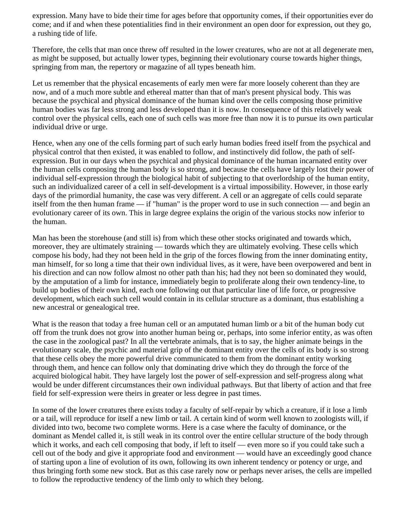expression. Many have to bide their time for ages before that opportunity comes, if their opportunities ever do come; and if and when these potentialities find in their environment an open door for expression, out they go, a rushing tide of life.

Therefore, the cells that man once threw off resulted in the lower creatures, who are not at all degenerate men, as might be supposed, but actually lower types, beginning their evolutionary course towards higher things, springing from man, the repertory or magazine of all types beneath him.

Let us remember that the physical encasements of early men were far more loosely coherent than they are now, and of a much more subtle and ethereal matter than that of man's present physical body. This was because the psychical and physical dominance of the human kind over the cells composing those primitive human bodies was far less strong and less developed than it is now. In consequence of this relatively weak control over the physical cells, each one of such cells was more free than now it is to pursue its own particular individual drive or urge.

Hence, when any one of the cells forming part of such early human bodies freed itself from the psychical and physical control that then existed, it was enabled to follow, and instinctively did follow, the path of selfexpression. But in our days when the psychical and physical dominance of the human incarnated entity over the human cells composing the human body is so strong, and because the cells have largely lost their power of individual self-expression through the biological habit of subjecting to that overlordship of the human entity, such an individualized career of a cell in self-development is a virtual impossibility. However, in those early days of the primordial humanity, the case was very different. A cell or an aggregate of cells could separate itself from the then human frame — if "human" is the proper word to use in such connection — and begin an evolutionary career of its own. This in large degree explains the origin of the various stocks now inferior to the human.

Man has been the storehouse (and still is) from which these other stocks originated and towards which, moreover, they are ultimately straining — towards which they are ultimately evolving. These cells which compose his body, had they not been held in the grip of the forces flowing from the inner dominating entity, man himself, for so long a time that their own individual lives, as it were, have been overpowered and bent in his direction and can now follow almost no other path than his; had they not been so dominated they would, by the amputation of a limb for instance, immediately begin to proliferate along their own tendency-line, to build up bodies of their own kind, each one following out that particular line of life force, or progressive development, which each such cell would contain in its cellular structure as a dominant, thus establishing a new ancestral or genealogical tree.

What is the reason that today a free human cell or an amputated human limb or a bit of the human body cut off from the trunk does not grow into another human being or, perhaps, into some inferior entity, as was often the case in the zoological past? In all the vertebrate animals, that is to say, the higher animate beings in the evolutionary scale, the psychic and material grip of the dominant entity over the cells of its body is so strong that these cells obey the more powerful drive communicated to them from the dominant entity working through them, and hence can follow only that dominating drive which they do through the force of the acquired biological habit. They have largely lost the power of self-expression and self-progress along what would be under different circumstances their own individual pathways. But that liberty of action and that free field for self-expression were theirs in greater or less degree in past times.

In some of the lower creatures there exists today a faculty of self-repair by which a creature, if it lose a limb or a tail, will reproduce for itself a new limb or tail. A certain kind of worm well known to zoologists will, if divided into two, become two complete worms. Here is a case where the faculty of dominance, or the dominant as Mendel called it, is still weak in its control over the entire cellular structure of the body through which it works, and each cell composing that body, if left to itself — even more so if you could take such a cell out of the body and give it appropriate food and environment — would have an exceedingly good chance of starting upon a line of evolution of its own, following its own inherent tendency or potency or urge, and thus bringing forth some new stock. But as this case rarely now or perhaps never arises, the cells are impelled to follow the reproductive tendency of the limb only to which they belong.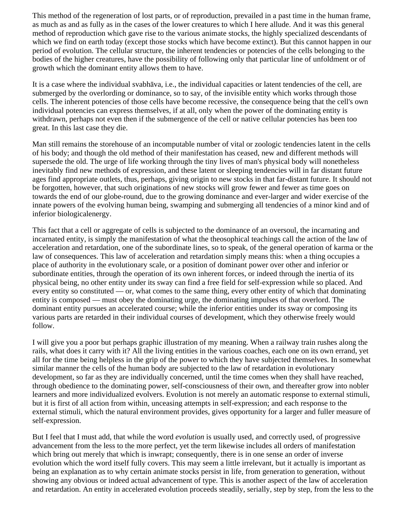This method of the regeneration of lost parts, or of reproduction, prevailed in a past time in the human frame, as much as and as fully as in the cases of the lower creatures to which I here allude. And it was this general method of reproduction which gave rise to the various animate stocks, the highly specialized descendants of which we find on earth today (except those stocks which have become extinct). But this cannot happen in our period of evolution. The cellular structure, the inherent tendencies or potencies of the cells belonging to the bodies of the higher creatures, have the possibility of following only that particular line of unfoldment or of growth which the dominant entity allows them to have.

It is a case where the individual svabhāva, i.e., the individual capacities or latent tendencies of the cell, are submerged by the overlording or dominance, so to say, of the invisible entity which works through those cells. The inherent potencies of those cells have become recessive, the consequence being that the cell's own individual potencies can express themselves, if at all, only when the power of the dominating entity is withdrawn, perhaps not even then if the submergence of the cell or native cellular potencies has been too great. In this last case they die.

Man still remains the storehouse of an incomputable number of vital or zoologic tendencies latent in the cells of his body; and though the old method of their manifestation has ceased, new and different methods will supersede the old. The urge of life working through the tiny lives of man's physical body will nonetheless inevitably find new methods of expression, and these latent or sleeping tendencies will in far distant future ages find appropriate outlets, thus, perhaps, giving origin to new stocks in that far-distant future. It should not be forgotten, however, that such originations of new stocks will grow fewer and fewer as time goes on towards the end of our globe-round, due to the growing dominance and ever-larger and wider exercise of the innate powers of the evolving human being, swamping and submerging all tendencies of a minor kind and of inferior biologicalenergy.

This fact that a cell or aggregate of cells is subjected to the dominance of an oversoul, the incarnating and incarnated entity, is simply the manifestation of what the theosophical teachings call the action of the law of acceleration and retardation, one of the subordinate lines, so to speak, of the general operation of karma or the law of consequences. This law of acceleration and retardation simply means this: when a thing occupies a place of authority in the evolutionary scale, or a position of dominant power over other and inferior or subordinate entities, through the operation of its own inherent forces, or indeed through the inertia of its physical being, no other entity under its sway can find a free field for self-expression while so placed. And every entity so constituted — or, what comes to the same thing, every other entity of which that dominating entity is composed — must obey the dominating urge, the dominating impulses of that overlord. The dominant entity pursues an accelerated course; while the inferior entities under its sway or composing its various parts are retarded in their individual courses of development, which they otherwise freely would follow.

I will give you a poor but perhaps graphic illustration of my meaning. When a railway train rushes along the rails, what does it carry with it? All the living entities in the various coaches, each one on its own errand, yet all for the time being helpless in the grip of the power to which they have subjected themselves. In somewhat similar manner the cells of the human body are subjected to the law of retardation in evolutionary development, so far as they are individually concerned, until the time comes when they shall have reached, through obedience to the dominating power, self-consciousness of their own, and thereafter grow into nobler learners and more individualized evolvers. Evolution is not merely an automatic response to external stimuli, but it is first of all action from within, unceasing attempts in self-expression; and each response to the external stimuli, which the natural environment provides, gives opportunity for a larger and fuller measure of self-expression.

But I feel that I must add, that while the word *evolution* is usually used, and correctly used, of progressive advancement from the less to the more perfect, yet the term likewise includes all orders of manifestation which bring out merely that which is inwrapt; consequently, there is in one sense an order of inverse evolution which the word itself fully covers. This may seem a little irrelevant, but it actually is important as being an explanation as to why certain animate stocks persist in life, from generation to generation, without showing any obvious or indeed actual advancement of type. This is another aspect of the law of acceleration and retardation. An entity in accelerated evolution proceeds steadily, serially, step by step, from the less to the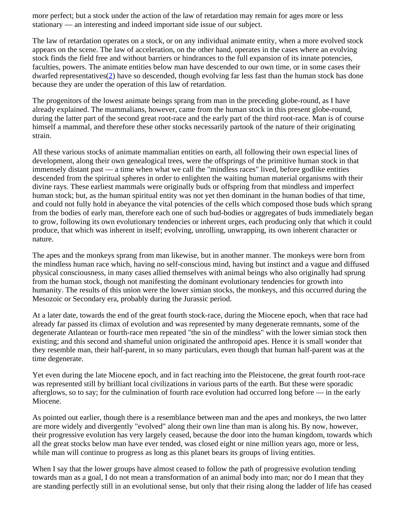more perfect; but a stock under the action of the law of retardation may remain for ages more or less stationary — an interesting and indeed important side issue of our subject.

The law of retardation operates on a stock, or on any individual animate entity, when a more evolved stock appears on the scene. The law of acceleration, on the other hand, operates in the cases where an evolving stock finds the field free and without barriers or hindrances to the full expansion of its innate potencies, faculties, powers. The animate entities below man have descended to our own time, or in some cases their dwarfed representatives[\(2](#page-19-2)) have so descended, though evolving far less fast than the human stock has done because they are under the operation of this law of retardation.

<span id="page-18-0"></span>The progenitors of the lowest animate beings sprang from man in the preceding globe-round, as I have already explained. The mammalians, however, came from the human stock in this present globe-round, during the latter part of the second great root-race and the early part of the third root-race. Man is of course himself a mammal, and therefore these other stocks necessarily partook of the nature of their originating strain.

All these various stocks of animate mammalian entities on earth, all following their own especial lines of development, along their own genealogical trees, were the offsprings of the primitive human stock in that immensely distant past — a time when what we call the "mindless races" lived, before godlike entities descended from the spiritual spheres in order to enlighten the waiting human material organisms with their divine rays. These earliest mammals were originally buds or offspring from that mindless and imperfect human stock; but, as the human spiritual entity was not yet then dominant in the human bodies of that time, and could not fully hold in abeyance the vital potencies of the cells which composed those buds which sprang from the bodies of early man, therefore each one of such bud-bodies or aggregates of buds immediately began to grow, following its own evolutionary tendencies or inherent urges, each producing only that which it could produce, that which was inherent in itself; evolving, unrolling, unwrapping, its own inherent character or nature.

The apes and the monkeys sprang from man likewise, but in another manner. The monkeys were born from the mindless human race which, having no self-conscious mind, having but instinct and a vague and diffused physical consciousness, in many cases allied themselves with animal beings who also originally had sprung from the human stock, though not manifesting the dominant evolutionary tendencies for growth into humanity. The results of this union were the lower simian stocks, the monkeys, and this occurred during the Mesozoic or Secondary era, probably during the Jurassic period.

At a later date, towards the end of the great fourth stock-race, during the Miocene epoch, when that race had already far passed its climax of evolution and was represented by many degenerate remnants, some of the degenerate Atlantean or fourth-race men repeated "the sin of the mindless" with the lower simian stock then existing; and this second and shameful union originated the anthropoid apes. Hence it is small wonder that they resemble man, their half-parent, in so many particulars, even though that human half-parent was at the time degenerate.

Yet even during the late Miocene epoch, and in fact reaching into the Pleistocene, the great fourth root-race was represented still by brilliant local civilizations in various parts of the earth. But these were sporadic afterglows, so to say; for the culmination of fourth race evolution had occurred long before — in the early Miocene.

As pointed out earlier, though there is a resemblance between man and the apes and monkeys, the two latter are more widely and divergently "evolved" along their own line than man is along his. By now, however, their progressive evolution has very largely ceased, because the door into the human kingdom, towards which all the great stocks below man have ever tended, was closed eight or nine million years ago, more or less, while man will continue to progress as long as this planet bears its groups of living entities.

When I say that the lower groups have almost ceased to follow the path of progressive evolution tending towards man as a goal, I do not mean a transformation of an animal body into man; nor do I mean that they are standing perfectly still in an evolutional sense, but only that their rising along the ladder of life has ceased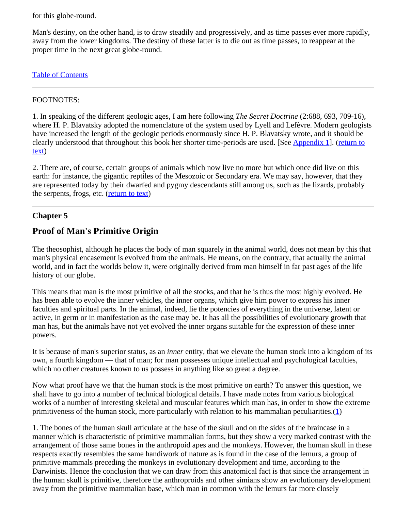for this globe-round.

Man's destiny, on the other hand, is to draw steadily and progressively, and as time passes ever more rapidly, away from the lower kingdoms. The destiny of these latter is to die out as time passes, to reappear at the proper time in the next great globe-round.

### [Table of Contents](#page-0-1)

### <span id="page-19-1"></span>FOOTNOTES:

1. In speaking of the different geologic ages, I am here following *The Secret Doctrine* (2:688, 693, 709-16), where H. P. Blavatsky adopted the nomenclature of the system used by Lyell and Lefèvre. Modern geologists have increased the length of the geologic periods enormously since H. P. Blavatsky wrote, and it should be clearly understood that throughout this book her shorter time-periods are used. [See [Appendix 1](#page-57-0)]. [\(return to](#page-15-0) [text](#page-15-0))

<span id="page-19-2"></span>2. There are, of course, certain groups of animals which now live no more but which once did live on this earth: for instance, the gigantic reptiles of the Mesozoic or Secondary era. We may say, however, that they are represented today by their dwarfed and pygmy descendants still among us, such as the lizards, probably the serpents, frogs, etc. [\(return to text](#page-18-0))

### <span id="page-19-0"></span>**Chapter 5**

# **Proof of Man's Primitive Origin**

The theosophist, although he places the body of man squarely in the animal world, does not mean by this that man's physical encasement is evolved from the animals. He means, on the contrary, that actually the animal world, and in fact the worlds below it, were originally derived from man himself in far past ages of the life history of our globe.

This means that man is the most primitive of all the stocks, and that he is thus the most highly evolved. He has been able to evolve the inner vehicles, the inner organs, which give him power to express his inner faculties and spiritual parts. In the animal, indeed, lie the potencies of everything in the universe, latent or active, in germ or in manifestation as the case may be. It has all the possibilities of evolutionary growth that man has, but the animals have not yet evolved the inner organs suitable for the expression of these inner powers.

It is because of man's superior status, as an *inner* entity, that we elevate the human stock into a kingdom of its own, a fourth kingdom — that of man; for man possesses unique intellectual and psychological faculties, which no other creatures known to us possess in anything like so great a degree.

Now what proof have we that the human stock is the most primitive on earth? To answer this question, we shall have to go into a number of technical biological details. I have made notes from various biological works of a number of interesting skeletal and muscular features which man has, in order to show the extreme primitiveness of the human stock, more particularly with relation to his mammalian peculiarities. $(1)$  $(1)$ 

<span id="page-19-3"></span>1. The bones of the human skull articulate at the base of the skull and on the sides of the braincase in a manner which is characteristic of primitive mammalian forms, but they show a very marked contrast with the arrangement of those same bones in the anthropoid apes and the monkeys. However, the human skull in these respects exactly resembles the same handiwork of nature as is found in the case of the lemurs, a group of primitive mammals preceding the monkeys in evolutionary development and time, according to the Darwinists. Hence the conclusion that we can draw from this anatomical fact is that since the arrangement in the human skull is primitive, therefore the anthroproids and other simians show an evolutionary development away from the primitive mammalian base, which man in common with the lemurs far more closely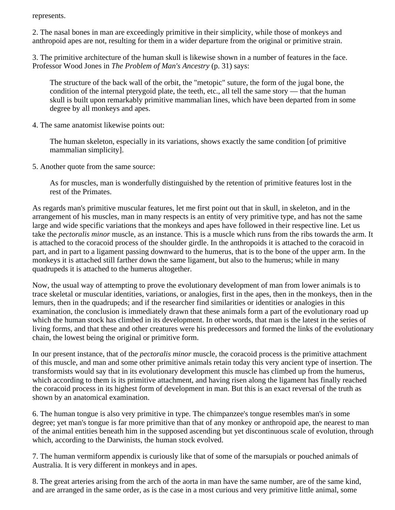represents.

2. The nasal bones in man are exceedingly primitive in their simplicity, while those of monkeys and anthropoid apes are not, resulting for them in a wider departure from the original or primitive strain.

3. The primitive architecture of the human skull is likewise shown in a number of features in the face. Professor Wood Jones in *The Problem of Man's Ancestry* (p. 31) says:

The structure of the back wall of the orbit, the "metopic" suture, the form of the jugal bone, the condition of the internal pterygoid plate, the teeth, etc., all tell the same story — that the human skull is built upon remarkably primitive mammalian lines, which have been departed from in some degree by all monkeys and apes.

4. The same anatomist likewise points out:

The human skeleton, especially in its variations, shows exactly the same condition [of primitive mammalian simplicity].

5. Another quote from the same source:

As for muscles, man is wonderfully distinguished by the retention of primitive features lost in the rest of the Primates.

As regards man's primitive muscular features, let me first point out that in skull, in skeleton, and in the arrangement of his muscles, man in many respects is an entity of very primitive type, and has not the same large and wide specific variations that the monkeys and apes have followed in their respective line. Let us take the *pectoralis minor* muscle, as an instance. This is a muscle which runs from the ribs towards the arm. It is attached to the coracoid process of the shoulder girdle. In the anthropoids it is attached to the coracoid in part, and in part to a ligament passing downward to the humerus, that is to the bone of the upper arm. In the monkeys it is attached still farther down the same ligament, but also to the humerus; while in many quadrupeds it is attached to the humerus altogether.

Now, the usual way of attempting to prove the evolutionary development of man from lower animals is to trace skeletal or muscular identities, variations, or analogies, first in the apes, then in the monkeys, then in the lemurs, then in the quadrupeds; and if the researcher find similarities or identities or analogies in this examination, the conclusion is immediately drawn that these animals form a part of the evolutionary road up which the human stock has climbed in its development. In other words, that man is the latest in the series of living forms, and that these and other creatures were his predecessors and formed the links of the evolutionary chain, the lowest being the original or primitive form.

In our present instance, that of the *pectoralis minor* muscle, the coracoid process is the primitive attachment of this muscle, and man and some other primitive animals retain today this very ancient type of insertion. The transformists would say that in its evolutionary development this muscle has climbed up from the humerus, which according to them is its primitive attachment, and having risen along the ligament has finally reached the coracoid process in its highest form of development in man. But this is an exact reversal of the truth as shown by an anatomical examination.

6. The human tongue is also very primitive in type. The chimpanzee's tongue resembles man's in some degree; yet man's tongue is far more primitive than that of any monkey or anthropoid ape, the nearest to man of the animal entities beneath him in the supposed ascending but yet discontinuous scale of evolution, through which, according to the Darwinists, the human stock evolved.

7. The human vermiform appendix is curiously like that of some of the marsupials or pouched animals of Australia. It is very different in monkeys and in apes.

8. The great arteries arising from the arch of the aorta in man have the same number, are of the same kind, and are arranged in the same order, as is the case in a most curious and very primitive little animal, some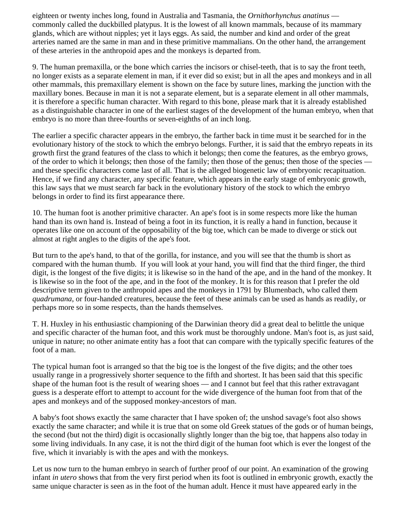eighteen or twenty inches long, found in Australia and Tasmania, the *Ornithorhynchus anatinus* commonly called the duckbilled platypus. It is the lowest of all known mammals, because of its mammary glands, which are without nipples; yet it lays eggs. As said, the number and kind and order of the great arteries named are the same in man and in these primitive mammalians. On the other hand, the arrangement of these arteries in the anthropoid apes and the monkeys is departed from.

9. The human premaxilla, or the bone which carries the incisors or chisel-teeth, that is to say the front teeth, no longer exists as a separate element in man, if it ever did so exist; but in all the apes and monkeys and in all other mammals, this premaxillary element is shown on the face by suture lines, marking the junction with the maxillary bones. Because in man it is not a separate element, but is a separate element in all other mammals, it is therefore a specific human character. With regard to this bone, please mark that it is already established as a distinguishable character in one of the earliest stages of the development of the human embryo, when that embryo is no more than three-fourths or seven-eighths of an inch long.

The earlier a specific character appears in the embryo, the farther back in time must it be searched for in the evolutionary history of the stock to which the embryo belongs. Further, it is said that the embryo repeats in its growth first the grand features of the class to which it belongs; then come the features, as the embryo grows, of the order to which it belongs; then those of the family; then those of the genus; then those of the species and these specific characters come last of all. That is the alleged biogenetic law of embryonic recapituation. Hence, if we find any character, any specific feature, which appears in the early stage of embryonic growth, this law says that we must search far back in the evolutionary history of the stock to which the embryo belongs in order to find its first appearance there.

10. The human foot is another primitive character. An ape's foot is in some respects more like the human hand than its own hand is. Instead of being a foot in its function, it is really a hand in function, because it operates like one on account of the opposability of the big toe, which can be made to diverge or stick out almost at right angles to the digits of the ape's foot.

But turn to the ape's hand, to that of the gorilla, for instance, and you will see that the thumb is short as compared with the human thumb. If you will look at your hand, you will find that the third finger, the third digit, is the longest of the five digits; it is likewise so in the hand of the ape, and in the hand of the monkey. It is likewise so in the foot of the ape, and in the foot of the monkey. It is for this reason that I prefer the old descriptive term given to the anthropoid apes and the monkeys in 1791 by Blumenbach, who called them *quadrumana*, or four-handed creatures, because the feet of these animals can be used as hands as readily, or perhaps more so in some respects, than the hands themselves.

T. H. Huxley in his enthusiastic championing of the Darwinian theory did a great deal to belittle the unique and specific character of the human foot, and this work must be thoroughly undone. Man's foot is, as just said, unique in nature; no other animate entity has a foot that can compare with the typically specific features of the foot of a man.

The typical human foot is arranged so that the big toe is the longest of the five digits; and the other toes usually range in a progressively shorter sequence to the fifth and shortest. It has been said that this specific shape of the human foot is the result of wearing shoes — and I cannot but feel that this rather extravagant guess is a desperate effort to attempt to account for the wide divergence of the human foot from that of the apes and monkeys and of the supposed monkey-ancestors of man.

A baby's foot shows exactly the same character that I have spoken of; the unshod savage's foot also shows exactly the same character; and while it is true that on some old Greek statues of the gods or of human beings, the second (but not the third) digit is occasionally slightly longer than the big toe, that happens also today in some living individuals. In any case, it is not the third digit of the human foot which is ever the longest of the five, which it invariably is with the apes and with the monkeys.

Let us now turn to the human embryo in search of further proof of our point. An examination of the growing infant *in utero* shows that from the very first period when its foot is outlined in embryonic growth, exactly the same unique character is seen as in the foot of the human adult. Hence it must have appeared early in the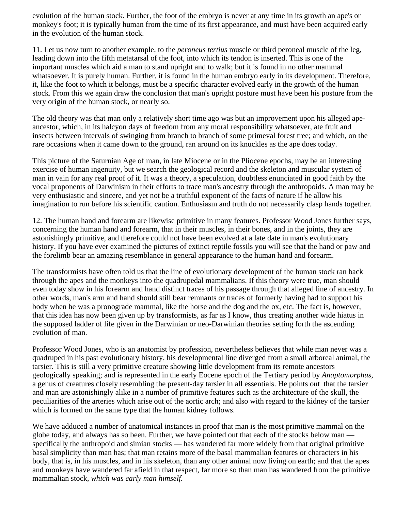evolution of the human stock. Further, the foot of the embryo is never at any time in its growth an ape's or monkey's foot; it is typically human from the time of its first appearance, and must have been acquired early in the evolution of the human stock.

11. Let us now turn to another example, to the *peroneus tertius* muscle or third peroneal muscle of the leg, leading down into the fifth metatarsal of the foot, into which its tendon is inserted. This is one of the important muscles which aid a man to stand upright and to walk; but it is found in no other mammal whatsoever. It is purely human. Further, it is found in the human embryo early in its development. Therefore, it, like the foot to which it belongs, must be a specific character evolved early in the growth of the human stock. From this we again draw the conclusion that man's upright posture must have been his posture from the very origin of the human stock, or nearly so.

The old theory was that man only a relatively short time ago was but an improvement upon his alleged apeancestor, which, in its halcyon days of freedom from any moral responsibility whatsoever, ate fruit and insects between intervals of swinging from branch to branch of some primeval forest tree; and which, on the rare occasions when it came down to the ground, ran around on its knuckles as the ape does today.

This picture of the Saturnian Age of man, in late Miocene or in the Pliocene epochs, may be an interesting exercise of human ingenuity, but we search the geological record and the skeleton and muscular system of man in vain for any real proof of it. It was a theory, a speculation, doubtless enunciated in good faith by the vocal proponents of Darwinism in their efforts to trace man's ancestry through the anthropoids. A man may be very enthusiastic and sincere, and yet not be a truthful exponent of the facts of nature if he allow his imagination to run before his scientific caution. Enthusiasm and truth do not necessarily clasp hands together.

12. The human hand and forearm are likewise primitive in many features. Professor Wood Jones further says, concerning the human hand and forearm, that in their muscles, in their bones, and in the joints, they are astonishingly primitive, and therefore could not have been evolved at a late date in man's evolutionary history. If you have ever examined the pictures of extinct reptile fossils you will see that the hand or paw and the forelimb bear an amazing resemblance in general appearance to the human hand and forearm.

The transformists have often told us that the line of evolutionary development of the human stock ran back through the apes and the monkeys into the quadrupedal mammalians. If this theory were true, man should even today show in his forearm and hand distinct traces of his passage through that alleged line of ancestry. In other words, man's arm and hand should still bear remnants or traces of formerly having had to support his body when he was a pronograde mammal, like the horse and the dog and the ox, etc. The fact is, however, that this idea has now been given up by transformists, as far as I know, thus creating another wide hiatus in the supposed ladder of life given in the Darwinian or neo-Darwinian theories setting forth the ascending evolution of man.

Professor Wood Jones, who is an anatomist by profession, nevertheless believes that while man never was a quadruped in his past evolutionary history, his developmental line diverged from a small arboreal animal, the tarsier. This is still a very primitive creature showing little development from its remote ancestors geologically speaking; and is represented in the early Eocene epoch of the Tertiary period by *Anaptomorphus,* a genus of creatures closely resembling the present-day tarsier in all essentials. He points out that the tarsier and man are astonishingly alike in a number of primitive features such as the architecture of the skull, the peculiarities of the arteries which arise out of the aortic arch; and also with regard to the kidney of the tarsier which is formed on the same type that the human kidney follows.

We have adduced a number of anatomical instances in proof that man is the most primitive mammal on the globe today, and always has so been. Further, we have pointed out that each of the stocks below man specifically the anthropoid and simian stocks — has wandered far more widely from that original primitive basal simplicity than man has; that man retains more of the basal mammalian features or characters in his body, that is, in his muscles, and in his skeleton, than any other animal now living on earth; and that the apes and monkeys have wandered far afield in that respect, far more so than man has wandered from the primitive mammalian stock, *which was early man himself.*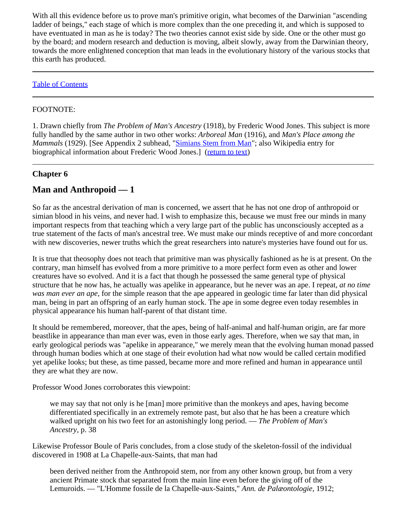With all this evidence before us to prove man's primitive origin, what becomes of the Darwinian "ascending" ladder of beings," each stage of which is more complex than the one preceding it, and which is supposed to have eventuated in man as he is today? The two theories cannot exist side by side. One or the other must go by the board; and modern research and deduction is moving, albeit slowly, away from the Darwinian theory, towards the more enlightened conception that man leads in the evolutionary history of the various stocks that this earth has produced.

### [Table of Contents](#page-0-1)

### <span id="page-23-1"></span>FOOTNOTE:

1. Drawn chiefly from *The Problem of Man's Ancestry* (1918), by Frederic Wood Jones. This subject is more fully handled by the same author in two other works: *Arboreal Man* (1916), and *Man's Place among the Mammals* (1929). [See Appendix 2 subhead, "**Simians Stem from Man**"; also Wikipedia entry for biographical information about Frederic Wood Jones.] [\(return to text](#page-19-3))

### <span id="page-23-0"></span>**Chapter 6**

## **Man and Anthropoid — 1**

So far as the ancestral derivation of man is concerned, we assert that he has not one drop of anthropoid or simian blood in his veins, and never had. I wish to emphasize this, because we must free our minds in many important respects from that teaching which a very large part of the public has unconsciously accepted as a true statement of the facts of man's ancestral tree. We must make our minds receptive of and more concordant with new discoveries, newer truths which the great researchers into nature's mysteries have found out for us.

It is true that theosophy does not teach that primitive man was physically fashioned as he is at present. On the contrary, man himself has evolved from a more primitive to a more perfect form even as other and lower creatures have so evolved. And it is a fact that though he possessed the same general type of physical structure that he now has, he actually was apelike in appearance, but he never was an ape. I repeat, *at no time was man ever an ape,* for the simple reason that the ape appeared in geologic time far later than did physical man, being in part an offspring of an early human stock. The ape in some degree even today resembles in physical appearance his human half-parent of that distant time.

It should be remembered, moreover, that the apes, being of half-animal and half-human origin, are far more beastlike in appearance than man ever was, even in those early ages. Therefore, when we say that man, in early geological periods was "apelike in appearance," we merely mean that the evolving human monad passed through human bodies which at one stage of their evolution had what now would be called certain modified yet apelike looks; but these, as time passed, became more and more refined and human in appearance until they are what they are now.

Professor Wood Jones corroborates this viewpoint:

we may say that not only is he [man] more primitive than the monkeys and apes, having become differentiated specifically in an extremely remote past, but also that he has been a creature which walked upright on his two feet for an astonishingly long period. — *The Problem of Man's Ancestry,* p. 38

Likewise Professor Boule of Paris concludes, from a close study of the skeleton-fossil of the individual discovered in 1908 at La Chapelle-aux-Saints, that man had

been derived neither from the Anthropoid stem, nor from any other known group, but from a very ancient Primate stock that separated from the main line even before the giving off of the Lemuroids. — "L'Homme fossile de la Chapelle-aux-Saints," *Ann. de Palæontologie,* 1912;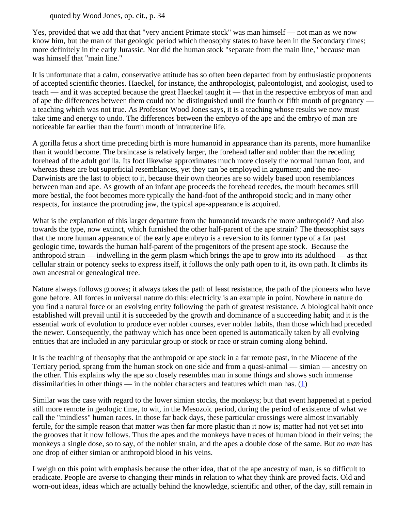quoted by Wood Jones, op. cit., p. 34

Yes, provided that we add that that "very ancient Primate stock" was man himself — not man as we now know him, but the man of that geologic period which theosophy states to have been in the Secondary times; more definitely in the early Jurassic. Nor did the human stock "separate from the main line," because man was himself that "main line."

It is unfortunate that a calm, conservative attitude has so often been departed from by enthusiastic proponents of accepted scientific theories. Haeckel, for instance, the anthropologist, paleontologist, and zoologist, used to teach — and it was accepted because the great Haeckel taught it — that in the respective embryos of man and of ape the differences between them could not be distinguished until the fourth or fifth month of pregnancy a teaching which was not true. As Professor Wood Jones says, it is a teaching whose results we now must take time and energy to undo. The differences between the embryo of the ape and the embryo of man are noticeable far earlier than the fourth month of intrauterine life.

A gorilla fetus a short time preceding birth is more humanoid in appearance than its parents, more humanlike than it would become. The braincase is relatively larger, the forehead taller and nobler than the receding forehead of the adult gorilla. Its foot likewise approximates much more closely the normal human foot, and whereas these are but superficial resemblances, yet they can be employed in argument; and the neo-Darwinists are the last to object to it, because their own theories are so widely based upon resemblances between man and ape. As growth of an infant ape proceeds the forehead recedes, the mouth becomes still more bestial, the foot becomes more typically the hand-foot of the anthropoid stock; and in many other respects, for instance the protruding jaw, the typical ape-appearance is acquired.

What is the explanation of this larger departure from the humanoid towards the more anthropoid? And also towards the type, now extinct, which furnished the other half-parent of the ape strain? The theosophist says that the more human appearance of the early ape embryo is a reversion to its former type of a far past geologic time, towards the human half-parent of the progenitors of the present ape stock. Because the anthropoid strain — indwelling in the germ plasm which brings the ape to grow into its adulthood — as that cellular strain or potency seeks to express itself, it follows the only path open to it, its own path. It climbs its own ancestral or genealogical tree.

Nature always follows grooves; it always takes the path of least resistance, the path of the pioneers who have gone before. All forces in universal nature do this: electricity is an example in point. Nowhere in nature do you find a natural force or an evolving entity following the path of greatest resistance. A biological habit once established will prevail until it is succeeded by the growth and dominance of a succeeding habit; and it is the essential work of evolution to produce ever nobler courses, ever nobler habits, than those which had preceded the newer. Consequently, the pathway which has once been opened is automatically taken by all evolving entities that are included in any particular group or stock or race or strain coming along behind.

It is the teaching of theosophy that the anthropoid or ape stock in a far remote past, in the Miocene of the Tertiary period, sprang from the human stock on one side and from a quasi-animal — simian — ancestry on the other. This explains why the ape so closely resembles man in some things and shows such immense dissimilarities in other things — in the nobler characters and features which man has. [\(1](#page-26-1))

<span id="page-24-0"></span>Similar was the case with regard to the lower simian stocks, the monkeys; but that event happened at a period still more remote in geologic time, to wit, in the Mesozoic period, during the period of existence of what we call the "mindless" human races. In those far back days, these particular crossings were almost invariably fertile, for the simple reason that matter was then far more plastic than it now is; matter had not yet set into the grooves that it now follows. Thus the apes and the monkeys have traces of human blood in their veins; the monkeys a single dose, so to say, of the nobler strain, and the apes a double dose of the same. But *no man* has one drop of either simian or anthropoid blood in his veins.

I weigh on this point with emphasis because the other idea, that of the ape ancestry of man, is so difficult to eradicate. People are averse to changing their minds in relation to what they think are proved facts. Old and worn-out ideas, ideas which are actually behind the knowledge, scientific and other, of the day, still remain in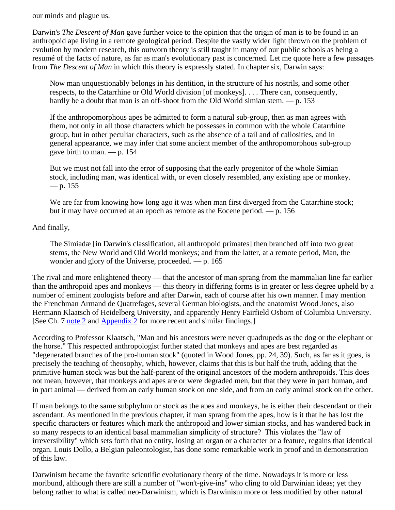our minds and plague us.

Darwin's *The Descent of Man* gave further voice to the opinion that the origin of man is to be found in an anthropoid ape living in a remote geological period. Despite the vastly wider light thrown on the problem of evolution by modern research, this outworn theory is still taught in many of our public schools as being a resumé of the facts of nature, as far as man's evolutionary past is concerned. Let me quote here a few passages from *The Descent of Man* in which this theory is expressly stated. In chapter six, Darwin says:

Now man unquestionably belongs in his dentition, in the structure of his nostrils, and some other respects, to the Catarrhine or Old World division [of monkeys]. . . . There can, consequently, hardly be a doubt that man is an off-shoot from the Old World simian stem. — p. 153

If the anthropomorphous apes be admitted to form a natural sub-group, then as man agrees with them, not only in all those characters which he possesses in common with the whole Catarrhine group, but in other peculiar characters, such as the absence of a tail and of callosities, and in general appearance, we may infer that some ancient member of the anthropomorphous sub-group gave birth to man. — p. 154

But we must not fall into the error of supposing that the early progenitor of the whole Simian stock, including man, was identical with, or even closely resembled, any existing ape or monkey.  $-$  p. 155

We are far from knowing how long ago it was when man first diverged from the Catarrhine stock; but it may have occurred at an epoch as remote as the Eocene period. — p. 156

### And finally,

The Simiadæ [in Darwin's classification, all anthropoid primates] then branched off into two great stems, the New World and Old World monkeys; and from the latter, at a remote period, Man, the wonder and glory of the Universe, proceeded. — p. 165

The rival and more enlightened theory — that the ancestor of man sprang from the mammalian line far earlier than the anthropoid apes and monkeys — this theory in differing forms is in greater or less degree upheld by a number of eminent zoologists before and after Darwin, each of course after his own manner. I may mention the Frenchman Armand de Quatrefages, several German biologists, and the anatomist Wood Jones, also Hermann Klaatsch of Heidelberg University, and apparently Henry Fairfield Osborn of Columbia University. [See Ch. 7 [note 2](#page-29-0) and [Appendix 2](#page-61-0) for more recent and similar findings.]

According to Professor Klaatsch, "Man and his ancestors were never quadrupeds as the dog or the elephant or the horse." This respected anthropologist further stated that monkeys and apes are best regarded as "degenerated branches of the pro-human stock" (quoted in Wood Jones, pp. 24, 39). Such, as far as it goes, is precisely the teaching of theosophy, which, however, claims that this is but half the truth, adding that the primitive human stock was but the half-parent of the original ancestors of the modern anthropoids. This does not mean, however, that monkeys and apes are or were degraded men, but that they were in part human, and in part animal — derived from an early human stock on one side, and from an early animal stock on the other.

If man belongs to the same subphylum or stock as the apes and monkeys, he is either their descendant or their ascendant. As mentioned in the previous chapter, if man sprang from the apes, how is it that he has lost the specific characters or features which mark the anthropoid and lower simian stocks, and has wandered back in so many respects to an identical basal mammalian simplicity of structure? This violates the "law of irreversibility" which sets forth that no entity, losing an organ or a character or a feature, regains that identical organ. Louis Dollo, a Belgian paleontologist, has done some remarkable work in proof and in demonstration of this law.

Darwinism became the favorite scientific evolutionary theory of the time. Nowadays it is more or less moribund, although there are still a number of "won't-give-ins" who cling to old Darwinian ideas; yet they belong rather to what is called neo-Darwinism, which is Darwinism more or less modified by other natural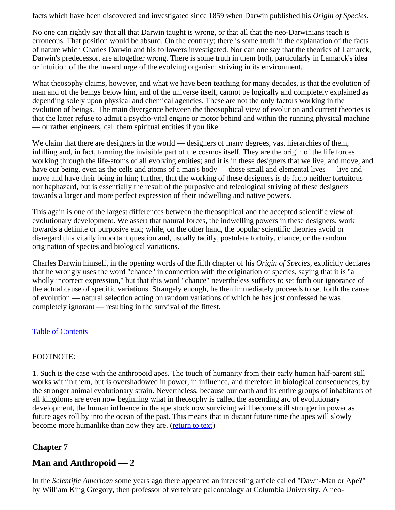facts which have been discovered and investigated since 1859 when Darwin published his *Origin of Species.*

No one can rightly say that all that Darwin taught is wrong, or that all that the neo-Darwinians teach is erroneous. That position would be absurd. On the contrary; there is some truth in the explanation of the facts of nature which Charles Darwin and his followers investigated. Nor can one say that the theories of Lamarck, Darwin's predecessor, are altogether wrong. There is some truth in them both, particularly in Lamarck's idea or intuition of the the inward urge of the evolving organism striving in its environment.

What theosophy claims, however, and what we have been teaching for many decades, is that the evolution of man and of the beings below him, and of the universe itself, cannot be logically and completely explained as depending solely upon physical and chemical agencies. These are not the only factors working in the evolution of beings. The main divergence between the theosophical view of evolution and current theories is that the latter refuse to admit a psycho-vital engine or motor behind and within the running physical machine — or rather engineers, call them spiritual entities if you like.

We claim that there are designers in the world — designers of many degrees, vast hierarchies of them, infilling and, in fact, forming the invisible part of the cosmos itself. They are the origin of the life forces working through the life-atoms of all evolving entities; and it is in these designers that we live, and move, and have our being, even as the cells and atoms of a man's body — those small and elemental lives — live and move and have their being in him; further, that the working of these designers is de facto neither fortuitous nor haphazard, but is essentially the result of the purposive and teleological striving of these designers towards a larger and more perfect expression of their indwelling and native powers.

This again is one of the largest differences between the theosophical and the accepted scientific view of evolutionary development. We assert that natural forces, the indwelling powers in these designers, work towards a definite or purposive end; while, on the other hand, the popular scientific theories avoid or disregard this vitally important question and, usually tacitly, postulate fortuity, chance, or the random origination of species and biological variations.

Charles Darwin himself, in the opening words of the fifth chapter of his *Origin of Species,* explicitly declares that he wrongly uses the word "chance" in connection with the origination of species, saying that it is "a wholly incorrect expression," but that this word "chance" nevertheless suffices to set forth our ignorance of the actual cause of specific variations. Strangely enough, he then immediately proceeds to set forth the cause of evolution — natural selection acting on random variations of which he has just confessed he was completely ignorant — resulting in the survival of the fittest.

#### [Table of Contents](#page-0-1)

#### <span id="page-26-1"></span>FOOTNOTE:

1. Such is the case with the anthropoid apes. The touch of humanity from their early human half-parent still works within them, but is overshadowed in power, in influence, and therefore in biological consequences, by the stronger animal evolutionary strain. Nevertheless, because our earth and its entire groups of inhabitants of all kingdoms are even now beginning what in theosophy is called the ascending arc of evolutionary development, the human influence in the ape stock now surviving will become still stronger in power as future ages roll by into the ocean of the past. This means that in distant future time the apes will slowly become more humanlike than now they are. [\(return to text](#page-24-0))

### <span id="page-26-0"></span>**Chapter 7**

### **Man and Anthropoid — 2**

In the *Scientific American* some years ago there appeared an interesting article called "Dawn-Man or Ape?" by William King Gregory, then professor of vertebrate paleontology at Columbia University. A neo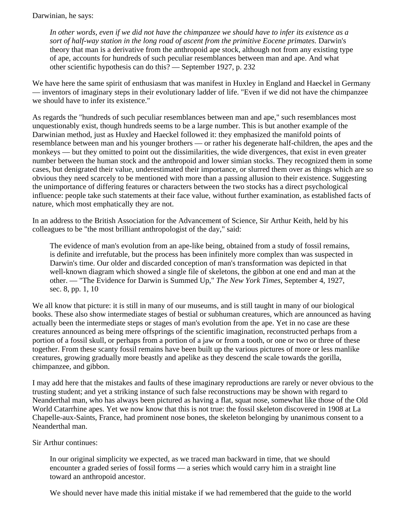Darwinian, he says:

*In other words, even if we did not have the chimpanzee we should have to infer its existence as a sort of half-way station in the long road of ascent from the primitive Eocene primates.* Darwin's theory that man is a derivative from the anthropoid ape stock, although not from any existing type of ape, accounts for hundreds of such peculiar resemblances between man and ape. And what other scientific hypothesis can do this? — September 1927, p. 232

We have here the same spirit of enthusiasm that was manifest in Huxley in England and Haeckel in Germany — inventors of imaginary steps in their evolutionary ladder of life. "Even if we did not have the chimpanzee we should have to infer its existence."

As regards the "hundreds of such peculiar resemblances between man and ape," such resemblances most unquestionably exist, though hundreds seems to be a large number. This is but another example of the Darwinian method, just as Huxley and Haeckel followed it: they emphasized the manifold points of resemblance between man and his younger brothers — or rather his degenerate half-children, the apes and the monkeys — but they omitted to point out the dissimilarities, the wide divergences, that exist in even greater number between the human stock and the anthropoid and lower simian stocks. They recognized them in some cases, but denigrated their value, underestimated their importance, or slurred them over as things which are so obvious they need scarcely to be mentioned with more than a passing allusion to their existence. Suggesting the unimportance of differing features or characters between the two stocks has a direct psychological influence: people take such statements at their face value, without further examination, as established facts of nature, which most emphatically they are not.

In an address to the British Association for the Advancement of Science, Sir Arthur Keith, held by his colleagues to be "the most brilliant anthropologist of the day," said:

The evidence of man's evolution from an ape-like being, obtained from a study of fossil remains, is definite and irrefutable, but the process has been infinitely more complex than was suspected in Darwin's time. Our older and discarded conception of man's transformation was depicted in that well-known diagram which showed a single file of skeletons, the gibbon at one end and man at the other. — "The Evidence for Darwin is Summed Up," *The New York Times*, September 4, 1927, sec. 8, pp. 1, 10

We all know that picture: it is still in many of our museums, and is still taught in many of our biological books. These also show intermediate stages of bestial or subhuman creatures, which are announced as having actually been the intermediate steps or stages of man's evolution from the ape. Yet in no case are these creatures announced as being mere offsprings of the scientific imagination, reconstructed perhaps from a portion of a fossil skull, or perhaps from a portion of a jaw or from a tooth, or one or two or three of these together. From these scanty fossil remains have been built up the various pictures of more or less manlike creatures, growing gradually more beastly and apelike as they descend the scale towards the gorilla, chimpanzee, and gibbon.

I may add here that the mistakes and faults of these imaginary reproductions are rarely or never obvious to the trusting student; and yet a striking instance of such false reconstructions may be shown with regard to Neanderthal man, who has always been pictured as having a flat, squat nose, somewhat like those of the Old World Catarrhine apes. Yet we now know that this is not true: the fossil skeleton discovered in 1908 at La Chapelle-aux-Saints, France, had prominent nose bones, the skeleton belonging by unanimous consent to a Neanderthal man.

Sir Arthur continues:

In our original simplicity we expected, as we traced man backward in time, that we should encounter a graded series of fossil forms — a series which would carry him in a straight line toward an anthropoid ancestor.

We should never have made this initial mistake if we had remembered that the guide to the world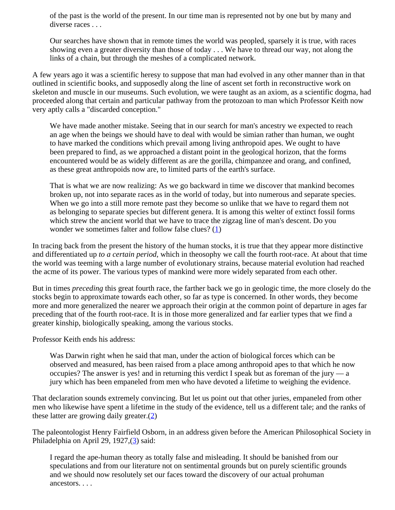of the past is the world of the present. In our time man is represented not by one but by many and diverse races . . .

Our searches have shown that in remote times the world was peopled, sparsely it is true, with races showing even a greater diversity than those of today . . . We have to thread our way, not along the links of a chain, but through the meshes of a complicated network.

A few years ago it was a scientific heresy to suppose that man had evolved in any other manner than in that outlined in scientific books, and supposedly along the line of ascent set forth in reconstructive work on skeleton and muscle in our museums. Such evolution, we were taught as an axiom, as a scientific dogma, had proceeded along that certain and particular pathway from the protozoan to man which Professor Keith now very aptly calls a "discarded conception."

We have made another mistake. Seeing that in our search for man's ancestry we expected to reach an age when the beings we should have to deal with would be simian rather than human, we ought to have marked the conditions which prevail among living anthropoid apes. We ought to have been prepared to find, as we approached a distant point in the geological horizon, that the forms encountered would be as widely different as are the gorilla, chimpanzee and orang, and confined, as these great anthropoids now are, to limited parts of the earth's surface.

That is what we are now realizing: As we go backward in time we discover that mankind becomes broken up, not into separate races as in the world of today, but into numerous and separate species. When we go into a still more remote past they become so unlike that we have to regard them not as belonging to separate species but different genera. It is among this welter of extinct fossil forms which strew the ancient world that we have to trace the zigzag line of man's descent. Do you wonder we sometimes falter and follow false clues? [\(1](#page-29-1))

<span id="page-28-0"></span>In tracing back from the present the history of the human stocks, it is true that they appear more distinctive and differentiated up *to a certain period,* which in theosophy we call the fourth root-race. At about that time the world was teeming with a large number of evolutionary strains, because material evolution had reached the acme of its power. The various types of mankind were more widely separated from each other.

But in times *preceding* this great fourth race, the farther back we go in geologic time, the more closely do the stocks begin to approximate towards each other, so far as type is concerned. In other words, they become more and more generalized the nearer we approach their origin at the common point of departure in ages far preceding that of the fourth root-race. It is in those more generalized and far earlier types that we find a greater kinship, biologically speaking, among the various stocks.

Professor Keith ends his address:

Was Darwin right when he said that man, under the action of biological forces which can be observed and measured, has been raised from a place among anthropoid apes to that which he now occupies? The answer is yes! and in returning this verdict I speak but as foreman of the jury — a jury which has been empaneled from men who have devoted a lifetime to weighing the evidence.

That declaration sounds extremely convincing. But let us point out that other juries, empaneled from other men who likewise have spent a lifetime in the study of the evidence, tell us a different tale; and the ranks of these latter are growing daily greater.[\(2](#page-29-0))

<span id="page-28-2"></span><span id="page-28-1"></span>The paleontologist Henry Fairfield Osborn, in an address given before the American Philosophical Society in Philadelphia on April 29, 1927,([3\)](#page-29-2) said:

I regard the ape-human theory as totally false and misleading. It should be banished from our speculations and from our literature not on sentimental grounds but on purely scientific grounds and we should now resolutely set our faces toward the discovery of our actual prohuman ancestors. . . .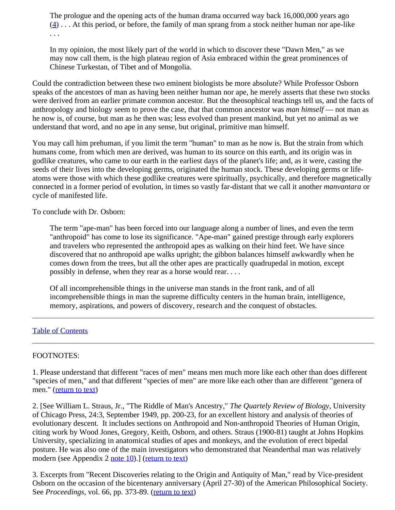<span id="page-29-3"></span>The prologue and the opening acts of the human drama occurred way back 16,000,000 years ago  $(4)$  $(4)$ ... At this period, or before, the family of man sprang from a stock neither human nor ape-like . . .

In my opinion, the most likely part of the world in which to discover these "Dawn Men," as we may now call them, is the high plateau region of Asia embraced within the great prominences of Chinese Turkestan, of Tibet and of Mongolia.

Could the contradiction between these two eminent biologists be more absolute? While Professor Osborn speaks of the ancestors of man as having been neither human nor ape, he merely asserts that these two stocks were derived from an earlier primate common ancestor. But the theosophical teachings tell us, and the facts of anthropology and biology seem to prove the case, that that common ancestor was *man himself* — not man as he now is, of course, but man as he then was; less evolved than present mankind, but yet no animal as we understand that word, and no ape in any sense, but original, primitive man himself.

You may call him prehuman, if you limit the term "human" to man as he now is. But the strain from which humans come, from which men are derived, was human to its source on this earth, and its origin was in godlike creatures, who came to our earth in the earliest days of the planet's life; and, as it were, casting the seeds of their lives into the developing germs, originated the human stock. These developing germs or lifeatoms were those with which these godlike creatures were spiritually, psychically, and therefore magnetically connected in a former period of evolution, in times so vastly far-distant that we call it another *manvantara* or cycle of manifested life.

To conclude with Dr. Osborn:

The term "ape-man" has been forced into our language along a number of lines, and even the term "anthropoid" has come to lose its significance. "Ape-man" gained prestige through early explorers and travelers who represented the anthropoid apes as walking on their hind feet. We have since discovered that no anthropoid ape walks upright; the gibbon balances himself awkwardly when he comes down from the trees, but all the other apes are practically quadrupedal in motion, except possibly in defense, when they rear as a horse would rear. . . .

Of all incomprehensible things in the universe man stands in the front rank, and of all incomprehensible things in man the supreme difficulty centers in the human brain, intelligence, memory, aspirations, and powers of discovery, research and the conquest of obstacles.

#### [Table of Contents](#page-0-1)

### <span id="page-29-1"></span>FOOTNOTES:

1. Please understand that different "races of men" means men much more like each other than does different "species of men," and that different "species of men" are more like each other than are different "genera of men." ([return to text](#page-28-0))

<span id="page-29-0"></span>2. [See William L. Straus, Jr., "The Riddle of Man's Ancestry," *The Quartely Review of Biology*, University of Chicago Press, 24:3, September 1949, pp. 200-23, for an excellent history and analysis of theories of evolutionary descent. It includes sections on Anthropoid and Non-anthropoid Theories of Human Origin, citing work by Wood Jones, Gregory, Keith, Osborn, and others. Straus (1900-81) taught at Johns Hopkins University, specializing in anatomical studies of apes and monkeys, and the evolution of erect bipedal posture. He was also one of the main investigators who demonstrated that Neanderthal man was relatively modern (see Appendix 2 [note 10](#page-74-0)).] [\(return to text](#page-28-1))

<span id="page-29-2"></span>3. Excerpts from "Recent Discoveries relating to the Origin and Antiquity of Man," read by Vice-president Osborn on the occasion of the bicentenary anniversary (April 27-30) of the American Philosophical Society. See *Proceedings*, vol. 66, pp. 373-89. ([return to text\)](#page-28-2)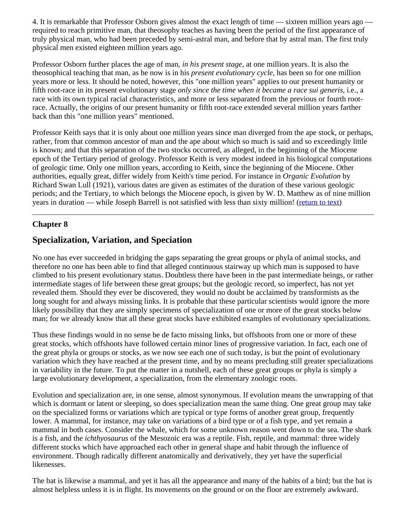<span id="page-30-1"></span>4. It is remarkable that Professor Osborn gives almost the exact length of time — sixteen million years ago required to reach primitive man, that theosophy teaches as having been the period of the first appearance of truly physical man, who had been preceded by semi-astral man, and before that by astral man. The first truly physical men existed eighteen million years ago.

Professor Osborn further places the age of man, *in his present stage,* at one million years. It is also the theosophical teaching that man, as he now is in his *present evolutionary cycle,* has been so for one million years more or less. It should be noted, however, this "one million years" applies to our present humanity or fifth root-race in its present evolutionary stage *only since the time when it became a race sui generis*, i.e., a race with its own typical racial characteristics, and more or less separated from the previous or fourth rootrace. Actually, the origins of our present humanity or fifth root-race extended several million years farther back than this "one million years" mentioned.

Professor Keith says that it is only about one million years since man diverged from the ape stock, or perhaps, rather, from that common ancestor of man and the ape about which so much is said and so exceedingly little is known; and that this separation of the two stocks occurred, as alleged, in the beginning of the Miocene epoch of the Tertiary period of geology. Professor Keith is very modest indeed in his biological computations of geologic time. Only one million years, according to Keith, since the beginning of the Miocene. Other authorities, equally great, differ widely from Keith's time period. For instance in *Organic Evolution* by Richard Swan Lull (1921), various dates are given as estimates of the duration of these various geologic periods; and the Tertiary, to which belongs the Miocene epoch, is given by W. D. Matthew as of nine million years in duration — while Joseph Barrell is not satisfied with less than sixty million! ([return to text](#page-29-3))

# <span id="page-30-0"></span>**Chapter 8**

# **Specialization, Variation, and Speciation**

No one has ever succeeded in bridging the gaps separating the great groups or phyla of animal stocks, and therefore no one has been able to find that alleged continuous stairway up which man is supposed to have climbed to his present evolutionary status. Doubtless there have been in the past intermediate beings, or rather intermediate stages of life between these great groups; but the geologic record, so imperfect, has not yet revealed them. Should they ever be discovered, they would no doubt be acclaimed by transformists as the long sought for and always missing links. It is probable that these particular scientists would ignore the more likely possibility that they are simply specimens of specialization of one or more of the great stocks below man; for we already know that all these great stocks have exhibited examples of evolutionary specializations.

Thus these findings would in no sense be de facto missing links, but offshoots from one or more of these great stocks, which offshoots have followed certain minor lines of progressive variation. In fact, each one of the great phyla or groups or stocks, as we now see each one of such today, is but the point of evolutionary variation which they have reached at the present time, and by no means precluding still greater specializations in variability in the future. To put the matter in a nutshell, each of these great groups or phyla is simply a large evolutionary development, a specialization, from the elementary zoologic roots.

Evolution and specialization are, in one sense, almost synonymous. If evolution means the unwrapping of that which is dormant or latent or sleeping, so does specialization mean the same thing. One great group may take on the specialized forms or variations which are typical or type forms of another great group, frequently lower. A mammal, for instance, may take on variations of a bird type or of a fish type, and yet remain a mammal in both cases. Consider the whale, which for some unknown reason went down to the sea. The shark is a fish, and the *ichthyosaurus* of the Mesozoic era was a reptile. Fish, reptile, and mammal: three widely different stocks which have approached each other in general shape and habit through the influence of environment. Though radically different anatomically and derivatively, they yet have the superficial likenesses.

The bat is likewise a mammal, and yet it has all the appearance and many of the habits of a bird; but the bat is almost helpless unless it is in flight. Its movements on the ground or on the floor are extremely awkward.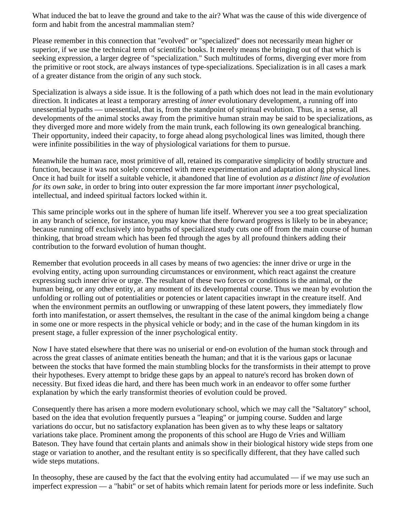What induced the bat to leave the ground and take to the air? What was the cause of this wide divergence of form and habit from the ancestral mammalian stem?

Please remember in this connection that "evolved" or "specialized" does not necessarily mean higher or superior, if we use the technical term of scientific books. It merely means the bringing out of that which is seeking expression, a larger degree of "specialization." Such multitudes of forms, diverging ever more from the primitive or root stock, are always instances of type-specializations. Specialization is in all cases a mark of a greater distance from the origin of any such stock.

Specialization is always a side issue. It is the following of a path which does not lead in the main evolutionary direction. It indicates at least a temporary arresting of *inner* evolutionary development, a running off into unessential bypaths — unessential, that is, from the standpoint of spiritual evolution. Thus, in a sense, all developments of the animal stocks away from the primitive human strain may be said to be specializations, as they diverged more and more widely from the main trunk, each following its own genealogical branching. Their opportunity, indeed their capacity, to forge ahead along psychological lines was limited, though there were infinite possibilities in the way of physiological variations for them to pursue.

Meanwhile the human race, most primitive of all, retained its comparative simplicity of bodily structure and function, because it was not solely concerned with mere experimentation and adaptation along physical lines. Once it had built for itself a suitable vehicle, it abandoned that line of evolution *as a distinct line of evolution for its own sake,* in order to bring into outer expression the far more important *inner* psychological, intellectual, and indeed spiritual factors locked within it.

This same principle works out in the sphere of human life itself. Wherever you see a too great specialization in any branch of science, for instance, you may know that there forward progress is likely to be in abeyance; because running off exclusively into bypaths of specialized study cuts one off from the main course of human thinking, that broad stream which has been fed through the ages by all profound thinkers adding their contribution to the forward evolution of human thought.

Remember that evolution proceeds in all cases by means of two agencies: the inner drive or urge in the evolving entity, acting upon surrounding circumstances or environment, which react against the creature expressing such inner drive or urge. The resultant of these two forces or conditions is the animal, or the human being, or any other entity, at any moment of its developmental course. Thus we mean by evolution the unfolding or rolling out of potentialities or potencies or latent capacities inwrapt in the creature itself. And when the environment permits an outflowing or unwrapping of these latent powers, they immediately flow forth into manifestation, or assert themselves, the resultant in the case of the animal kingdom being a change in some one or more respects in the physical vehicle or body; and in the case of the human kingdom in its present stage, a fuller expression of the inner psychological entity.

Now I have stated elsewhere that there was no uniserial or end-on evolution of the human stock through and across the great classes of animate entities beneath the human; and that it is the various gaps or lacunae between the stocks that have formed the main stumbling blocks for the transformists in their attempt to prove their hypotheses. Every attempt to bridge these gaps by an appeal to nature's record has broken down of necessity. But fixed ideas die hard, and there has been much work in an endeavor to offer some further explanation by which the early transformist theories of evolution could be proved.

Consequently there has arisen a more modern evolutionary school, which we may call the "Saltatory" school, based on the idea that evolution frequently pursues a "leaping" or jumping course. Sudden and large variations do occur, but no satisfactory explanation has been given as to why these leaps or saltatory variations take place. Prominent among the proponents of this school are Hugo de Vries and William Bateson. They have found that certain plants and animals show in their biological history wide steps from one stage or variation to another, and the resultant entity is so specifically different, that they have called such wide steps mutations.

In theosophy, these are caused by the fact that the evolving entity had accumulated — if we may use such an imperfect expression — a "habit" or set of habits which remain latent for periods more or less indefinite. Such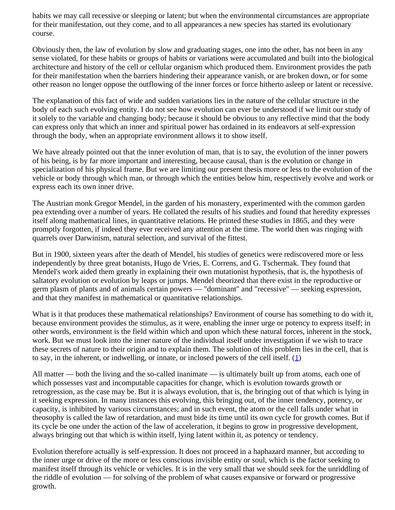habits we may call recessive or sleeping or latent; but when the environmental circumstances are appropriate for their manifestation, out they come, and to all appearances a new species has started its evolutionary course.

Obviously then, the law of evolution by slow and graduating stages, one into the other, has not been in any sense violated, for these habits or groups of habits or variations were accumulated and built into the biological architecture and history of the cell or cellular organism which produced them. Environment provides the path for their manifestation when the barriers hindering their appearance vanish, or are broken down, or for some other reason no longer oppose the outflowing of the inner forces or force hitherto asleep or latent or recessive.

The explanation of this fact of wide and sudden variations lies in the nature of the cellular structure in the body of each such evolving entity. I do not see how evolution can ever be understood if we limit our study of it solely to the variable and changing body; because it should be obvious to any reflective mind that the body can express only that which an inner and spiritual power has ordained in its endeavors at self-expression through the body, when an appropriate environment allows it to show itself.

We have already pointed out that the inner evolution of man, that is to say, the evolution of the inner powers of his being, is by far more important and interesting, because causal, than is the evolution or change in specialization of his physical frame. But we are limiting our present thesis more or less to the evolution of the vehicle or body through which man, or through which the entities below him, respectively evolve and work or express each its own inner drive.

The Austrian monk Gregor Mendel, in the garden of his monastery, experimented with the common garden pea extending over a number of years. He collated the results of his studies and found that heredity expresses itself along mathematical lines, in quantitative relations. He printed these studies in 1865, and they were promptly forgotten, if indeed they ever received any attention at the time. The world then was ringing with quarrels over Darwinism, natural selection, and survival of the fittest.

But in 1900, sixteen years after the death of Mendel, his studies of genetics were rediscovered more or less independently by three great botanists, Hugo de Vries, E. Correns, and G. Tschermak. They found that Mendel's work aided them greatly in explaining their own mutationist hypothesis, that is, the hypothesis of saltatory evolution or evolution by leaps or jumps. Mendel theorized that there exist in the reproductive or germ plasm of plants and of animals certain powers — "dominant" and "recessive" — seeking expression, and that they manifest in mathematical or quantitative relationships.

What is it that produces these mathematical relationships? Environment of course has something to do with it, because environment provides the stimulus, as it were, enabling the inner urge or potency to express itself; in other words, environment is the field within which and upon which these natural forces, inherent in the stock, work. But we must look into the inner nature of the individual itself under investigation if we wish to trace these secrets of nature to their origin and to explain them. The solution of this problem lies in the cell, that is to say, in the inherent, or indwelling, or innate, or inclosed powers of the cell itself.  $(1)$  $(1)$ 

<span id="page-32-0"></span>All matter — both the living and the so-called inanimate — is ultimately built up from atoms, each one of which possesses vast and incomputable capacities for change, which is evolution towards growth or retrogression, as the case may be. But it is always evolution, that is, the bringing out of that which is lying in it seeking expression. In many instances this evolving, this bringing out, of the inner tendency, potency, or capacity, is inhibited by various circumstances; and in such event, the atom or the cell falls under what in theosophy is called the law of retardation, and must bide its time until its own cycle for growth comes. But if its cycle be one under the action of the law of acceleration, it begins to grow in progressive development, always bringing out that which is within itself, lying latent within it, as potency or tendency.

Evolution therefore actually is self-expression. It does not proceed in a haphazard manner, but according to the inner urge or drive of the more or less conscious invisible entity or soul, which is the factor seeking to manifest itself through its vehicle or vehicles. It is in the very small that we should seek for the unriddling of the riddle of evolution — for solving of the problem of what causes expansive or forward or progressive growth.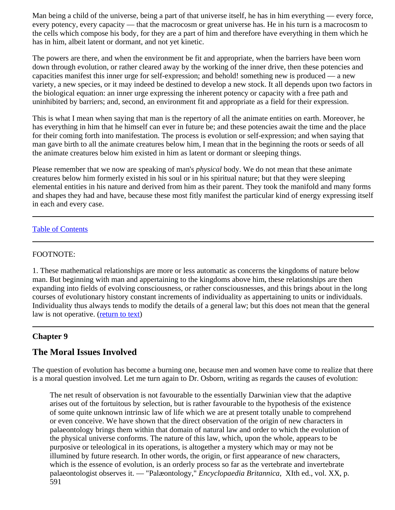Man being a child of the universe, being a part of that universe itself, he has in him everything — every force, every potency, every capacity — that the macrocosm or great universe has. He in his turn is a macrocosm to the cells which compose his body, for they are a part of him and therefore have everything in them which he has in him, albeit latent or dormant, and not yet kinetic.

The powers are there, and when the environment be fit and appropriate, when the barriers have been worn down through evolution, or rather cleared away by the working of the inner drive, then these potencies and capacities manifest this inner urge for self-expression; and behold! something new is produced — a new variety, a new species, or it may indeed be destined to develop a new stock. It all depends upon two factors in the biological equation: an inner urge expressing the inherent potency or capacity with a free path and uninhibited by barriers; and, second, an environment fit and appropriate as a field for their expression.

This is what I mean when saying that man is the repertory of all the animate entities on earth. Moreover, he has everything in him that he himself can ever in future be; and these potencies await the time and the place for their coming forth into manifestation. The process is evolution or self-expression; and when saying that man gave birth to all the animate creatures below him, I mean that in the beginning the roots or seeds of all the animate creatures below him existed in him as latent or dormant or sleeping things.

Please remember that we now are speaking of man's *physical* body. We do not mean that these animate creatures below him formerly existed in his soul or in his spiritual nature; but that they were sleeping elemental entities in his nature and derived from him as their parent. They took the manifold and many forms and shapes they had and have, because these most fitly manifest the particular kind of energy expressing itself in each and every case.

### [Table of Contents](#page-0-1)

#### <span id="page-33-1"></span>FOOTNOTE:

1. These mathematical relationships are more or less automatic as concerns the kingdoms of nature below man. But beginning with man and appertaining to the kingdoms above him, these relationships are then expanding into fields of evolving consciousness, or rather consciousnesses, and this brings about in the long courses of evolutionary history constant increments of individuality as appertaining to units or individuals. Individuality thus always tends to modify the details of a general law; but this does not mean that the general law is not operative. ([return to text\)](#page-32-0)

### <span id="page-33-0"></span>**Chapter 9**

# **The Moral Issues Involved**

The question of evolution has become a burning one, because men and women have come to realize that there is a moral question involved. Let me turn again to Dr. Osborn, writing as regards the causes of evolution:

The net result of observation is not favourable to the essentially Darwinian view that the adaptive arises out of the fortuitous by selection, but is rather favourable to the hypothesis of the existence of some quite unknown intrinsic law of life which we are at present totally unable to comprehend or even conceive. We have shown that the direct observation of the origin of new characters in palaeontology brings them within that domain of natural law and order to which the evolution of the physical universe conforms. The nature of this law, which, upon the whole, appears to be purposive or teleological in its operations, is altogether a mystery which may or may not be illumined by future research. In other words, the origin, or first appearance of new characters, which is the essence of evolution, is an orderly process so far as the vertebrate and invertebrate palaeontologist observes it. — "Palæontology," *Encyclopaedia Britannica*, XIth ed., vol. XX, p. 591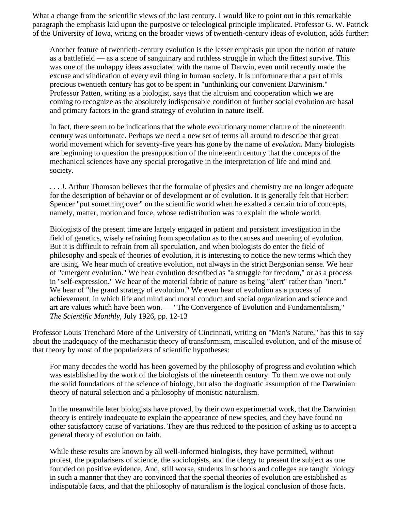What a change from the scientific views of the last century. I would like to point out in this remarkable paragraph the emphasis laid upon the purposive or teleological principle implicated. Professor G. W. Patrick of the University of Iowa, writing on the broader views of twentieth-century ideas of evolution, adds further:

Another feature of twentieth-century evolution is the lesser emphasis put upon the notion of nature as a battlefield — as a scene of sanguinary and ruthless struggle in which the fittest survive. This was one of the unhappy ideas associated with the name of Darwin, even until recently made the excuse and vindication of every evil thing in human society. It is unfortunate that a part of this precious twentieth century has got to be spent in "unthinking our convenient Darwinism." Professor Patten, writing as a biologist, says that the altruism and cooperation which we are coming to recognize as the absolutely indispensable condition of further social evolution are basal and primary factors in the grand strategy of evolution in nature itself.

In fact, there seem to be indications that the whole evolutionary nomenclature of the nineteenth century was unfortunate. Perhaps we need a new set of terms all around to describe that great world movement which for seventy-five years has gone by the name of *evolution.* Many biologists are beginning to question the presupposition of the nineteenth century that the concepts of the mechanical sciences have any special prerogative in the interpretation of life and mind and society.

. . . J. Arthur Thomson believes that the formulae of physics and chemistry are no longer adequate for the description of behavior or of development or of evolution. It is generally felt that Herbert Spencer "put something over" on the scientific world when he exalted a certain trio of concepts, namely, matter, motion and force, whose redistribution was to explain the whole world.

Biologists of the present time are largely engaged in patient and persistent investigation in the field of genetics, wisely refraining from speculation as to the causes and meaning of evolution. But it is difficult to refrain from all speculation, and when biologists do enter the field of philosophy and speak of theories of evolution, it is interesting to notice the new terms which they are using. We hear much of creative evolution, not always in the strict Bergsonian sense. We hear of "emergent evolution." We hear evolution described as "a struggle for freedom," or as a process in "self-expression." We hear of the material fabric of nature as being "alert" rather than "inert." We hear of "the grand strategy of evolution." We even hear of evolution as a process of achievement, in which life and mind and moral conduct and social organization and science and art are values which have been won. — "The Convergence of Evolution and Fundamentalism," *The Scientific Monthly*, July 1926, pp. 12-13

Professor Louis Trenchard More of the University of Cincinnati, writing on "Man's Nature," has this to say about the inadequacy of the mechanistic theory of transformism, miscalled evolution, and of the misuse of that theory by most of the popularizers of scientific hypotheses:

For many decades the world has been governed by the philosophy of progress and evolution which was established by the work of the biologists of the nineteenth century. To them we owe not only the solid foundations of the science of biology, but also the dogmatic assumption of the Darwinian theory of natural selection and a philosophy of monistic naturalism.

In the meanwhile later biologists have proved, by their own experimental work, that the Darwinian theory is entirely inadequate to explain the appearance of new species, and they have found no other satisfactory cause of variations. They are thus reduced to the position of asking us to accept a general theory of evolution on faith.

While these results are known by all well-informed biologists, they have permitted, without protest, the popularisers of science, the sociologists, and the clergy to present the subject as one founded on positive evidence. And, still worse, students in schools and colleges are taught biology in such a manner that they are convinced that the special theories of evolution are established as indisputable facts, and that the philosophy of naturalism is the logical conclusion of those facts.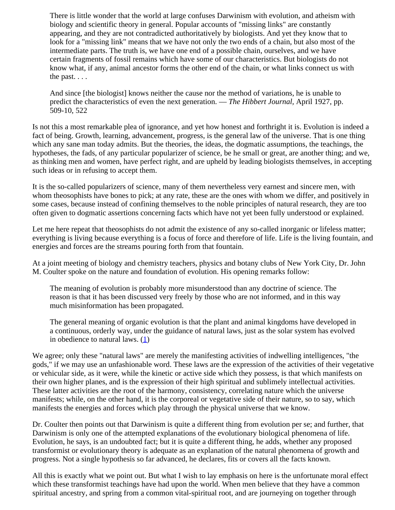There is little wonder that the world at large confuses Darwinism with evolution, and atheism with biology and scientific theory in general. Popular accounts of "missing links" are constantly appearing, and they are not contradicted authoritatively by biologists. And yet they know that to look for a "missing link" means that we have not only the two ends of a chain, but also most of the intermediate parts. The truth is, we have one end of a possible chain, ourselves, and we have certain fragments of fossil remains which have some of our characteristics. But biologists do not know what, if any, animal ancestor forms the other end of the chain, or what links connect us with the past. . . .

And since [the biologist] knows neither the cause nor the method of variations, he is unable to predict the characteristics of even the next generation. — *The Hibbert Journal,* April 1927, pp. 509-10, 522

Is not this a most remarkable plea of ignorance, and yet how honest and forthright it is. Evolution is indeed a fact of being. Growth, learning, advancement, progress, is the general law of the universe. That is one thing which any sane man today admits. But the theories, the ideas, the dogmatic assumptions, the teachings, the hypotheses, the fads, of any particular popularizer of science, be he small or great, are another thing; and we, as thinking men and women, have perfect right, and are upheld by leading biologists themselves, in accepting such ideas or in refusing to accept them.

It is the so-called popularizers of science, many of them nevertheless very earnest and sincere men, with whom theosophists have bones to pick; at any rate, these are the ones with whom we differ, and positively in some cases, because instead of confining themselves to the noble principles of natural research, they are too often given to dogmatic assertions concerning facts which have not yet been fully understood or explained.

Let me here repeat that theosophists do not admit the existence of any so-called inorganic or lifeless matter; everything is living because everything is a focus of force and therefore of life. Life is the living fountain, and energies and forces are the streams pouring forth from that fountain.

At a joint meeting of biology and chemistry teachers, physics and botany clubs of New York City, Dr. John M. Coulter spoke on the nature and foundation of evolution. His opening remarks follow:

The meaning of evolution is probably more misunderstood than any doctrine of science. The reason is that it has been discussed very freely by those who are not informed, and in this way much misinformation has been propagated.

The general meaning of organic evolution is that the plant and animal kingdoms have developed in a continuous, orderly way, under the guidance of natural laws, just as the solar system has evolved in obedience to natural laws.  $(1)$  $(1)$ 

We agree; only these "natural laws" are merely the manifesting activities of indwelling intelligences, "the gods," if we may use an unfashionable word. These laws are the expression of the activities of their vegetative or vehicular side, as it were, while the kinetic or active side which they possess, is that which manifests on their own higher planes, and is the expression of their high spiritual and sublimely intellectual activities. These latter activities are the root of the harmony, consistency, correlating nature which the universe manifests; while, on the other hand, it is the corporeal or vegetative side of their nature, so to say, which manifests the energies and forces which play through the physical universe that we know.

Dr. Coulter then points out that Darwinism is quite a different thing from evolution per se; and further, that Darwinism is only one of the attempted explanations of the evolutionary biological phenomena of life. Evolution, he says, is an undoubted fact; but it is quite a different thing, he adds, whether any proposed transformist or evolutionary theory is adequate as an explanation of the natural phenomena of growth and progress. Not a single hypothesis so far advanced, he declares, fits or covers all the facts known.

All this is exactly what we point out. But what I wish to lay emphasis on here is the unfortunate moral effect which these transformist teachings have had upon the world. When men believe that they have a common spiritual ancestry, and spring from a common vital-spiritual root, and are journeying on together through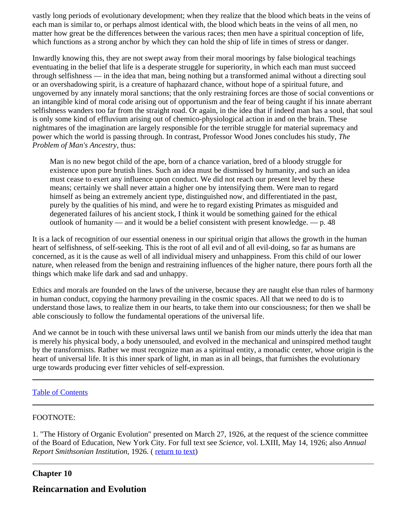vastly long periods of evolutionary development; when they realize that the blood which beats in the veins of each man is similar to, or perhaps almost identical with, the blood which beats in the veins of all men, no matter how great be the differences between the various races; then men have a spiritual conception of life, which functions as a strong anchor by which they can hold the ship of life in times of stress or danger.

Inwardly knowing this, they are not swept away from their moral moorings by false biological teachings eventuating in the belief that life is a desperate struggle for superiority, in which each man must succeed through selfishness — in the idea that man, being nothing but a transformed animal without a directing soul or an overshadowing spirit, is a creature of haphazard chance, without hope of a spiritual future, and ungoverned by any innately moral sanctions; that the only restraining forces are those of social conventions or an intangible kind of moral code arising out of opportunism and the fear of being caught if his innate aberrant selfishness wanders too far from the straight road. Or again, in the idea that if indeed man has a soul, that soul is only some kind of effluvium arising out of chemico-physiological action in and on the brain. These nightmares of the imagination are largely responsible for the terrible struggle for material supremacy and power which the world is passing through. In contrast, Professor Wood Jones concludes his study, *The Problem of Man's Ancestry*, thus:

Man is no new begot child of the ape, born of a chance variation, bred of a bloody struggle for existence upon pure brutish lines. Such an idea must be dismissed by humanity, and such an idea must cease to exert any influence upon conduct. We did not reach our present level by these means; certainly we shall never attain a higher one by intensifying them. Were man to regard himself as being an extremely ancient type, distinguished now, and differentiated in the past, purely by the qualities of his mind, and were he to regard existing Primates as misguided and degenerated failures of his ancient stock, I think it would be something gained for the ethical outlook of humanity — and it would be a belief consistent with present knowledge. — p. 48

It is a lack of recognition of our essential oneness in our spiritual origin that allows the growth in the human heart of selfishness, of self-seeking. This is the root of all evil and of all evil-doing, so far as humans are concerned, as it is the cause as well of all individual misery and unhappiness. From this child of our lower nature, when released from the benign and restraining influences of the higher nature, there pours forth all the things which make life dark and sad and unhappy.

Ethics and morals are founded on the laws of the universe, because they are naught else than rules of harmony in human conduct, copying the harmony prevailing in the cosmic spaces. All that we need to do is to understand those laws, to realize them in our hearts, to take them into our consciousness; for then we shall be able consciously to follow the fundamental operations of the universal life.

And we cannot be in touch with these universal laws until we banish from our minds utterly the idea that man is merely his physical body, a body unensouled, and evolved in the mechanical and uninspired method taught by the transformists. Rather we must recognize man as a spiritual entity, a monadic center, whose origin is the heart of universal life. It is this inner spark of light, in man as in all beings, that furnishes the evolutionary urge towards producing ever fitter vehicles of self-expression.

### [Table of Contents](#page-0-0)

#### FOOTNOTE:

1. "The History of Organic Evolution" presented on March 27, 1926, at the request of the science committee of the Board of Education, New York City. For full text see *Science,* vol. LXIII, May 14, 1926; also *Annual Report Smithsonian Institution, 1926. ([return to text](#page-35-0))* 

### **Chapter 10**

# **Reincarnation and Evolution**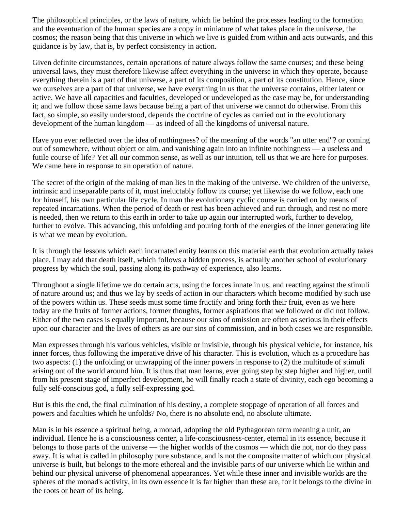The philosophical principles, or the laws of nature, which lie behind the processes leading to the formation and the eventuation of the human species are a copy in miniature of what takes place in the universe, the cosmos; the reason being that this universe in which we live is guided from within and acts outwards, and this guidance is by law, that is, by perfect consistency in action.

Given definite circumstances, certain operations of nature always follow the same courses; and these being universal laws, they must therefore likewise affect everything in the universe in which they operate, because everything therein is a part of that universe, a part of its composition, a part of its constitution. Hence, since we ourselves are a part of that universe, we have everything in us that the universe contains, either latent or active. We have all capacities and faculties, developed or undeveloped as the case may be, for understanding it; and we follow those same laws because being a part of that universe we cannot do otherwise. From this fact, so simple, so easily understood, depends the doctrine of cycles as carried out in the evolutionary development of the human kingdom — as indeed of all the kingdoms of universal nature.

Have you ever reflected over the idea of nothingness? of the meaning of the words "an utter end"? or coming out of somewhere, without object or aim, and vanishing again into an infinite nothingness — a useless and futile course of life? Yet all our common sense, as well as our intuition, tell us that we are here for purposes. We came here in response to an operation of nature.

The secret of the origin of the making of man lies in the making of the universe. We children of the universe, intrinsic and inseparable parts of it, must ineluctably follow its course; yet likewise do we follow, each one for himself, his own particular life cycle. In man the evolutionary cyclic course is carried on by means of repeated incarnations. When the period of death or rest has been achieved and run through, and rest no more is needed, then we return to this earth in order to take up again our interrupted work, further to develop, further to evolve. This advancing, this unfolding and pouring forth of the energies of the inner generating life is what we mean by evolution.

It is through the lessons which each incarnated entity learns on this material earth that evolution actually takes place. I may add that death itself, which follows a hidden process, is actually another school of evolutionary progress by which the soul, passing along its pathway of experience, also learns.

Throughout a single lifetime we do certain acts, using the forces innate in us, and reacting against the stimuli of nature around us; and thus we lay by seeds of action in our characters which become modified by such use of the powers within us. These seeds must some time fructify and bring forth their fruit, even as we here today are the fruits of former actions, former thoughts, former aspirations that we followed or did not follow. Either of the two cases is equally important, because our sins of omission are often as serious in their effects upon our character and the lives of others as are our sins of commission, and in both cases we are responsible.

Man expresses through his various vehicles, visible or invisible, through his physical vehicle, for instance, his inner forces, thus following the imperative drive of his character. This is evolution, which as a procedure has two aspects: (1) the unfolding or unwrapping of the inner powers in response to (2) the multitude of stimuli arising out of the world around him. It is thus that man learns, ever going step by step higher and higher, until from his present stage of imperfect development, he will finally reach a state of divinity, each ego becoming a fully self-conscious god, a fully self-expressing god.

But is this the end, the final culmination of his destiny, a complete stoppage of operation of all forces and powers and faculties which he unfolds? No, there is no absolute end, no absolute ultimate.

Man is in his essence a spiritual being, a monad, adopting the old Pythagorean term meaning a unit, an individual. Hence he is a consciousness center, a life-consciousness-center, eternal in its essence, because it belongs to those parts of the universe — the higher worlds of the cosmos — which die not, nor do they pass away. It is what is called in philosophy pure substance, and is not the composite matter of which our physical universe is built, but belongs to the more ethereal and the invisible parts of our universe which lie within and behind our physical universe of phenomenal appearances. Yet while these inner and invisible worlds are the spheres of the monad's activity, in its own essence it is far higher than these are, for it belongs to the divine in the roots or heart of its being.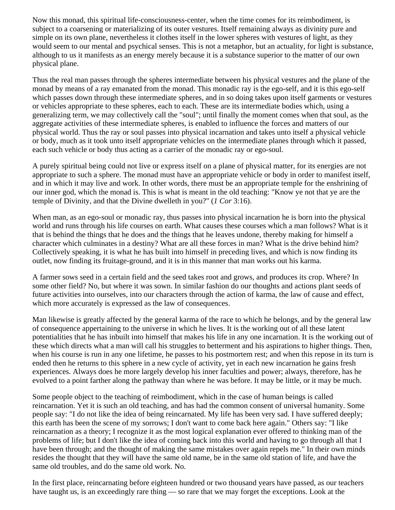Now this monad, this spiritual life-consciousness-center, when the time comes for its reimbodiment, is subject to a coarsening or materializing of its outer vestures. Itself remaining always as divinity pure and simple on its own plane, nevertheless it clothes itself in the lower spheres with vestures of light, as they would seem to our mental and psychical senses. This is not a metaphor, but an actuality, for light is substance, although to us it manifests as an energy merely because it is a substance superior to the matter of our own physical plane.

Thus the real man passes through the spheres intermediate between his physical vestures and the plane of the monad by means of a ray emanated from the monad. This monadic ray is the ego-self, and it is this ego-self which passes down through these intermediate spheres, and in so doing takes upon itself garments or vestures or vehicles appropriate to these spheres, each to each. These are its intermediate bodies which, using a generalizing term, we may collectively call the "soul"; until finally the moment comes when that soul, as the aggregate activities of these intermediate spheres, is enabled to influence the forces and matters of our physical world. Thus the ray or soul passes into physical incarnation and takes unto itself a physical vehicle or body, much as it took unto itself appropriate vehicles on the intermediate planes through which it passed, each such vehicle or body thus acting as a carrier of the monadic ray or ego-soul.

A purely spiritual being could not live or express itself on a plane of physical matter, for its energies are not appropriate to such a sphere. The monad must have an appropriate vehicle or body in order to manifest itself, and in which it may live and work. In other words, there must be an appropriate temple for the enshrining of our inner god, which the monad is. This is what is meant in the old teaching: "Know ye not that ye are the temple of Divinity, and that the Divine dwelleth in you?" (*1 Cor* 3:16).

When man, as an ego-soul or monadic ray, thus passes into physical incarnation he is born into the physical world and runs through his life courses on earth. What causes these courses which a man follows? What is it that is behind the things that he does and the things that he leaves undone, thereby making for himself a character which culminates in a destiny? What are all these forces in man? What is the drive behind him? Collectively speaking, it is what he has built into himself in preceding lives, and which is now finding its outlet, now finding its fruitage-ground, and it is in this manner that man works out his karma.

A farmer sows seed in a certain field and the seed takes root and grows, and produces its crop. Where? In some other field? No, but where it was sown. In similar fashion do our thoughts and actions plant seeds of future activities into ourselves, into our characters through the action of karma, the law of cause and effect, which more accurately is expressed as the law of consequences.

Man likewise is greatly affected by the general karma of the race to which he belongs, and by the general law of consequence appertaining to the universe in which he lives. It is the working out of all these latent potentialities that he has inbuilt into himself that makes his life in any one incarnation. It is the working out of these which directs what a man will call his struggles to betterment and his aspirations to higher things. Then, when his course is run in any one lifetime, he passes to his postmortem rest; and when this repose in its turn is ended then he returns to this sphere in a new cycle of activity, yet in each new incarnation he gains fresh experiences. Always does he more largely develop his inner faculties and power; always, therefore, has he evolved to a point farther along the pathway than where he was before. It may be little, or it may be much.

Some people object to the teaching of reimbodiment, which in the case of human beings is called reincarnation. Yet it is such an old teaching, and has had the common consent of universal humanity. Some people say: "I do not like the idea of being reincarnated. My life has been very sad. I have suffered deeply; this earth has been the scene of my sorrows; I don't want to come back here again." Others say: "I like reincarnation as a theory; I recognize it as the most logical explanation ever offered to thinking man of the problems of life; but I don't like the idea of coming back into this world and having to go through all that I have been through; and the thought of making the same mistakes over again repels me." In their own minds resides the thought that they will have the same old name, be in the same old station of life, and have the same old troubles, and do the same old work. No.

In the first place, reincarnating before eighteen hundred or two thousand years have passed, as our teachers have taught us, is an exceedingly rare thing — so rare that we may forget the exceptions. Look at the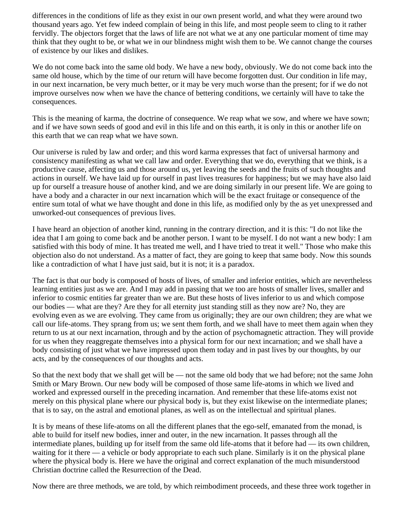differences in the conditions of life as they exist in our own present world, and what they were around two thousand years ago. Yet few indeed complain of being in this life, and most people seem to cling to it rather fervidly. The objectors forget that the laws of life are not what we at any one particular moment of time may think that they ought to be, or what we in our blindness might wish them to be. We cannot change the courses of existence by our likes and dislikes.

We do not come back into the same old body. We have a new body, obviously. We do not come back into the same old house, which by the time of our return will have become forgotten dust. Our condition in life may, in our next incarnation, be very much better, or it may be very much worse than the present; for if we do not improve ourselves now when we have the chance of bettering conditions, we certainly will have to take the consequences.

This is the meaning of karma, the doctrine of consequence. We reap what we sow, and where we have sown; and if we have sown seeds of good and evil in this life and on this earth, it is only in this or another life on this earth that we can reap what we have sown.

Our universe is ruled by law and order; and this word karma expresses that fact of universal harmony and consistency manifesting as what we call law and order. Everything that we do, everything that we think, is a productive cause, affecting us and those around us, yet leaving the seeds and the fruits of such thoughts and actions in ourself. We have laid up for ourself in past lives treasures for happiness; but we may have also laid up for ourself a treasure house of another kind, and we are doing similarly in our present life. We are going to have a body and a character in our next incarnation which will be the exact fruitage or consequence of the entire sum total of what we have thought and done in this life, as modified only by the as yet unexpressed and unworked-out consequences of previous lives.

I have heard an objection of another kind, running in the contrary direction, and it is this: "I do not like the idea that I am going to come back and be another person. I want to be myself. I do not want a new body: I am satisfied with this body of mine. It has treated me well, and I have tried to treat it well." Those who make this objection also do not understand. As a matter of fact, they are going to keep that same body. Now this sounds like a contradiction of what I have just said, but it is not; it is a paradox.

The fact is that our body is composed of hosts of lives, of smaller and inferior entities, which are nevertheless learning entities just as we are. And I may add in passing that we too are hosts of smaller lives, smaller and inferior to cosmic entities far greater than we are. But these hosts of lives inferior to us and which compose our bodies — what are they? Are they for all eternity just standing still as they now are? No, they are evolving even as we are evolving. They came from us originally; they are our own children; they are what we call our life-atoms. They sprang from us; we sent them forth, and we shall have to meet them again when they return to us at our next incarnation, through and by the action of psychomagnetic attraction. They will provide for us when they reaggregate themselves into a physical form for our next incarnation; and we shall have a body consisting of just what we have impressed upon them today and in past lives by our thoughts, by our acts, and by the consequences of our thoughts and acts.

So that the next body that we shall get will be — not the same old body that we had before; not the same John Smith or Mary Brown. Our new body will be composed of those same life-atoms in which we lived and worked and expressed ourself in the preceding incarnation. And remember that these life-atoms exist not merely on this physical plane where our physical body is, but they exist likewise on the intermediate planes; that is to say, on the astral and emotional planes, as well as on the intellectual and spiritual planes.

It is by means of these life-atoms on all the different planes that the ego-self, emanated from the monad, is able to build for itself new bodies, inner and outer, in the new incarnation. It passes through all the intermediate planes, building up for itself from the same old life-atoms that it before had — its own children, waiting for it there — a vehicle or body appropriate to each such plane. Similarly is it on the physical plane where the physical body is. Here we have the original and correct explanation of the much misunderstood Christian doctrine called the Resurrection of the Dead.

Now there are three methods, we are told, by which reimbodiment proceeds, and these three work together in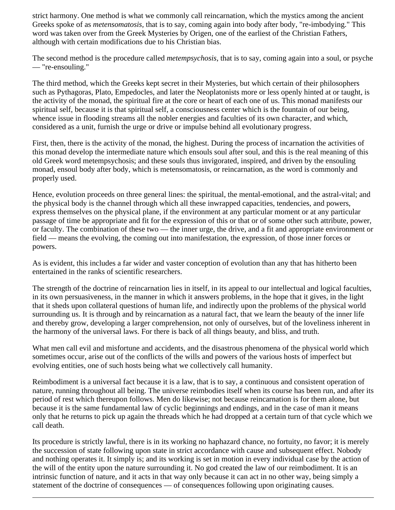strict harmony. One method is what we commonly call reincarnation, which the mystics among the ancient Greeks spoke of as *metensomatosis,* that is to say, coming again into body after body, "re-imbodying." This word was taken over from the Greek Mysteries by Origen, one of the earliest of the Christian Fathers, although with certain modifications due to his Christian bias.

The second method is the procedure called *metempsychosis*, that is to say, coming again into a soul, or psyche — "re-ensouling."

The third method, which the Greeks kept secret in their Mysteries, but which certain of their philosophers such as Pythagoras, Plato, Empedocles, and later the Neoplatonists more or less openly hinted at or taught, is the activity of the monad, the spiritual fire at the core or heart of each one of us. This monad manifests our spiritual self, because it is that spiritual self, a consciousness center which is the fountain of our being, whence issue in flooding streams all the nobler energies and faculties of its own character, and which, considered as a unit, furnish the urge or drive or impulse behind all evolutionary progress.

First, then, there is the activity of the monad, the highest. During the process of incarnation the activities of this monad develop the intermediate nature which ensouls soul after soul, and this is the real meaning of this old Greek word metempsychosis; and these souls thus invigorated, inspired, and driven by the ensouling monad, ensoul body after body, which is metensomatosis, or reincarnation, as the word is commonly and properly used.

Hence, evolution proceeds on three general lines: the spiritual, the mental-emotional, and the astral-vital; and the physical body is the channel through which all these inwrapped capacities, tendencies, and powers, express themselves on the physical plane, if the environment at any particular moment or at any particular passage of time be appropriate and fit for the expression of this or that or of some other such attribute, power, or faculty. The combination of these two — the inner urge, the drive, and a fit and appropriate environment or field — means the evolving, the coming out into manifestation, the expression, of those inner forces or powers.

As is evident, this includes a far wider and vaster conception of evolution than any that has hitherto been entertained in the ranks of scientific researchers.

The strength of the doctrine of reincarnation lies in itself, in its appeal to our intellectual and logical faculties, in its own persuasiveness, in the manner in which it answers problems, in the hope that it gives, in the light that it sheds upon collateral questions of human life, and indirectly upon the problems of the physical world surrounding us. It is through and by reincarnation as a natural fact, that we learn the beauty of the inner life and thereby grow, developing a larger comprehension, not only of ourselves, but of the loveliness inherent in the harmony of the universal laws. For there is back of all things beauty, and bliss, and truth.

What men call evil and misfortune and accidents, and the disastrous phenomena of the physical world which sometimes occur, arise out of the conflicts of the wills and powers of the various hosts of imperfect but evolving entities, one of such hosts being what we collectively call humanity.

Reimbodiment is a universal fact because it is a law, that is to say, a continuous and consistent operation of nature, running throughout all being. The universe reimbodies itself when its course has been run, and after its period of rest which thereupon follows. Men do likewise; not because reincarnation is for them alone, but because it is the same fundamental law of cyclic beginnings and endings, and in the case of man it means only that he returns to pick up again the threads which he had dropped at a certain turn of that cycle which we call death.

Its procedure is strictly lawful, there is in its working no haphazard chance, no fortuity, no favor; it is merely the succession of state following upon state in strict accordance with cause and subsequent effect. Nobody and nothing operates it. It simply is; and its working is set in motion in every individual case by the action of the will of the entity upon the nature surrounding it. No god created the law of our reimbodiment. It is an intrinsic function of nature, and it acts in that way only because it can act in no other way, being simply a statement of the doctrine of consequences — of consequences following upon originating causes.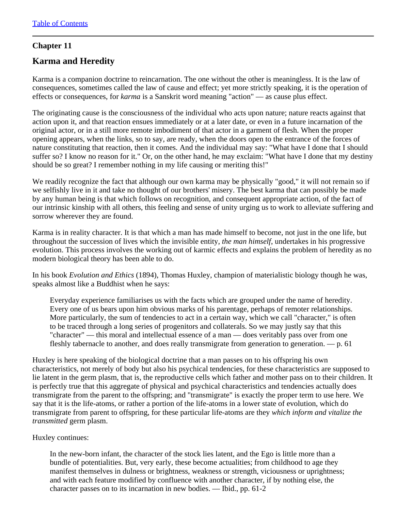# **Chapter 11**

# **Karma and Heredity**

Karma is a companion doctrine to reincarnation. The one without the other is meaningless. It is the law of consequences, sometimes called the law of cause and effect; yet more strictly speaking, it is the operation of effects or consequences, for *karma* is a Sanskrit word meaning "action" — as cause plus effect.

The originating cause is the consciousness of the individual who acts upon nature; nature reacts against that action upon it, and that reaction ensues immediately or at a later date, or even in a future incarnation of the original actor, or in a still more remote imbodiment of that actor in a garment of flesh. When the proper opening appears, when the links, so to say, are ready, when the doors open to the entrance of the forces of nature constituting that reaction, then it comes. And the individual may say: "What have I done that I should suffer so? I know no reason for it." Or, on the other hand, he may exclaim: "What have I done that my destiny should be so great? I remember nothing in my life causing or meriting this!"

We readily recognize the fact that although our own karma may be physically "good," it will not remain so if we selfishly live in it and take no thought of our brothers' misery. The best karma that can possibly be made by any human being is that which follows on recognition, and consequent appropriate action, of the fact of our intrinsic kinship with all others, this feeling and sense of unity urging us to work to alleviate suffering and sorrow wherever they are found.

Karma is in reality character. It is that which a man has made himself to become, not just in the one life, but throughout the succession of lives which the invisible entity, *the man himself*, undertakes in his progressive evolution. This process involves the working out of karmic effects and explains the problem of heredity as no modern biological theory has been able to do.

In his book *Evolution and Ethics* (1894), Thomas Huxley, champion of materialistic biology though he was, speaks almost like a Buddhist when he says:

Everyday experience familiarises us with the facts which are grouped under the name of heredity. Every one of us bears upon him obvious marks of his parentage, perhaps of remoter relationships. More particularly, the sum of tendencies to act in a certain way, which we call "character," is often to be traced through a long series of progenitors and collaterals. So we may justly say that this "character" — this moral and intellectual essence of a man — does veritably pass over from one fleshly tabernacle to another, and does really transmigrate from generation to generation. — p. 61

Huxley is here speaking of the biological doctrine that a man passes on to his offspring his own characteristics, not merely of body but also his psychical tendencies, for these characteristics are supposed to lie latent in the germ plasm, that is, the reproductive cells which father and mother pass on to their children. It is perfectly true that this aggregate of physical and psychical characteristics and tendencies actually does transmigrate from the parent to the offspring; and "transmigrate" is exactly the proper term to use here. We say that it is the life-atoms, or rather a portion of the life-atoms in a lower state of evolution, which do transmigrate from parent to offspring, for these particular life-atoms are they *which inform and vitalize the transmitted* germ plasm.

Huxley continues:

In the new-born infant, the character of the stock lies latent, and the Ego is little more than a bundle of potentialities. But, very early, these become actualities; from childhood to age they manifest themselves in dulness or brightness, weakness or strength, viciousness or uprightness; and with each feature modified by confluence with another character, if by nothing else, the character passes on to its incarnation in new bodies. — Ibid., pp. 61-2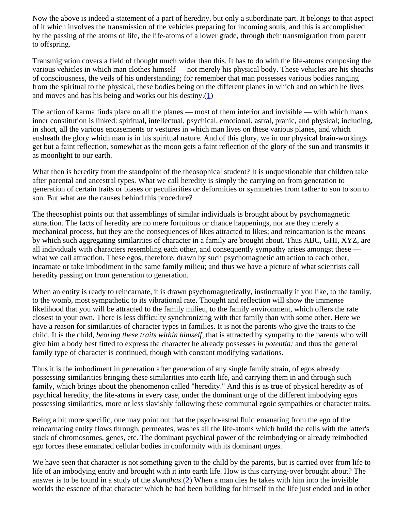Now the above is indeed a statement of a part of heredity, but only a subordinate part. It belongs to that aspect of it which involves the transmission of the vehicles preparing for incoming souls, and this is accomplished by the passing of the atoms of life, the life-atoms of a lower grade, through their transmigration from parent to offspring.

Transmigration covers a field of thought much wider than this. It has to do with the life-atoms composing the various vehicles in which man clothes himself — not merely his physical body. These vehicles are his sheaths of consciousness, the veils of his understanding; for remember that man possesses various bodies ranging from the spiritual to the physical, these bodies being on the different planes in which and on which he lives and moves and has his being and works out his destiny. $(1)$  $(1)$ 

<span id="page-42-0"></span>The action of karma finds place on all the planes — most of them interior and invisible — with which man's inner constitution is linked: spiritual, intellectual, psychical, emotional, astral, pranic, and physical; including, in short, all the various encasements or vestures in which man lives on these various planes, and which ensheath the glory which man is in his spiritual nature. And of this glory, we in our physical brain-workings get but a faint reflection, somewhat as the moon gets a faint reflection of the glory of the sun and transmits it as moonlight to our earth.

What then is heredity from the standpoint of the theosophical student? It is unquestionable that children take after parental and ancestral types. What we call heredity is simply the carrying on from generation to generation of certain traits or biases or peculiarities or deformities or symmetries from father to son to son to son. But what are the causes behind this procedure?

The theosophist points out that assemblings of similar individuals is brought about by psychomagnetic attraction. The facts of heredity are no mere fortuitous or chance happenings, nor are they merely a mechanical process, but they are the consequences of likes attracted to likes; and reincarnation is the means by which such aggregating similarities of character in a family are brought about. Thus ABC, GHI, XYZ, are all individuals with characters resembling each other, and consequently sympathy arises amongst these what we call attraction. These egos, therefore, drawn by such psychomagnetic attraction to each other, incarnate or take imbodiment in the same family milieu; and thus we have a picture of what scientists call heredity passing on from generation to generation.

When an entity is ready to reincarnate, it is drawn psychomagnetically, instinctually if you like, to the family, to the womb, most sympathetic to its vibrational rate. Thought and reflection will show the immense likelihood that you will be attracted to the family milieu, to the family environment, which offers the rate closest to your own. There is less difficulty synchronizing with that family than with some other. Here we have a reason for similarities of character types in families. It is not the parents who give the traits to the child. It is the child, *bearing these traits within himself,* that is attracted by sympathy to the parents who will give him a body best fitted to express the character he already possesses *in potentia;* and thus the general family type of character is continued, though with constant modifying variations.

Thus it is the imbodiment in generation after generation of any single family strain, of egos already possessing similarities bringing these similarities into earth life, and carrying them in and through such family, which brings about the phenomenon called "heredity." And this is as true of physical heredity as of psychical heredity, the life-atoms in every case, under the dominant urge of the different imbodying egos possessing similarities, more or less slavishly following these communal egoic sympathies or character traits.

Being a bit more specific, one may point out that the psycho-astral fluid emanating from the ego of the reincarnating entity flows through, permeates, washes all the life-atoms which build the cells with the latter's stock of chromosomes, genes, etc. The dominant psychical power of the reimbodying or already reimbodied ego forces these emanated cellular bodies in conformity with its dominant urges.

<span id="page-42-1"></span>We have seen that character is not something given to the child by the parents, but is carried over from life to life of an imbodying entity and brought with it into earth life. How is this carrying-over brought about? The answer is to be found in a study of the *skandhas*.[\(2](#page-43-1)) When a man dies he takes with him into the invisible worlds the essence of that character which he had been building for himself in the life just ended and in other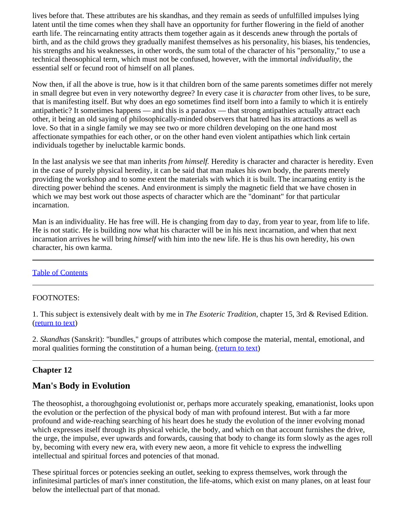lives before that. These attributes are his skandhas, and they remain as seeds of unfulfilled impulses lying latent until the time comes when they shall have an opportunity for further flowering in the field of another earth life. The reincarnating entity attracts them together again as it descends anew through the portals of birth, and as the child grows they gradually manifest themselves as his personality, his biases, his tendencies, his strengths and his weaknesses, in other words, the sum total of the character of his "personality," to use a technical theosophical term, which must not be confused, however, with the immortal *individuality*, the essential self or fecund root of himself on all planes.

Now then, if all the above is true, how is it that children born of the same parents sometimes differ not merely in small degree but even in very noteworthy degree? In every case it is *character* from other lives, to be sure, that is manifesting itself. But why does an ego sometimes find itself born into a family to which it is entirely antipathetic? It sometimes happens — and this is a paradox — that strong antipathies actually attract each other, it being an old saying of philosophically-minded observers that hatred has its attractions as well as love. So that in a single family we may see two or more children developing on the one hand most affectionate sympathies for each other, or on the other hand even violent antipathies which link certain individuals together by ineluctable karmic bonds.

In the last analysis we see that man inherits *from himself.* Heredity is character and character is heredity. Even in the case of purely physical heredity, it can be said that man makes his own body, the parents merely providing the workshop and to some extent the materials with which it is built. The incarnating entity is the directing power behind the scenes. And environment is simply the magnetic field that we have chosen in which we may best work out those aspects of character which are the "dominant" for that particular incarnation.

Man is an individuality. He has free will. He is changing from day to day, from year to year, from life to life. He is not static. He is building now what his character will be in his next incarnation, and when that next incarnation arrives he will bring *himself* with him into the new life. He is thus his own heredity, his own character, his own karma.

### [Table of Contents](#page-0-0)

### <span id="page-43-0"></span>FOOTNOTES:

1. This subject is extensively dealt with by me in *The Esoteric Tradition*, chapter 15, 3rd & Revised Edition. [\(return to text](#page-42-0))

<span id="page-43-1"></span>2. *Skandhas* (Sanskrit): "bundles," groups of attributes which compose the material, mental, emotional, and moral qualities forming the constitution of a human being. ([return to text\)](#page-42-1)

# **Chapter 12**

# **Man's Body in Evolution**

The theosophist, a thoroughgoing evolutionist or, perhaps more accurately speaking, emanationist, looks upon the evolution or the perfection of the physical body of man with profound interest. But with a far more profound and wide-reaching searching of his heart does he study the evolution of the inner evolving monad which expresses itself through its physical vehicle, the body, and which on that account furnishes the drive, the urge, the impulse, ever upwards and forwards, causing that body to change its form slowly as the ages roll by, becoming with every new era, with every new aeon, a more fit vehicle to express the indwelling intellectual and spiritual forces and potencies of that monad.

These spiritual forces or potencies seeking an outlet, seeking to express themselves, work through the infinitesimal particles of man's inner constitution, the life-atoms, which exist on many planes, on at least four below the intellectual part of that monad.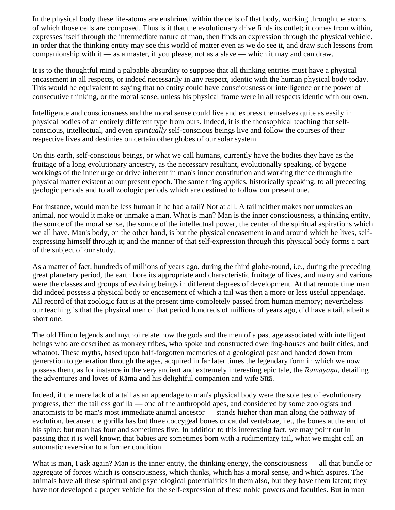In the physical body these life-atoms are enshrined within the cells of that body, working through the atoms of which those cells are composed. Thus is it that the evolutionary drive finds its outlet; it comes from within, expresses itself through the intermediate nature of man, then finds an expression through the physical vehicle, in order that the thinking entity may see this world of matter even as we do see it, and draw such lessons from companionship with it — as a master, if you please, not as a slave — which it may and can draw.

It is to the thoughtful mind a palpable absurdity to suppose that all thinking entities must have a physical encasement in all respects, or indeed necessarily in any respect, identic with the human physical body today. This would be equivalent to saying that no entity could have consciousness or intelligence or the power of consecutive thinking, or the moral sense, unless his physical frame were in all respects identic with our own.

Intelligence and consciousness and the moral sense could live and express themselves quite as easily in physical bodies of an entirely different type from ours. Indeed, it is the theosophical teaching that selfconscious, intellectual, and even *spiritually* self-conscious beings live and follow the courses of their respective lives and destinies on certain other globes of our solar system.

On this earth, self-conscious beings, or what we call humans, currently have the bodies they have as the fruitage of a long evolutionary ancestry, as the necessary resultant, evolutionally speaking, of bygone workings of the inner urge or drive inherent in man's inner constitution and working thence through the physical matter existent at our present epoch. The same thing applies, historically speaking, to all preceding geologic periods and to all zoologic periods which are destined to follow our present one.

For instance, would man be less human if he had a tail? Not at all. A tail neither makes nor unmakes an animal, nor would it make or unmake a man. What is man? Man is the inner consciousness, a thinking entity, the source of the moral sense, the source of the intellectual power, the center of the spiritual aspirations which we all have. Man's body, on the other hand, is but the physical encasement in and around which he lives, selfexpressing himself through it; and the manner of that self-expression through this physical body forms a part of the subject of our study.

As a matter of fact, hundreds of millions of years ago, during the third globe-round, i.e., during the preceding great planetary period, the earth bore its appropriate and characteristic fruitage of lives, and many and various were the classes and groups of evolving beings in different degrees of development. At that remote time man did indeed possess a physical body or encasement of which a tail was then a more or less useful appendage. All record of that zoologic fact is at the present time completely passed from human memory; nevertheless our teaching is that the physical men of that period hundreds of millions of years ago, did have a tail, albeit a short one.

The old Hindu legends and mythoi relate how the gods and the men of a past age associated with intelligent beings who are described as monkey tribes, who spoke and constructed dwelling-houses and built cities, and whatnot. These myths, based upon half-forgotten memories of a geological past and handed down from generation to generation through the ages, acquired in far later times the legendary form in which we now possess them, as for instance in the very ancient and extremely interesting epic tale, the *Rāmāyaṇa*, detailing the adventures and loves of Rāma and his delightful companion and wife Sītā.

Indeed, if the mere lack of a tail as an appendage to man's physical body were the sole test of evolutionary progress, then the tailless gorilla — one of the anthropoid apes, and considered by some zoologists and anatomists to be man's most immediate animal ancestor — stands higher than man along the pathway of evolution, because the gorilla has but three coccygeal bones or caudal vertebrae, i.e., the bones at the end of his spine; but man has four and sometimes five. In addition to this interesting fact, we may point out in passing that it is well known that babies are sometimes born with a rudimentary tail, what we might call an automatic reversion to a former condition.

What is man, I ask again? Man is the inner entity, the thinking energy, the consciousness — all that bundle or aggregate of forces which is consciousness, which thinks, which has a moral sense, and which aspires. The animals have all these spiritual and psychological potentialities in them also, but they have them latent; they have not developed a proper vehicle for the self-expression of these noble powers and faculties. But in man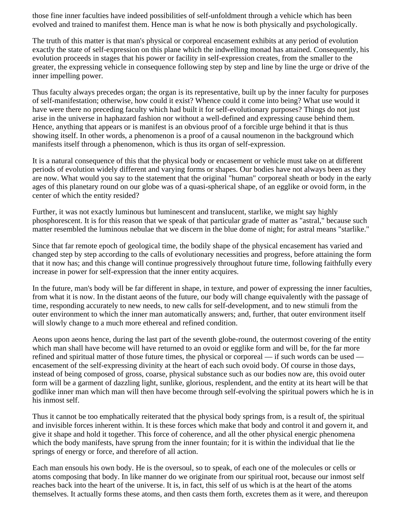those fine inner faculties have indeed possibilities of self-unfoldment through a vehicle which has been evolved and trained to manifest them. Hence man is what he now is both physically and psychologically.

The truth of this matter is that man's physical or corporeal encasement exhibits at any period of evolution exactly the state of self-expression on this plane which the indwelling monad has attained. Consequently, his evolution proceeds in stages that his power or facility in self-expression creates, from the smaller to the greater, the expressing vehicle in consequence following step by step and line by line the urge or drive of the inner impelling power.

Thus faculty always precedes organ; the organ is its representative, built up by the inner faculty for purposes of self-manifestation; otherwise, how could it exist? Whence could it come into being? What use would it have were there no preceding faculty which had built it for self-evolutionary purposes? Things do not just arise in the universe in haphazard fashion nor without a well-defined and expressing cause behind them. Hence, anything that appears or is manifest is an obvious proof of a forcible urge behind it that is thus showing itself. In other words, a phenomenon is a proof of a causal noumenon in the background which manifests itself through a phenomenon, which is thus its organ of self-expression.

It is a natural consequence of this that the physical body or encasement or vehicle must take on at different periods of evolution widely different and varying forms or shapes. Our bodies have not always been as they are now. What would you say to the statement that the original "human" corporeal sheath or body in the early ages of this planetary round on our globe was of a quasi-spherical shape, of an egglike or ovoid form, in the center of which the entity resided?

Further, it was not exactly luminous but luminescent and translucent, starlike, we might say highly phosphorescent. It is for this reason that we speak of that particular grade of matter as "astral," because such matter resembled the luminous nebulae that we discern in the blue dome of night; for astral means "starlike."

Since that far remote epoch of geological time, the bodily shape of the physical encasement has varied and changed step by step according to the calls of evolutionary necessities and progress, before attaining the form that it now has; and this change will continue progressively throughout future time, following faithfully every increase in power for self-expression that the inner entity acquires.

In the future, man's body will be far different in shape, in texture, and power of expressing the inner faculties, from what it is now. In the distant aeons of the future, our body will change equivalently with the passage of time, responding accurately to new needs, to new calls for self-development, and to new stimuli from the outer environment to which the inner man automatically answers; and, further, that outer environment itself will slowly change to a much more ethereal and refined condition.

Aeons upon aeons hence, during the last part of the seventh globe-round, the outermost covering of the entity which man shall have become will have returned to an ovoid or egglike form and will be, for the far more refined and spiritual matter of those future times, the physical or corporeal — if such words can be used encasement of the self-expressing divinity at the heart of each such ovoid body. Of course in those days, instead of being composed of gross, coarse, physical substance such as our bodies now are, this ovoid outer form will be a garment of dazzling light, sunlike, glorious, resplendent, and the entity at its heart will be that godlike inner man which man will then have become through self-evolving the spiritual powers which he is in his inmost self.

Thus it cannot be too emphatically reiterated that the physical body springs from, is a result of, the spiritual and invisible forces inherent within. It is these forces which make that body and control it and govern it, and give it shape and hold it together. This force of coherence, and all the other physical energic phenomena which the body manifests, have sprung from the inner fountain; for it is within the individual that lie the springs of energy or force, and therefore of all action.

Each man ensouls his own body. He is the oversoul, so to speak, of each one of the molecules or cells or atoms composing that body. In like manner do we originate from our spiritual root, because our inmost self reaches back into the heart of the universe. It is, in fact, this self of us which is at the heart of the atoms themselves. It actually forms these atoms, and then casts them forth, excretes them as it were, and thereupon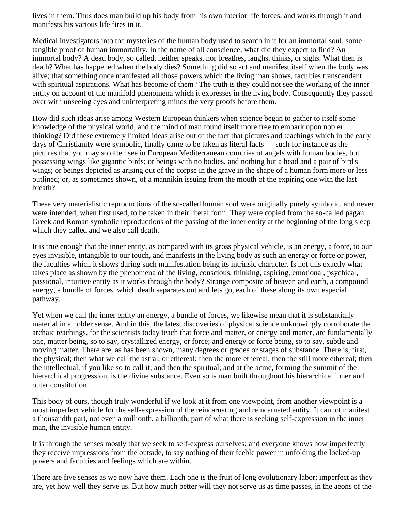lives in them. Thus does man build up his body from his own interior life forces, and works through it and manifests his various life fires in it.

Medical investigators into the mysteries of the human body used to search in it for an immortal soul, some tangible proof of human immortality. In the name of all conscience, what did they expect to find? An immortal body? A dead body, so called, neither speaks, nor breathes, laughs, thinks, or sighs. What then is death? What has happened when the body dies? Something did so act and manifest itself when the body was alive; that something once manifested all those powers which the living man shows, faculties transcendent with spiritual aspirations. What has become of them? The truth is they could not see the working of the inner entity on account of the manifold phenomena which it expresses in the living body. Consequently they passed over with unseeing eyes and uninterpreting minds the very proofs before them.

How did such ideas arise among Western European thinkers when science began to gather to itself some knowledge of the physical world, and the mind of man found itself more free to embark upon nobler thinking? Did these extremely limited ideas arise out of the fact that pictures and teachings which in the early days of Christianity were symbolic, finally came to be taken as literal facts — such for instance as the pictures that you may so often see in European Mediterranean countries of angels with human bodies, but possessing wings like gigantic birds; or beings with no bodies, and nothing but a head and a pair of bird's wings; or beings depicted as arising out of the corpse in the grave in the shape of a human form more or less outlined; or, as sometimes shown, of a mannikin issuing from the mouth of the expiring one with the last breath?

These very materialistic reproductions of the so-called human soul were originally purely symbolic, and never were intended, when first used, to be taken in their literal form. They were copied from the so-called pagan Greek and Roman symbolic reproductions of the passing of the inner entity at the beginning of the long sleep which they called and we also call death.

It is true enough that the inner entity, as compared with its gross physical vehicle, is an energy, a force, to our eyes invisible, intangible to our touch, and manifests in the living body as such an energy or force or power, the faculties which it shows during such manifestation being its intrinsic character. Is not this exactly what takes place as shown by the phenomena of the living, conscious, thinking, aspiring, emotional, psychical, passional, intuitive entity as it works through the body? Strange composite of heaven and earth, a compound energy, a bundle of forces, which death separates out and lets go, each of these along its own especial pathway.

Yet when we call the inner entity an energy, a bundle of forces, we likewise mean that it is substantially material in a nobler sense. And in this, the latest discoveries of physical science unknowingly corroborate the archaic teachings, for the scientists today teach that force and matter, or energy and matter, are fundamentally one, matter being, so to say, crystallized energy, or force; and energy or force being, so to say, subtle and moving matter. There are, as has been shown, many degrees or grades or stages of substance. There is, first, the physical; then what we call the astral, or ethereal; then the more ethereal; then the still more ethereal; then the intellectual, if you like so to call it; and then the spiritual; and at the acme, forming the summit of the hierarchical progression, is the divine substance. Even so is man built throughout his hierarchical inner and outer constitution.

This body of ours, though truly wonderful if we look at it from one viewpoint, from another viewpoint is a most imperfect vehicle for the self-expression of the reincarnating and reincarnated entity. It cannot manifest a thousandth part, not even a millionth, a billionth, part of what there is seeking self-expression in the inner man, the invisible human entity.

It is through the senses mostly that we seek to self-express ourselves; and everyone knows how imperfectly they receive impressions from the outside, to say nothing of their feeble power in unfolding the locked-up powers and faculties and feelings which are within.

There are five senses as we now have them. Each one is the fruit of long evolutionary labor; imperfect as they are, yet how well they serve us. But how much better will they not serve us as time passes, in the aeons of the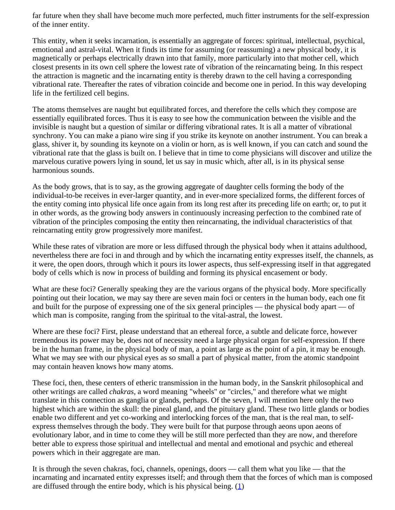far future when they shall have become much more perfected, much fitter instruments for the self-expression of the inner entity.

This entity, when it seeks incarnation, is essentially an aggregate of forces: spiritual, intellectual, psychical, emotional and astral-vital. When it finds its time for assuming (or reassuming) a new physical body, it is magnetically or perhaps electrically drawn into that family, more particularly into that mother cell, which closest presents in its own cell sphere the lowest rate of vibration of the reincarnating being. In this respect the attraction is magnetic and the incarnating entity is thereby drawn to the cell having a corresponding vibrational rate. Thereafter the rates of vibration coincide and become one in period. In this way developing life in the fertilized cell begins.

The atoms themselves are naught but equilibrated forces, and therefore the cells which they compose are essentially equilibrated forces. Thus it is easy to see how the communication between the visible and the invisible is naught but a question of similar or differing vibrational rates. It is all a matter of vibrational synchrony. You can make a piano wire sing if you strike its keynote on another instrument. You can break a glass, shiver it, by sounding its keynote on a violin or horn, as is well known, if you can catch and sound the vibrational rate that the glass is built on. I believe that in time to come physicians will discover and utilize the marvelous curative powers lying in sound, let us say in music which, after all, is in its physical sense harmonious sounds.

As the body grows, that is to say, as the growing aggregate of daughter cells forming the body of the individual-to-be receives in ever-larger quantity, and in ever-more specialized forms, the different forces of the entity coming into physical life once again from its long rest after its preceding life on earth; or, to put it in other words, as the growing body answers in continuously increasing perfection to the combined rate of vibration of the principles composing the entity then reincarnating, the individual characteristics of that reincarnating entity grow progressively more manifest.

While these rates of vibration are more or less diffused through the physical body when it attains adulthood, nevertheless there are foci in and through and by which the incarnating entity expresses itself, the channels, as it were, the open doors, through which it pours its lower aspects, thus self-expressing itself in that aggregated body of cells which is now in process of building and forming its physical encasement or body.

What are these foci? Generally speaking they are the various organs of the physical body. More specifically pointing out their location, we may say there are seven main foci or centers in the human body, each one fit and built for the purpose of expressing one of the six general principles — the physical body apart — of which man is composite, ranging from the spiritual to the vital-astral, the lowest.

Where are these foci? First, please understand that an ethereal force, a subtle and delicate force, however tremendous its power may be, does not of necessity need a large physical organ for self-expression. If there be in the human frame, in the physical body of man, a point as large as the point of a pin, it may be enough. What we may see with our physical eyes as so small a part of physical matter, from the atomic standpoint may contain heaven knows how many atoms.

These foci, then, these centers of etheric transmission in the human body, in the Sanskrit philosophical and other writings are called *chakras,* a word meaning "wheels" or "circles," and therefore what we might translate in this connection as ganglia or glands, perhaps. Of the seven, I will mention here only the two highest which are within the skull: the pineal gland, and the pituitary gland. These two little glands or bodies enable two different and yet co-working and interlocking forces of the man, that is the real man, to selfexpress themselves through the body. They were built for that purpose through aeons upon aeons of evolutionary labor, and in time to come they will be still more perfected than they are now, and therefore better able to express those spiritual and intellectual and mental and emotional and psychic and ethereal powers which in their aggregate are man.

<span id="page-47-0"></span>It is through the seven chakras, foci, channels, openings, doors — call them what you like — that the incarnating and incarnated entity expresses itself; and through them that the forces of which man is composed are diffused through the entire body, which is his physical being.  $(1)$  $(1)$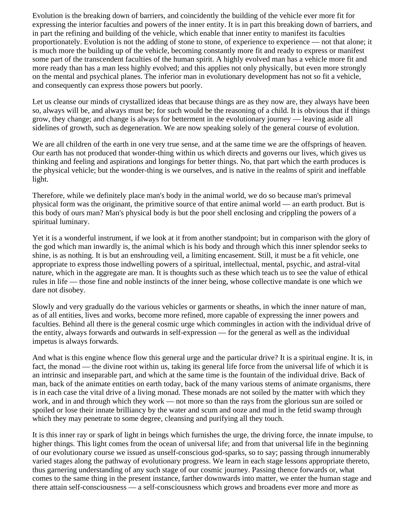Evolution is the breaking down of barriers, and coincidently the building of the vehicle ever more fit for expressing the interior faculties and powers of the inner entity. It is in part this breaking down of barriers, and in part the refining and building of the vehicle, which enable that inner entity to manifest its faculties proportionately. Evolution is not the adding of stone to stone, of experience to experience — not that alone; it is much more the building up of the vehicle, becoming constantly more fit and ready to express or manifest some part of the transcendent faculties of the human spirit. A highly evolved man has a vehicle more fit and more ready than has a man less highly evolved; and this applies not only physically, but even more strongly on the mental and psychical planes. The inferior man in evolutionary development has not so fit a vehicle, and consequently can express those powers but poorly.

Let us cleanse our minds of crystallized ideas that because things are as they now are, they always have been so, always will be, and always must be; for such would be the reasoning of a child. It is obvious that if things grow, they change; and change is always for betterment in the evolutionary journey — leaving aside all sidelines of growth, such as degeneration. We are now speaking solely of the general course of evolution.

We are all children of the earth in one very true sense, and at the same time we are the offsprings of heaven. Our earth has not produced that wonder-thing within us which directs and governs our lives, which gives us thinking and feeling and aspirations and longings for better things. No, that part which the earth produces is the physical vehicle; but the wonder-thing is we ourselves, and is native in the realms of spirit and ineffable light.

Therefore, while we definitely place man's body in the animal world, we do so because man's primeval physical form was the originant, the primitive source of that entire animal world — an earth product. But is this body of ours man? Man's physical body is but the poor shell enclosing and crippling the powers of a spiritual luminary.

Yet it is a wonderful instrument, if we look at it from another standpoint; but in comparison with the glory of the god which man inwardly is, the animal which is his body and through which this inner splendor seeks to shine, is as nothing. It is but an enshrouding veil, a limiting encasement. Still, it must be a fit vehicle, one appropriate to express those indwelling powers of a spiritual, intellectual, mental, psychic, and astral-vital nature, which in the aggregate are man. It is thoughts such as these which teach us to see the value of ethical rules in life — those fine and noble instincts of the inner being, whose collective mandate is one which we dare not disobey.

Slowly and very gradually do the various vehicles or garments or sheaths, in which the inner nature of man, as of all entities, lives and works, become more refined, more capable of expressing the inner powers and faculties. Behind all there is the general cosmic urge which commingles in action with the individual drive of the entity, always forwards and outwards in self-expression — for the general as well as the individual impetus is always forwards.

And what is this engine whence flow this general urge and the particular drive? It is a spiritual engine. It is, in fact, the monad — the divine root within us, taking its general life force from the universal life of which it is an intrinsic and inseparable part, and which at the same time is the fountain of the individual drive. Back of man, back of the animate entities on earth today, back of the many various stems of animate organisms, there is in each case the vital drive of a living monad. These monads are not soiled by the matter with which they work, and in and through which they work — not more so than the rays from the glorious sun are soiled or spoiled or lose their innate brilliancy by the water and scum and ooze and mud in the fetid swamp through which they may penetrate to some degree, cleansing and purifying all they touch.

It is this inner ray or spark of light in beings which furnishes the urge, the driving force, the innate impulse, to higher things. This light comes from the ocean of universal life; and from that universal life in the beginning of our evolutionary course we issued as unself-conscious god-sparks, so to say; passing through innumerably varied stages along the pathway of evolutionary progress. We learn in each stage lessons appropriate thereto, thus garnering understanding of any such stage of our cosmic journey. Passing thence forwards or, what comes to the same thing in the present instance, farther downwards into matter, we enter the human stage and there attain self-consciousness — a self-consciousness which grows and broadens ever more and more as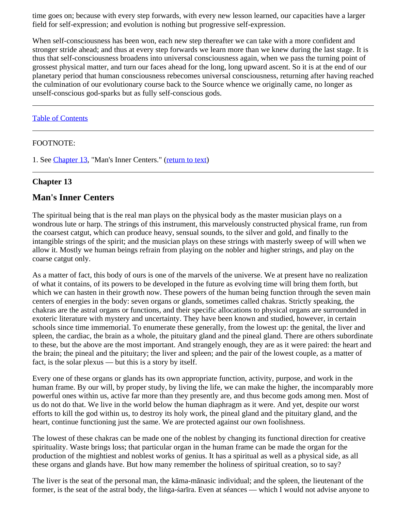time goes on; because with every step forwards, with every new lesson learned, our capacities have a larger field for self-expression; and evolution is nothing but progressive self-expression.

When self-consciousness has been won, each new step thereafter we can take with a more confident and stronger stride ahead; and thus at every step forwards we learn more than we knew during the last stage. It is thus that self-consciousness broadens into universal consciousness again, when we pass the turning point of grossest physical matter, and turn our faces ahead for the long, long upward ascent. So it is at the end of our planetary period that human consciousness rebecomes universal consciousness, returning after having reached the culmination of our evolutionary course back to the Source whence we originally came, no longer as unself-conscious god-sparks but as fully self-conscious gods.

### [Table of Contents](#page-0-0)

### <span id="page-49-0"></span>FOOTNOTE:

1. See [Chapter 13,](#page-49-1) "Man's Inner Centers." [\(return to text](#page-47-0))

### <span id="page-49-1"></span>**Chapter 13**

# **Man's Inner Centers**

The spiritual being that is the real man plays on the physical body as the master musician plays on a wondrous lute or harp. The strings of this instrument, this marvelously constructed physical frame, run from the coarsest catgut, which can produce heavy, sensual sounds, to the silver and gold, and finally to the intangible strings of the spirit; and the musician plays on these strings with masterly sweep of will when we allow it. Mostly we human beings refrain from playing on the nobler and higher strings, and play on the coarse catgut only.

As a matter of fact, this body of ours is one of the marvels of the universe. We at present have no realization of what it contains, of its powers to be developed in the future as evolving time will bring them forth, but which we can hasten in their growth now. These powers of the human being function through the seven main centers of energies in the body: seven organs or glands, sometimes called chakras. Strictly speaking, the chakras are the astral organs or functions, and their specific allocations to physical organs are surrounded in exoteric literature with mystery and uncertainty. They have been known and studied, however, in certain schools since time immemorial. To enumerate these generally, from the lowest up: the genital, the liver and spleen, the cardiac, the brain as a whole, the pituitary gland and the pineal gland. There are others subordinate to these, but the above are the most important. And strangely enough, they are as it were paired: the heart and the brain; the pineal and the pituitary; the liver and spleen; and the pair of the lowest couple, as a matter of fact, is the solar plexus — but this is a story by itself.

Every one of these organs or glands has its own appropriate function, activity, purpose, and work in the human frame. By our will, by proper study, by living the life, we can make the higher, the incomparably more powerful ones within us, active far more than they presently are, and thus become gods among men. Most of us do not do that. We live in the world below the human diaphragm as it were. And yet, despite our worst efforts to kill the god within us, to destroy its holy work, the pineal gland and the pituitary gland, and the heart, continue functioning just the same. We are protected against our own foolishness.

The lowest of these chakras can be made one of the noblest by changing its functional direction for creative spirituality. Waste brings loss; that particular organ in the human frame can be made the organ for the production of the mightiest and noblest works of genius. It has a spiritual as well as a physical side, as all these organs and glands have. But how many remember the holiness of spiritual creation, so to say?

The liver is the seat of the personal man, the kāma-mānasic individual; and the spleen, the lieutenant of the former, is the seat of the astral body, the liṅga-śarīra. Even at séances — which I would not advise anyone to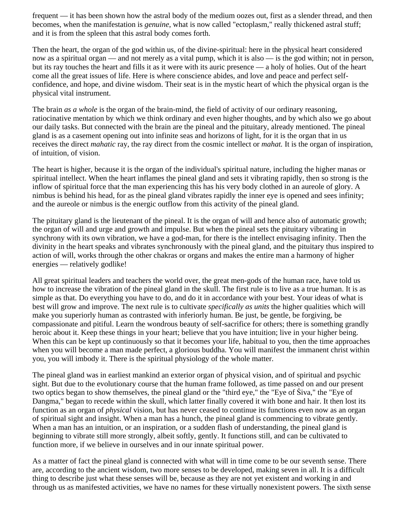frequent — it has been shown how the astral body of the medium oozes out, first as a slender thread, and then becomes, when the manifestation is *genuine*, what is now called "ectoplasm," really thickened astral stuff; and it is from the spleen that this astral body comes forth.

Then the heart, the organ of the god within us, of the divine-spiritual: here in the physical heart considered now as a spiritual organ — and not merely as a vital pump, which it is also — is the god within; not in person, but its ray touches the heart and fills it as it were with its auric presence — a holy of holies. Out of the heart come all the great issues of life. Here is where conscience abides, and love and peace and perfect selfconfidence, and hope, and divine wisdom. Their seat is in the mystic heart of which the physical organ is the physical vital instrument.

The brain *as a whole* is the organ of the brain-mind, the field of activity of our ordinary reasoning, ratiocinative mentation by which we think ordinary and even higher thoughts, and by which also we go about our daily tasks. But connected with the brain are the pineal and the pituitary, already mentioned. The pineal gland is as a casement opening out into infinite seas and horizons of light, for it is the organ that in us receives the direct *mahatic* ray, the ray direct from the cosmic intellect or *mahat.* It is the organ of inspiration, of intuition, of vision.

The heart is higher, because it is the organ of the individual's spiritual nature, including the higher manas or spiritual intellect. When the heart inflames the pineal gland and sets it vibrating rapidly, then so strong is the inflow of spiritual force that the man experiencing this has his very body clothed in an aureole of glory. A nimbus is behind his head, for as the pineal gland vibrates rapidly the inner eye is opened and sees infinity; and the aureole or nimbus is the energic outflow from this activity of the pineal gland.

The pituitary gland is the lieutenant of the pineal. It is the organ of will and hence also of automatic growth; the organ of will and urge and growth and impulse. But when the pineal sets the pituitary vibrating in synchrony with its own vibration, we have a god-man, for there is the intellect envisaging infinity. Then the divinity in the heart speaks and vibrates synchronously with the pineal gland, and the pituitary thus inspired to action of will, works through the other chakras or organs and makes the entire man a harmony of higher energies — relatively godlike!

All great spiritual leaders and teachers the world over, the great men-gods of the human race, have told us how to increase the vibration of the pineal gland in the skull. The first rule is to live as a true human. It is as simple as that. Do everything you have to do, and do it in accordance with your best. Your ideas of what is best will grow and improve. The next rule is to cultivate *specifically as units* the higher qualities which will make you superiorly human as contrasted with inferiorly human. Be just, be gentle, be forgiving, be compassionate and pitiful. Learn the wondrous beauty of self-sacrifice for others; there is something grandly heroic about it. Keep these things in your heart; believe that you have intuition; live in your higher being. When this can be kept up continuously so that it becomes your life, habitual to you, then the time approaches when you will become a man made perfect, a glorious buddha. You will manifest the immanent christ within you, you will imbody it. There is the spiritual physiology of the whole matter.

The pineal gland was in earliest mankind an exterior organ of physical vision, and of spiritual and psychic sight. But due to the evolutionary course that the human frame followed, as time passed on and our present two optics began to show themselves, the pineal gland or the "third eye," the "Eye of Śiva," the "Eye of Dangma," began to recede within the skull, which latter finally covered it with bone and hair. It then lost its function as an organ of *physical* vision, but has never ceased to continue its functions even now as an organ of spiritual sight and insight. When a man has a hunch, the pineal gland is commencing to vibrate gently. When a man has an intuition, or an inspiration, or a sudden flash of understanding, the pineal gland is beginning to vibrate still more strongly, albeit softly, gently. It functions still, and can be cultivated to function more, if we believe in ourselves and in our innate spiritual power.

As a matter of fact the pineal gland is connected with what will in time come to be our seventh sense. There are, according to the ancient wisdom, two more senses to be developed, making seven in all. It is a difficult thing to describe just what these senses will be, because as they are not yet existent and working in and through us as manifested activities, we have no names for these virtually nonexistent powers. The sixth sense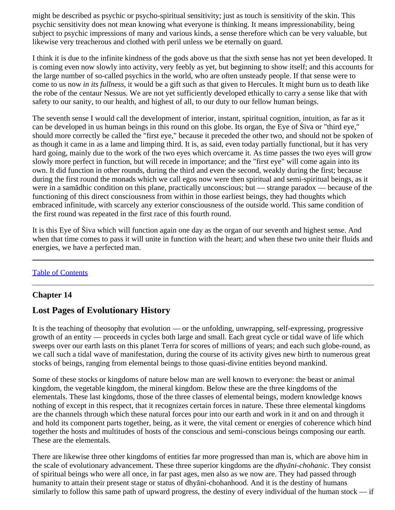might be described as psychic or psycho-spiritual sensitivity; just as touch is sensitivity of the skin. This psychic sensitivity does not mean knowing what everyone is thinking. It means impressionability, being subject to psychic impressions of many and various kinds, a sense therefore which can be very valuable, but likewise very treacherous and clothed with peril unless we be eternally on guard.

I think it is due to the infinite kindness of the gods above us that the sixth sense has not yet been developed. It is coming even now slowly into activity, very feebly as yet, but beginning to show itself; and this accounts for the large number of so-called psychics in the world, who are often unsteady people. If that sense were to come to us now *in its fullness*, it would be a gift such as that given to Hercules. It might burn us to death like the robe of the centaur Nessus. We are not yet sufficiently developed ethically to carry a sense like that with safety to our sanity, to our health, and highest of all, to our duty to our fellow human beings.

The seventh sense I would call the development of interior, instant, spiritual cognition, intuition, as far as it can be developed in us human beings in this round on this globe. Its organ, the Eye of Śiva or "third eye," should more correctly be called the "first eye," because it preceded the other two, and should not be spoken of as though it came in as a lame and limping third. It is, as said, even today partially functional, but it has very hard going, mainly due to the work of the two eyes which overcame it. As time passes the two eyes will grow slowly more perfect in function, but will recede in importance; and the "first eye" will come again into its own. It did function in other rounds, during the third and even the second, weakly during the first; because during the first round the monads which we call egos now were then spiritual and semi-spiritual beings, as it were in a samādhic condition on this plane, practically unconscious; but — strange paradox — because of the functioning of this direct consciousness from within in those earliest beings, they had thoughts which embraced infinitude, with scarcely any exterior consciousness of the outside world. This same condition of the first round was repeated in the first race of this fourth round.

It is this Eye of Śiva which will function again one day as the organ of our seventh and highest sense. And when that time comes to pass it will unite in function with the heart; and when these two unite their fluids and energies, we have a perfected man.

# [Table of Contents](#page-0-0)

# <span id="page-51-0"></span>**Chapter 14**

# **Lost Pages of Evolutionary History**

It is the teaching of theosophy that evolution — or the unfolding, unwrapping, self-expressing, progressive growth of an entity — proceeds in cycles both large and small. Each great cycle or tidal wave of life which sweeps over our earth lasts on this planet Terra for scores of millions of years; and each such globe-round, as we call such a tidal wave of manifestation, during the course of its activity gives new birth to numerous great stocks of beings, ranging from elemental beings to those quasi-divine entities beyond mankind.

Some of these stocks or kingdoms of nature below man are well known to everyone: the beast or animal kingdom, the vegetable kingdom, the mineral kingdom. Below these are the three kingdoms of the elementals. These last kingdoms, those of the three classes of elemental beings, modern knowledge knows nothing of except in this respect, that it recognizes certain forces in nature. These three elemental kingdoms are the channels through which these natural forces pour into our earth and work in it and on and through it and hold its component parts together, being, as it were, the vital cement or energies of coherence which bind together the hosts and multitudes of hosts of the conscious and semi-conscious beings composing our earth. These are the elementals.

There are likewise three other kingdoms of entities far more progressed than man is, which are above him in the scale of evolutionary advancement. These three superior kingdoms are the *dhyāni-chohanic*. They consist of spiritual beings who were all once, in far past ages, men also as we now are. They had passed through humanity to attain their present stage or status of dhyāni-chohanhood. And it is the destiny of humans similarly to follow this same path of upward progress, the destiny of every individual of the human stock — if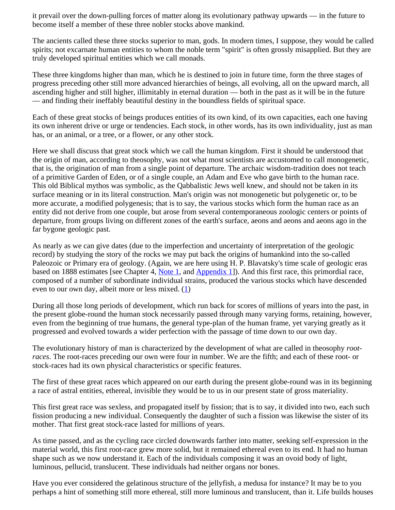it prevail over the down-pulling forces of matter along its evolutionary pathway upwards — in the future to become itself a member of these three nobler stocks above mankind.

The ancients called these three stocks superior to man, gods. In modern times, I suppose, they would be called spirits; not excarnate human entities to whom the noble term "spirit" is often grossly misapplied. But they are truly developed spiritual entities which we call monads.

These three kingdoms higher than man, which he is destined to join in future time, form the three stages of progress preceding other still more advanced hierarchies of beings, all evolving, all on the upward march, all ascending higher and still higher, illimitably in eternal duration — both in the past as it will be in the future — and finding their ineffably beautiful destiny in the boundless fields of spiritual space.

Each of these great stocks of beings produces entities of its own kind, of its own capacities, each one having its own inherent drive or urge or tendencies. Each stock, in other words, has its own individuality, just as man has, or an animal, or a tree, or a flower, or any other stock.

Here we shall discuss that great stock which we call the human kingdom. First it should be understood that the origin of man, according to theosophy, was not what most scientists are accustomed to call monogenetic, that is, the origination of man from a single point of departure. The archaic wisdom-tradition does not teach of a primitive Garden of Eden, or of a single couple, an Adam and Eve who gave birth to the human race. This old Biblical mythos was symbolic, as the Qabbalistic Jews well knew, and should not be taken in its surface meaning or in its literal construction. Man's origin was not monogenetic but polygenetic or, to be more accurate, a modified polygenesis; that is to say, the various stocks which form the human race as an entity did not derive from one couple, but arose from several contemporaneous zoologic centers or points of departure, from groups living on different zones of the earth's surface, aeons and aeons and aeons ago in the far bygone geologic past.

As nearly as we can give dates (due to the imperfection and uncertainty of interpretation of the geologic record) by studying the story of the rocks we may put back the origins of humankind into the so-called Paleozoic or Primary era of geology. (Again, we are here using H. P. Blavatsky's time scale of geologic eras based on 1888 estimates [see Chapter 4, [Note 1](#page-19-0), and [Appendix 1](#page-57-0)]). And this first race, this primordial race, composed of a number of subordinate individual strains, produced the various stocks which have descended even to our own day, albeit more or less mixed.  $(1)$  $(1)$ 

During all those long periods of development, which run back for scores of millions of years into the past, in the present globe-round the human stock necessarily passed through many varying forms, retaining, however, even from the beginning of true humans, the general type-plan of the human frame, yet varying greatly as it progressed and evolved towards a wider perfection with the passage of time down to our own day.

The evolutionary history of man is characterized by the development of what are called in theosophy *rootraces*. The root-races preceding our own were four in number. We are the fifth; and each of these root- or stock-races had its own physical characteristics or specific features.

The first of these great races which appeared on our earth during the present globe-round was in its beginning a race of astral entities, ethereal, invisible they would be to us in our present state of gross materiality.

This first great race was sexless, and propagated itself by fission; that is to say, it divided into two, each such fission producing a new individual. Consequently the daughter of such a fission was likewise the sister of its mother. That first great stock-race lasted for millions of years.

As time passed, and as the cycling race circled downwards farther into matter, seeking self-expression in the material world, this first root-race grew more solid, but it remained ethereal even to its end. It had no human shape such as we now understand it. Each of the individuals composing it was an ovoid body of light, luminous, pellucid, translucent. These individuals had neither organs nor bones.

Have you ever considered the gelatinous structure of the jellyfish, a medusa for instance? It may be to you perhaps a hint of something still more ethereal, still more luminous and translucent, than it. Life builds houses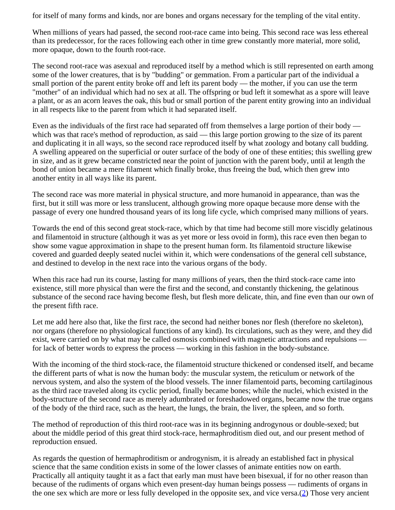for itself of many forms and kinds, nor are bones and organs necessary for the templing of the vital entity.

When millions of years had passed, the second root-race came into being. This second race was less ethereal than its predecessor, for the races following each other in time grew constantly more material, more solid, more opaque, down to the fourth root-race.

The second root-race was asexual and reproduced itself by a method which is still represented on earth among some of the lower creatures, that is by "budding" or gemmation. From a particular part of the individual a small portion of the parent entity broke off and left its parent body — the mother, if you can use the term "mother" of an individual which had no sex at all. The offspring or bud left it somewhat as a spore will leave a plant, or as an acorn leaves the oak, this bud or small portion of the parent entity growing into an individual in all respects like to the parent from which it had separated itself.

Even as the individuals of the first race had separated off from themselves a large portion of their body which was that race's method of reproduction, as said — this large portion growing to the size of its parent and duplicating it in all ways, so the second race reproduced itself by what zoology and botany call budding. A swelling appeared on the superficial or outer surface of the body of one of these entities; this swelling grew in size, and as it grew became constricted near the point of junction with the parent body, until at length the bond of union became a mere filament which finally broke, thus freeing the bud, which then grew into another entity in all ways like its parent.

The second race was more material in physical structure, and more humanoid in appearance, than was the first, but it still was more or less translucent, although growing more opaque because more dense with the passage of every one hundred thousand years of its long life cycle, which comprised many millions of years.

Towards the end of this second great stock-race, which by that time had become still more viscidly gelatinous and filamentoid in structure (although it was as yet more or less ovoid in form), this race even then began to show some vague approximation in shape to the present human form. Its filamentoid structure likewise covered and guarded deeply seated nuclei within it, which were condensations of the general cell substance, and destined to develop in the next race into the various organs of the body.

When this race had run its course, lasting for many millions of years, then the third stock-race came into existence, still more physical than were the first and the second, and constantly thickening, the gelatinous substance of the second race having become flesh, but flesh more delicate, thin, and fine even than our own of the present fifth race.

Let me add here also that, like the first race, the second had neither bones nor flesh (therefore no skeleton), nor organs (therefore no physiological functions of any kind). Its circulations, such as they were, and they did exist, were carried on by what may be called osmosis combined with magnetic attractions and repulsions for lack of better words to express the process — working in this fashion in the body-substance.

With the incoming of the third stock-race, the filamentoid structure thickened or condensed itself, and became the different parts of what is now the human body: the muscular system, the reticulum or network of the nervous system, and also the system of the blood vessels. The inner filamentoid parts, becoming cartilaginous as the third race traveled along its cyclic period, finally became bones; while the nuclei, which existed in the body-structure of the second race as merely adumbrated or foreshadowed organs, became now the true organs of the body of the third race, such as the heart, the lungs, the brain, the liver, the spleen, and so forth.

The method of reproduction of this third root-race was in its beginning androgynous or double-sexed; but about the middle period of this great third stock-race, hermaphroditism died out, and our present method of reproduction ensued.

<span id="page-53-0"></span>As regards the question of hermaphroditism or androgynism, it is already an established fact in physical science that the same condition exists in some of the lower classes of animate entities now on earth. Practically all antiquity taught it as a fact that early man must have been bisexual, if for no other reason than because of the rudiments of organs which even present-day human beings possess — rudiments of organs in the one sex which are more or less fully developed in the opposite sex, and vice versa.[\(2](#page-57-2)) Those very ancient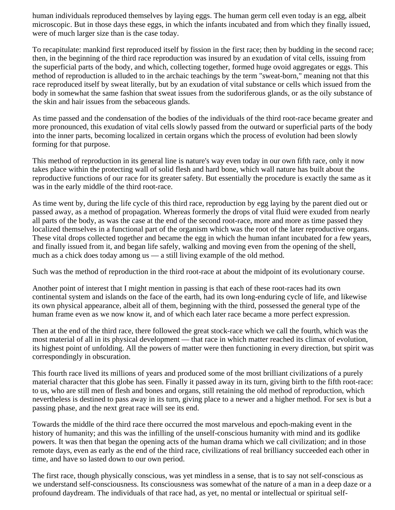human individuals reproduced themselves by laying eggs. The human germ cell even today is an egg, albeit microscopic. But in those days these eggs, in which the infants incubated and from which they finally issued, were of much larger size than is the case today.

To recapitulate: mankind first reproduced itself by fission in the first race; then by budding in the second race; then, in the beginning of the third race reproduction was insured by an exudation of vital cells, issuing from the superficial parts of the body, and which, collecting together, formed huge ovoid aggregates or eggs. This method of reproduction is alluded to in the archaic teachings by the term "sweat-born," meaning not that this race reproduced itself by sweat literally, but by an exudation of vital substance or cells which issued from the body in somewhat the same fashion that sweat issues from the sudoriferous glands, or as the oily substance of the skin and hair issues from the sebaceous glands.

As time passed and the condensation of the bodies of the individuals of the third root-race became greater and more pronounced, this exudation of vital cells slowly passed from the outward or superficial parts of the body into the inner parts, becoming localized in certain organs which the process of evolution had been slowly forming for that purpose.

This method of reproduction in its general line is nature's way even today in our own fifth race, only it now takes place within the protecting wall of solid flesh and hard bone, which wall nature has built about the reproductive functions of our race for its greater safety. But essentially the procedure is exactly the same as it was in the early middle of the third root-race.

As time went by, during the life cycle of this third race, reproduction by egg laying by the parent died out or passed away, as a method of propagation. Whereas formerly the drops of vital fluid were exuded from nearly all parts of the body, as was the case at the end of the second root-race, more and more as time passed they localized themselves in a functional part of the organism which was the root of the later reproductive organs. These vital drops collected together and became the egg in which the human infant incubated for a few years, and finally issued from it, and began life safely, walking and moving even from the opening of the shell, much as a chick does today among us — a still living example of the old method.

Such was the method of reproduction in the third root-race at about the midpoint of its evolutionary course.

Another point of interest that I might mention in passing is that each of these root-races had its own continental system and islands on the face of the earth, had its own long-enduring cycle of life, and likewise its own physical appearance, albeit all of them, beginning with the third, possessed the general type of the human frame even as we now know it, and of which each later race became a more perfect expression.

Then at the end of the third race, there followed the great stock-race which we call the fourth, which was the most material of all in its physical development — that race in which matter reached its climax of evolution, its highest point of unfolding. All the powers of matter were then functioning in every direction, but spirit was correspondingly in obscuration.

This fourth race lived its millions of years and produced some of the most brilliant civilizations of a purely material character that this globe has seen. Finally it passed away in its turn, giving birth to the fifth root-race: to us, who are still men of flesh and bones and organs, still retaining the old method of reproduction, which nevertheless is destined to pass away in its turn, giving place to a newer and a higher method. For sex is but a passing phase, and the next great race will see its end.

Towards the middle of the third race there occurred the most marvelous and epoch-making event in the history of humanity; and this was the infilling of the unself-conscious humanity with mind and its godlike powers. It was then that began the opening acts of the human drama which we call civilization; and in those remote days, even as early as the end of the third race, civilizations of real brilliancy succeeded each other in time, and have so lasted down to our own period.

The first race, though physically conscious, was yet mindless in a sense, that is to say not self-conscious as we understand self-consciousness. Its consciousness was somewhat of the nature of a man in a deep daze or a profound daydream. The individuals of that race had, as yet, no mental or intellectual or spiritual self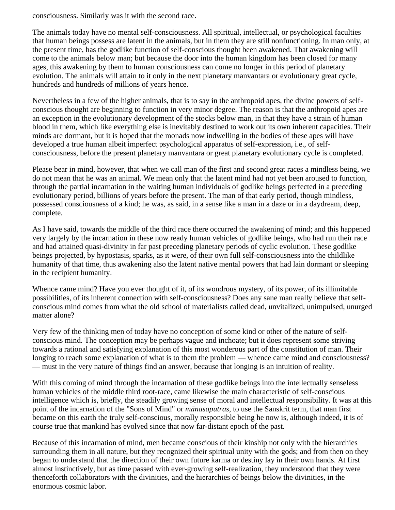consciousness. Similarly was it with the second race.

The animals today have no mental self-consciousness. All spiritual, intellectual, or psychological faculties that human beings possess are latent in the animals, but in them they are still nonfunctioning. In man only, at the present time, has the godlike function of self-conscious thought been awakened. That awakening will come to the animals below man; but because the door into the human kingdom has been closed for many ages, this awakening by them to human consciousness can come no longer in this period of planetary evolution. The animals will attain to it only in the next planetary manvantara or evolutionary great cycle, hundreds and hundreds of millions of years hence.

Nevertheless in a few of the higher animals, that is to say in the anthropoid apes, the divine powers of selfconscious thought are beginning to function in very minor degree. The reason is that the anthropoid apes are an exception in the evolutionary development of the stocks below man, in that they have a strain of human blood in them, which like everything else is inevitably destined to work out its own inherent capacities. Their minds are dormant, but it is hoped that the monads now indwelling in the bodies of these apes will have developed a true human albeit imperfect psychological apparatus of self-expression, i.e., of selfconsciousness, before the present planetary manvantara or great planetary evolutionary cycle is completed.

Please bear in mind, however, that when we call man of the first and second great races a mindless being, we do not mean that he was an animal. We mean only that the latent mind had not yet been aroused to function, through the partial incarnation in the waiting human individuals of godlike beings perfected in a preceding evolutionary period, billions of years before the present. The man of that early period, though mindless, possessed consciousness of a kind; he was, as said, in a sense like a man in a daze or in a daydream, deep, complete.

As I have said, towards the middle of the third race there occurred the awakening of mind; and this happened very largely by the incarnation in these now ready human vehicles of godlike beings, who had run their race and had attained quasi-divinity in far past preceding planetary periods of cyclic evolution. These godlike beings projected, by hypostasis, sparks, as it were, of their own full self-consciousness into the childlike humanity of that time, thus awakening also the latent native mental powers that had lain dormant or sleeping in the recipient humanity.

Whence came mind? Have you ever thought of it, of its wondrous mystery, of its power, of its illimitable possibilities, of its inherent connection with self-consciousness? Does any sane man really believe that selfconscious mind comes from what the old school of materialists called dead, unvitalized, unimpulsed, unurged matter alone?

Very few of the thinking men of today have no conception of some kind or other of the nature of selfconscious mind. The conception may be perhaps vague and inchoate; but it does represent some striving towards a rational and satisfying explanation of this most wonderous part of the constitution of man. Their longing to reach some explanation of what is to them the problem — whence came mind and consciousness? — must in the very nature of things find an answer, because that longing is an intuition of reality.

With this coming of mind through the incarnation of these godlike beings into the intellectually senseless human vehicles of the middle third root-race, came likewise the main characteristic of self-conscious intelligence which is, briefly, the steadily growing sense of moral and intellectual responsibility. It was at this point of the incarnation of the "Sons of Mind" or *mānasaputras*, to use the Sanskrit term, that man first became on this earth the truly self-conscious, morally responsible being he now is, although indeed, it is of course true that mankind has evolved since that now far-distant epoch of the past.

Because of this incarnation of mind, men became conscious of their kinship not only with the hierarchies surrounding them in all nature, but they recognized their spiritual unity with the gods; and from then on they began to understand that the direction of their own future karma or destiny lay in their own hands. At first almost instinctively, but as time passed with ever-growing self-realization, they understood that they were thenceforth collaborators with the divinities, and the hierarchies of beings below the divinities, in the enormous cosmic labor.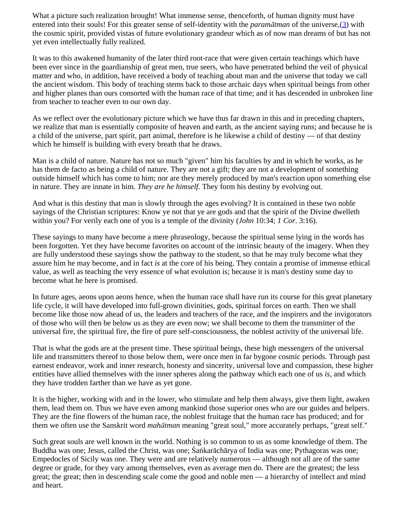<span id="page-56-0"></span>What a picture such realization brought! What immense sense, thenceforth, of human dignity must have entered into their souls! For this greater sense of self-identity with the *paramātman* of the universe,[\(3](#page-57-3)) with the cosmic spirit, provided vistas of future evolutionary grandeur which as of now man dreams of but has not yet even intellectually fully realized.

It was to this awakened humanity of the later third root-race that were given certain teachings which have been ever since in the guardianship of great men, true seers, who have penetrated behind the veil of physical matter and who, in addition, have received a body of teaching about man and the universe that today we call the ancient wisdom. This body of teaching stems back to those archaic days when spiritual beings from other and higher planes than ours consorted with the human race of that time; and it has descended in unbroken line from teacher to teacher even to our own day.

As we reflect over the evolutionary picture which we have thus far drawn in this and in preceding chapters, we realize that man is essentially composite of heaven and earth, as the ancient saying runs; and because he is a child of the universe, part spirit, part animal, therefore is he likewise a child of destiny — of that destiny which he himself is building with every breath that he draws.

Man is a child of nature. Nature has not so much "given" him his faculties by and in which he works, as he has them de facto as being a child of nature. They are not a gift; they are not a development of something outside himself which has come to him; nor are they merely produced by man's reaction upon something else in nature. They are innate in him. *They are he himself*. They form his destiny by evolving out.

And what is this destiny that man is slowly through the ages evolving? It is contained in these two noble sayings of the Christian scriptures: Know ye not that ye are gods and that the spirit of the Divine dwelleth within you? For verily each one of you is a temple of the divinity (*John* 10:34; *1 Cor*. 3:16).

These sayings to many have become a mere phraseology, because the spiritual sense lying in the words has been forgotten. Yet they have become favorites on account of the intrinsic beauty of the imagery. When they are fully understood these sayings show the pathway to the student, so that he may truly become what they assure him he may become, and in fact *is* at the core of his being. They contain a promise of immense ethical value, as well as teaching the very essence of what evolution is; because it is man's destiny some day to become what he here is promised.

In future ages, aeons upon aeons hence, when the human race shall have run its course for this great planetary life cycle, it will have developed into full-grown divinities, gods, spiritual forces on earth. Then we shall become like those now ahead of us, the leaders and teachers of the race, and the inspirers and the invigorators of those who will then be below us as they are even now; we shall become to them the transmitter of the universal fire, the spiritual fire, the fire of pure self-consciousness, the noblest activity of the universal life.

That is what the gods are at the present time. These spiritual beings, these high messengers of the universal life and transmitters thereof to those below them, were once men in far bygone cosmic periods. Through past earnest endeavor, work and inner research, honesty and sincerity, universal love and compassion, these higher entities have allied themselves with the inner spheres along the pathway which each one of us *is,* and which they have trodden farther than we have as yet gone.

It is the higher, working with and in the lower, who stimulate and help them always, give them light, awaken them, lead them on. Thus we have even among mankind those superior ones who are our guides and helpers. They are the fine flowers of the human race, the noblest fruitage that the human race has produced; and for them we often use the Sanskrit word *mahātman* meaning "great soul," more accurately perhaps, "great self."

Such great souls are well known in the world. Nothing is so common to us as some knowledge of them. The Buddha was one; Jesus, called the Christ, was one; Śaṅkarāchārya of India was one; Pythagoras was one; Empedocles of Sicily was one. They were and are relatively numerous — although not all are of the same degree or grade, for they vary among themselves, even as average men do. There are the greatest; the less great; the great; then in descending scale come the good and noble men — a hierarchy of intellect and mind and heart.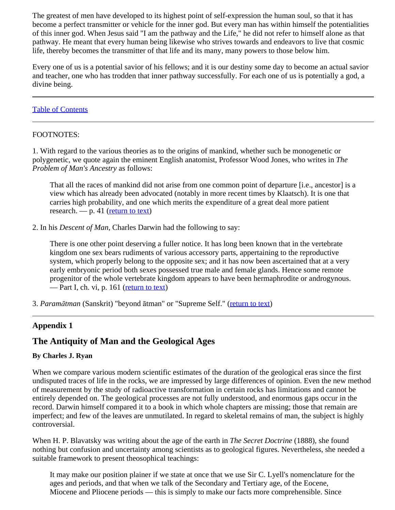The greatest of men have developed to its highest point of self-expression the human soul, so that it has become a perfect transmitter or vehicle for the inner god. But every man has within himself the potentialities of this inner god. When Jesus said "I am the pathway and the Life," he did not refer to himself alone as that pathway. He meant that every human being likewise who strives towards and endeavors to live that cosmic life, thereby becomes the transmitter of that life and its many, many powers to those below him.

Every one of us is a potential savior of his fellows; and it is our destiny some day to become an actual savior and teacher, one who has trodden that inner pathway successfully. For each one of us is potentially a god, a divine being.

### [Table of Contents](#page-0-0)

### <span id="page-57-1"></span>FOOTNOTES:

1. With regard to the various theories as to the origins of mankind, whether such be monogenetic or polygenetic, we quote again the eminent English anatomist, Professor Wood Jones, who writes in *The Problem of Man's Ancestry* as follows:

That all the races of mankind did not arise from one common point of departure [i.e., ancestor] is a view which has already been advocated (notably in more recent times by Klaatsch). It is one that carries high probability, and one which merits the expenditure of a great deal more patient research. — p. 41 [\(return to text](#page-53-0))

<span id="page-57-2"></span>2. In his *Descent of Man,* Charles Darwin had the following to say:

There is one other point deserving a fuller notice. It has long been known that in the vertebrate kingdom one sex bears rudiments of various accessory parts, appertaining to the reproductive system, which properly belong to the opposite sex; and it has now been ascertained that at a very early embryonic period both sexes possessed true male and female glands. Hence some remote progenitor of the whole vertebrate kingdom appears to have been hermaphrodite or androgynous. — Part I, ch. vi, p. 161 [\(return to text](#page-53-0))

<span id="page-57-3"></span>3. *Paramātman* (Sanskrit) "beyond ātman" or "Supreme Self." [\(return to text](#page-56-0))

# <span id="page-57-0"></span>**Appendix 1**

# **The Antiquity of Man and the Geological Ages**

### **By Charles J. Ryan**

When we compare various modern scientific estimates of the duration of the geological eras since the first undisputed traces of life in the rocks, we are impressed by large differences of opinion. Even the new method of measurement by the study of radioactive transformation in certain rocks has limitations and cannot be entirely depended on. The geological processes are not fully understood, and enormous gaps occur in the record. Darwin himself compared it to a book in which whole chapters are missing; those that remain are imperfect; and few of the leaves are unmutilated. In regard to skeletal remains of man, the subject is highly controversial.

When H. P. Blavatsky was writing about the age of the earth in *The Secret Doctrine* (1888), she found nothing but confusion and uncertainty among scientists as to geological figures. Nevertheless, she needed a suitable framework to present theosophical teachings:

It may make our position plainer if we state at once that we use Sir C. Lyell's nomenclature for the ages and periods, and that when we talk of the Secondary and Tertiary age, of the Eocene, Miocene and Pliocene periods — this is simply to make our facts more comprehensible. Since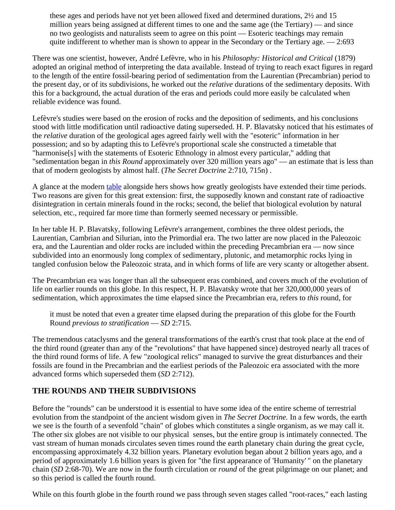these ages and periods have not yet been allowed fixed and determined durations, 2½ and 15 million years being assigned at different times to one and the same age (the Tertiary) — and since no two geologists and naturalists seem to agree on this point — Esoteric teachings may remain quite indifferent to whether man is shown to appear in the Secondary or the Tertiary age. — 2:693

There was one scientist, however, André Lefèvre, who in his *Philosophy: Historical and Critical* (1879) adopted an original method of interpreting the data available. Instead of trying to reach exact figures in regard to the length of the entire fossil-bearing period of sedimentation from the Laurentian (Precambrian) period to the present day, or of its subdivisions, he worked out the *relative* durations of the sedimentary deposits. With this for a background, the actual duration of the eras and periods could more easily be calculated when reliable evidence was found.

Lefèvre's studies were based on the erosion of rocks and the deposition of sediments, and his conclusions stood with little modification until radioactive dating superseded. H. P. Blavatsky noticed that his estimates of the *relative* duration of the geological ages agreed fairly well with the "esoteric" information in her possession; and so by adapting this to Lefèvre's proportional scale she constructed a timetable that "harmonise<sup>[s]</sup> with the statements of Esoteric Ethnology in almost every particular," adding that "sedimentation began in *this Round* approximately over 320 million years ago" — an estimate that is less than that of modern geologists by almost half. (*The Secret Doctrine* 2:710, 715n) .

A glance at the modern [table](#page-78-0) alongside hers shows how greatly geologists have extended their time periods. Two reasons are given for this great extension: first, the supposedly known and constant rate of radioactive disintegration in certain minerals found in the rocks; second, the belief that biological evolution by natural selection, etc., required far more time than formerly seemed necessary or permissible.

In her table H. P. Blavatsky, following Lefèvre's arrangement, combines the three oldest periods, the Laurentian, Cambrian and Silurian, into the Primordial era. The two latter are now placed in the Paleozoic era, and the Laurentian and older rocks are included within the preceding Precambrian era — now since subdivided into an enormously long complex of sedimentary, plutonic, and metamorphic rocks lying in tangled confusion below the Paleozoic strata, and in which forms of life are very scanty or altogether absent.

The Precambrian era was longer than all the subsequent eras combined, and covers much of the evolution of life on earlier rounds on this globe. In this respect, H. P. Blavatsky wrote that her 320,000,000 years of sedimentation, which approximates the time elapsed since the Precambrian era, refers to *this* round, for

it must be noted that even a greater time elapsed during the preparation of this globe for the Fourth Round *previous to stratification* — *SD* 2:715.

The tremendous cataclysms and the general transformations of the earth's crust that took place at the end of the third round (greater than any of the "revolutions" that have happened since) destroyed nearly all traces of the third round forms of life. A few "zoological relics" managed to survive the great disturbances and their fossils are found in the Precambrian and the earliest periods of the Paleozoic era associated with the more advanced forms which superseded them (*SD* 2:712).

# **THE ROUNDS AND THEIR SUBDIVISIONS**

Before the "rounds" can be understood it is essential to have some idea of the entire scheme of terrestrial evolution from the standpoint of the ancient wisdom given in *The Secret Doctrine.* In a few words, the earth we see is the fourth of a sevenfold "chain" of globes which constitutes a single organism, as we may call it. The other six globes are not visible to our physical senses, but the entire group is intimately connected. The vast stream of human monads circulates seven times round the earth planetary chain during the great cycle, encompassing approximately 4.32 billion years. Planetary evolution began about 2 billion years ago, and a period of approximately 1.6 billion years is given for "the first appearance of 'Humanity' " on the planetary chain (*SD* 2:68-70). We are now in the fourth circulation or *round* of the great pilgrimage on our planet; and so this period is called the fourth round.

While on this fourth globe in the fourth round we pass through seven stages called "root-races," each lasting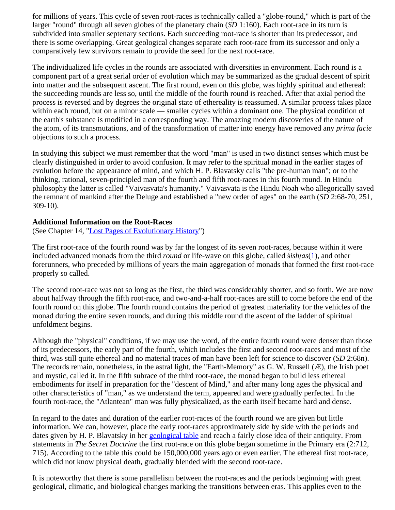for millions of years. This cycle of seven root-races is technically called a "globe-round," which is part of the larger "round" through all seven globes of the planetary chain (*SD* 1:160). Each root-race in its turn is subdivided into smaller septenary sections. Each succeeding root-race is shorter than its predecessor, and there is some overlapping. Great geological changes separate each root-race from its successor and only a comparatively few survivors remain to provide the seed for the next root-race.

The individualized life cycles in the rounds are associated with diversities in environment. Each round is a component part of a great serial order of evolution which may be summarized as the gradual descent of spirit into matter and the subsequent ascent. The first round, even on this globe, was highly spiritual and ethereal: the succeeding rounds are less so, until the middle of the fourth round is reached. After that axial period the process is reversed and by degrees the original state of ethereality is reassumed. A similar process takes place within each round, but on a minor scale — smaller cycles within a dominant one. The physical condition of the earth's substance is modified in a corresponding way. The amazing modern discoveries of the nature of the atom, of its transmutations, and of the transformation of matter into energy have removed any *prima facie* objections to such a process.

In studying this subject we must remember that the word "man" is used in two distinct senses which must be clearly distinguished in order to avoid confusion. It may refer to the spiritual monad in the earlier stages of evolution before the appearance of mind, and which H. P. Blavatsky calls "the pre-human man"; or to the thinking, rational, seven-principled man of the fourth and fifth root-races in this fourth round. In Hindu philosophy the latter is called "Vaivasvata's humanity." Vaivasvata is the Hindu Noah who allegorically saved the remnant of mankind after the Deluge and established a "new order of ages" on the earth (*SD* 2:68-70, 251, 309-10).

### **Additional Information on the Root-Races**

(See Chapter 14, ["Lost Pages of Evolutionary History"](#page-51-0))

<span id="page-59-0"></span>The first root-race of the fourth round was by far the longest of its seven root-races, because within it were included advanced monads from the third *round* or life-wave on this globe, called ś*ishṭas*[\(1](#page-60-0)), and other forerunners, who preceded by millions of years the main aggregation of monads that formed the first root-race properly so called.

The second root-race was not so long as the first, the third was considerably shorter, and so forth. We are now about halfway through the fifth root-race, and two-and-a-half root-races are still to come before the end of the fourth round on this globe. The fourth round contains the period of greatest materiality for the vehicles of the monad during the entire seven rounds, and during this middle round the ascent of the ladder of spiritual unfoldment begins.

Although the "physical" conditions, if we may use the word, of the entire fourth round were denser than those of its predecessors, the early part of the fourth, which includes the first and second root-races and most of the third, was still quite ethereal and no material traces of man have been left for science to discover (*SD* 2:68n). The records remain, nonetheless, in the astral light, the "Earth-Memory" as G. W. Russell (Æ), the Irish poet and mystic, called it. In the fifth subrace of the third root-race, the monad began to build less ethereal embodiments for itself in preparation for the "descent of Mind," and after many long ages the physical and other characteristics of "man," as we understand the term, appeared and were gradually perfected. In the fourth root-race, the "Atlantean" man was fully physicalized, as the earth itself became hard and dense.

In regard to the dates and duration of the earlier root-races of the fourth round we are given but little information. We can, however, place the early root-races approximately side by side with the periods and dates given by H. P. Blavatsky in her [geological table](#page-78-0) and reach a fairly close idea of their antiquity. From statements in *The Secret Doctrine* the first root-race on this globe began sometime in the Primary era (2:712, 715). According to the table this could be 150,000,000 years ago or even earlier. The ethereal first root-race, which did not know physical death, gradually blended with the second root-race.

It is noteworthy that there is some parallelism between the root-races and the periods beginning with great geological, climatic, and biological changes marking the transitions between eras. This applies even to the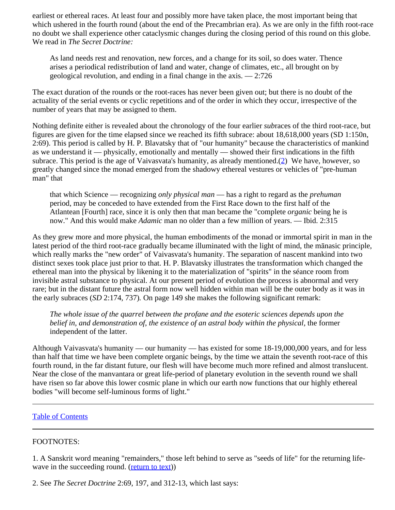earliest or ethereal races. At least four and possibly more have taken place, the most important being that which ushered in the fourth round (about the end of the Precambrian era). As we are only in the fifth root-race no doubt we shall experience other cataclysmic changes during the closing period of this round on this globe. We read in *The Secret Doctrine:*

As land needs rest and renovation, new forces, and a change for its soil, so does water. Thence arises a periodical redistribution of land and water, change of climates, etc., all brought on by geological revolution, and ending in a final change in the axis. — 2:726

The exact duration of the rounds or the root-races has never been given out; but there is no doubt of the actuality of the serial events or cyclic repetitions and of the order in which they occur, irrespective of the number of years that may be assigned to them.

<span id="page-60-2"></span>Nothing definite either is revealed about the chronology of the four earlier *sub*races of the third root-race, but figures are given for the time elapsed since we reached its fifth subrace: about 18,618,000 years (SD 1:150n, 2:69). This period is called by H. P. Blavatsky that of "our humanity" because the characteristics of mankind as we understand it — physically, emotionally and mentally — showed their first indications in the fifth subrace. This period is the age of Vaivasvata's humanity, as already mentioned.[\(2](#page-60-1)) We have, however, so greatly changed since the monad emerged from the shadowy ethereal vestures or vehicles of "pre-human man" that

that which Science — recognizing *only physical man* — has a right to regard as the *prehuman* period, may be conceded to have extended from the First Race down to the first half of the Atlantean [Fourth] race, since it is only then that man became the "complete *organic* being he is now." And this would make *Adamic* man no older than a few million of years. — Ibid. 2:315

As they grew more and more physical, the human embodiments of the monad or immortal spirit in man in the latest period of the third root-race gradually became illuminated with the light of mind, the mānasic principle, which really marks the "new order" of Vaivasvata's humanity. The separation of nascent mankind into two distinct sexes took place just prior to that. H. P. Blavatsky illustrates the transformation which changed the ethereal man into the physical by likening it to the materialization of "spirits" in the séance room from invisible astral substance to physical. At our present period of evolution the process is abnormal and very rare; but in the distant future the astral form now well hidden within man will be the outer body as it was in the early subraces (*SD* 2:174, 737)*.* On page 149 she makes the following significant remark:

*The whole issue of the quarrel between the profane and the esoteric sciences depends upon the belief in, and demonstration of, the existence of an astral body within the physical,* the former independent of the latter.

Although Vaivasvata's humanity — our humanity — has existed for some 18-19,000,000 years, and for less than half that time we have been complete organic beings, by the time we attain the seventh root-race of this fourth round, in the far distant future, our flesh will have become much more refined and almost translucent. Near the close of the manvantara or great life-period of planetary evolution in the seventh round we shall have risen so far above this lower cosmic plane in which our earth now functions that our highly ethereal bodies "will become self-luminous forms of light."

#### [Table of Contents](#page-0-0)

### <span id="page-60-0"></span>FOOTNOTES:

1. A Sanskrit word meaning "remainders," those left behind to serve as "seeds of life" for the returning lifewave in the succeeding round. ([return to text](#page-59-0)))

<span id="page-60-1"></span>2. See *The Secret Doctrine* 2:69, 197, and 312-13, which last says: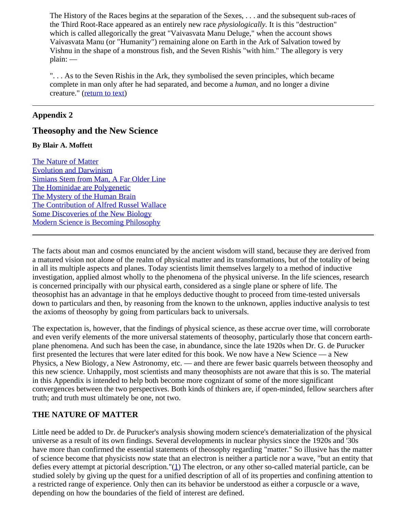The History of the Races begins at the separation of the Sexes, . . . and the subsequent sub-races of the Third Root-Race appeared as an entirely new race *physiologically.* It is this "destruction" which is called allegorically the great "Vaivasvata Manu Deluge," when the account shows Vaivasvata Manu (or "Humanity") remaining alone on Earth in the Ark of Salvation towed by Vishnu in the shape of a monstrous fish, and the Seven Rishis "with him." The allegory is very plain: —

". . . As to the Seven Rishis in the Ark, they symbolised the seven principles, which became complete in man only after he had separated, and become a *human*, and no longer a divine creature." ([return to text\)](#page-60-2)

### **Appendix 2**

# **Theosophy and the New Science**

### **By Blair A. Moffett**

[The Nature of Matter](#page-61-0) [Evolution and Darwinism](#page-62-0) [Simians Stem from Man, A Far Older Line](#page-63-0) [The Hominidae are Polygenetic](#page-65-0) [The Mystery of the Human Brain](#page-67-0) [The Contribution of Alfred Russel Wallace](#page-69-0) [Some Discoveries of the New Biology](#page-70-0) [Modern Science is Becoming Philosophy](#page-71-0)

The facts about man and cosmos enunciated by the ancient wisdom will stand, because they are derived from a matured vision not alone of the realm of physical matter and its transformations, but of the totality of being in all its multiple aspects and planes. Today scientists limit themselves largely to a method of inductive investigation, applied almost wholly to the phenomena of the physical universe. In the life sciences, research is concerned principally with our physical earth, considered as a single plane or sphere of life. The theosophist has an advantage in that he employs deductive thought to proceed from time-tested universals down to particulars and then, by reasoning from the known to the unknown, applies inductive analysis to test the axioms of theosophy by going from particulars back to universals.

The expectation is, however, that the findings of physical science, as these accrue over time, will corroborate and even verify elements of the more universal statements of theosophy, particularly those that concern earthplane phenomena. And such has been the case, in abundance, since the late 1920s when Dr. G. de Purucker first presented the lectures that were later edited for this book. We now have a New Science — a New Physics, a New Biology, a New Astronomy, etc. — and there are fewer basic quarrels between theosophy and this new science. Unhappily, most scientists and many theosophists are not aware that this is so. The material in this Appendix is intended to help both become more cognizant of some of the more significant convergences between the two perspectives. Both kinds of thinkers are, if open-minded, fellow searchers after truth; and truth must ultimately be one, not two.

### <span id="page-61-0"></span>**THE NATURE OF MATTER**

Little need be added to Dr. de Purucker's analysis showing modern science's dematerialization of the physical universe as a result of its own findings. Several developments in nuclear physics since the 1920s and '30s have more than confirmed the essential statements of theosophy regarding "matter." So illusive has the matter of science become that physicists now state that an electron is neither a particle nor a wave, "but an entity that defies every attempt at pictorial description." $(1)$  $(1)$  The electron, or any other so-called material particle, can be studied solely by giving up the quest for a unified description of all of its properties and confining attention to a restricted range of experience. Only then can its behavior be understood as either a corpuscle or a wave, depending on how the boundaries of the field of interest are defined.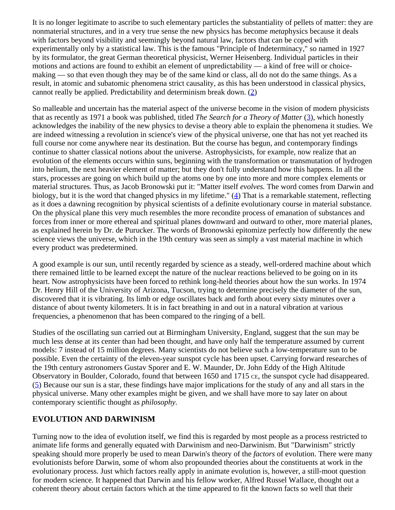It is no longer legitimate to ascribe to such elementary particles the substantiality of pellets of matter: they are nonmaterial structures, and in a very true sense the new physics has become *meta*physics because it deals with factors beyond visibility and seemingly beyond natural law, factors that can be coped with experimentally only by a statistical law. This is the famous "Principle of Indeterminacy," so named in 1927 by its formulator, the great German theoretical physicist, Werner Heisenberg. Individual particles in their motions and actions are found to exhibit an element of unpredictability — a kind of free will or choicemaking — so that even though they may be of the same kind or class, all do not do the same things. As a result, in atomic and subatomic phenomena strict causality, as this has been understood in classical physics, cannot really be applied. Predictability and determinism break down. [\(2](#page-73-1))

So malleable and uncertain has the material aspect of the universe become in the vision of modern physicists that as recently as 1971 a book was published, titled *The Search for a Theory of Matter* ([3\)](#page-73-2), which honestly acknowledges the inability of the new physics to devise a theory able to explain the phenomena it studies. We are indeed witnessing a revolution in science's view of the physical universe, one that has not yet reached its full course nor come anywhere near its destination. But the course has begun, and contemporary findings continue to shatter classical notions about the universe. Astrophysicists, for example, now realize that an evolution of the elements occurs within suns, beginning with the transformation or transmutation of hydrogen into helium, the next heavier element of matter; but they don't fully understand how this happens. In all the stars, processes are going on which build up the atoms one by one into more and more complex elements or material structures. Thus, as Jacob Bronowski put it: "Matter itself *evolves.* The word comes from Darwin and biology, but it is the word that changed physics in my lifetime." [\(4](#page-73-3)) That is a remarkable statement, reflecting as it does a dawning recognition by physical scientists of a definite evolutionary course in material substance. On the physical plane this very much resembles the more recondite process of emanation of substances and forces from inner or more ethereal and spiritual planes downward and outward to other, more material planes, as explained herein by Dr. de Purucker. The words of Bronowski epitomize perfectly how differently the new science views the universe, which in the 19th century was seen as simply a vast material machine in which every product was predetermined.

A good example is our sun, until recently regarded by science as a steady, well-ordered machine about which there remained little to be learned except the nature of the nuclear reactions believed to be going on in its heart. Now astrophysicists have been forced to rethink long-held theories about how the sun works. In 1974 Dr. Henry Hill of the University of Arizona, Tucson, trying to determine precisely the diameter of the sun, discovered that it is vibrating. Its limb or edge oscillates back and forth about every sixty minutes over a distance of about twenty kilometers. It is in fact breathing in and out in a natural vibration at various frequencies, a phenomenon that has been compared to the ringing of a bell.

Studies of the oscillating sun carried out at Birmingham University, England, suggest that the sun may be much less dense at its center than had been thought, and have only half the temperature assumed by current models: 7 instead of 15 million degrees. Many scientists do not believe such a low-temperature sun to be possible. Even the certainty of the eleven-year sunspot cycle has been upset. Carrying forward researches of the 19th century astronomers Gustav Sporer and E. W. Maunder, Dr. John Eddy of the High Altitude Observatory in Boulder, Colorado, found that between 1650 and 1715 ce, the sunspot cycle had disappeared. [\(5](#page-73-4)) Because our sun is a star, these findings have major implications for the study of any and all stars in the physical universe. Many other examples might be given, and we shall have more to say later on about contemporary scientific thought as *philosophy.*

# <span id="page-62-0"></span>**EVOLUTION AND DARWINISM**

Turning now to the idea of evolution itself, we find this is regarded by most people as a process restricted to animate life forms and generally equated with Darwinism and neo-Darwinism. But "Darwinism" strictly speaking should more properly be used to mean Darwin's theory of the *factors* of evolution. There were many evolutionists before Darwin, some of whom also propounded theories about the constituents at work in the evolutionary process. Just which factors really apply in animate evolution is, however, a still-moot question for modern science. It happened that Darwin and his fellow worker, Alfred Russel Wallace, thought out a coherent theory about certain factors which at the time appeared to fit the known facts so well that their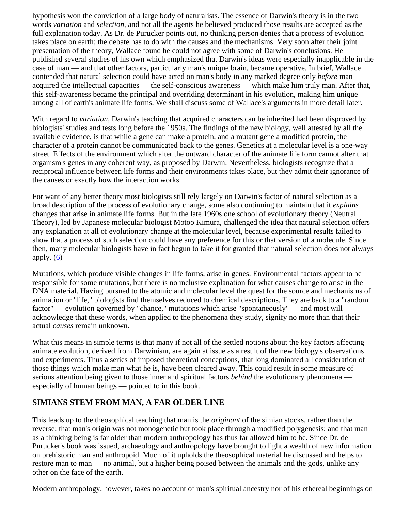hypothesis won the conviction of a large body of naturalists. The essence of Darwin's theory is in the two words *variation* and *selection,* and not all the agents he believed produced those results are accepted as the full explanation today. As Dr. de Purucker points out, no thinking person denies that a process of evolution takes place on earth; the debate has to do with the causes and the mechanisms. Very soon after their joint presentation of the theory, Wallace found he could not agree with some of Darwin's conclusions. He published several studies of his own which emphasized that Darwin's ideas were especially inapplicable in the case of man — and that other factors, particularly man's unique brain, became operative. In brief, Wallace contended that natural selection could have acted on man's body in any marked degree only *before* man acquired the intellectual capacities — the self-conscious awareness — which make him truly man. After that, this self-awareness became the principal and overriding determinant in his evolution, making him unique among all of earth's animate life forms. We shall discuss some of Wallace's arguments in more detail later.

With regard to *variation,* Darwin's teaching that acquired characters can be inherited had been disproved by biologists' studies and tests long before the 1950s. The findings of the new biology, well attested by all the available evidence, is that while a gene can make a protein, and a mutant gene a modified protein, the character of a protein cannot be communicated back to the genes. Genetics at a molecular level is a one-way street. Effects of the environment which alter the outward character of the animate life form cannot alter that organism's genes in any coherent way, as proposed by Darwin. Nevertheless, biologists recognize that a reciprocal influence between life forms and their environments takes place, but they admit their ignorance of the causes or exactly how the interaction works.

For want of any better theory most biologists still rely largely on Darwin's factor of natural selection as a broad description of the process of evolutionary change, some also continuing to maintain that it *explains* changes that arise in animate life forms. But in the late 1960s one school of evolutionary theory (Neutral Theory), led by Japanese molecular biologist Motoo Kimura, challenged the idea that natural selection offers any explanation at all of evolutionary change at the molecular level, because experimental results failed to show that a process of such selection could have any preference for this or that version of a molecule. Since then, many molecular biologists have in fact begun to take it for granted that natural selection does not always apply.  $(6)$  $(6)$ 

Mutations, which produce visible changes in life forms, arise in genes. Environmental factors appear to be responsible for some mutations, but there is no inclusive explanation for what causes change to arise in the DNA material. Having pursued to the atomic and molecular level the quest for the source and mechanisms of animation or "life," biologists find themselves reduced to chemical descriptions. They are back to a "random factor" — evolution governed by "chance," mutations which arise "spontaneously" — and most will acknowledge that these words, when applied to the phenomena they study, signify no more than that their actual *causes* remain unknown.

What this means in simple terms is that many if not all of the settled notions about the key factors affecting animate evolution, derived from Darwinism, are again at issue as a result of the new biology's observations and experiments. Thus a series of imposed theoretical conceptions, that long dominated all consideration of those things which make man what he is, have been cleared away. This could result in some measure of serious attention being given to those inner and spiritual factors *behind* the evolutionary phenomena especially of human beings — pointed to in this book.

# <span id="page-63-0"></span>**SIMIANS STEM FROM MAN, A FAR OLDER LINE**

This leads up to the theosophical teaching that man is the *originant* of the simian stocks, rather than the reverse; that man's origin was not monogenetic but took place through a modified polygenesis; and that man as a thinking being is far older than modern anthropology has thus far allowed him to be. Since Dr. de Purucker's book was issued, archaeology and anthropology have brought to light a wealth of new information on prehistoric man and anthropoid. Much of it upholds the theosophical material he discussed and helps to restore man to man — no animal, but a higher being poised between the animals and the gods, unlike any other on the face of the earth.

Modern anthropology, however, takes no account of man's spiritual ancestry nor of his ethereal beginnings on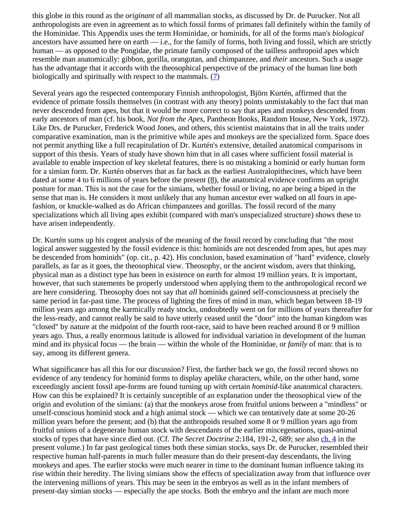this globe in this round as the *originant* of all mammalian stocks, as discussed by Dr. de Purucker. Not all anthropologists are even in agreement as to which fossil forms of primates fall definitely within the family of the Hominidae. This Appendix uses the term Hominidae, or hominids, for all of the forms man's *biological* ancestors have assumed here on earth — i.e., for the family of forms, both living and fossil, which are strictly human — as opposed to the Pongidae, the primate family composed of the tailless anthropoid apes which resemble man anatomically: gibbon, gorilla, orangutan, and chimpanzee, and *their* ancestors. Such a usage has the advantage that it accords with the theosophical perspective of the primacy of the human line both biologically and spiritually with respect to the mammals. [\(7](#page-73-6))

Several years ago the respected contemporary Finnish anthropologist, Björn Kurtén, affirmed that the evidence of primate fossils themselves (in contrast with any theory) points unmistakably to the fact that man never descended from apes, but that it would be more correct to say that apes and monkeys descended from early ancestors of man (cf. his book, *Not from the Apes,* Pantheon Books, Random House, New York, 1972). Like Drs. de Purucker, Frederick Wood Jones, and others, this scientist maintains that in all the traits under comparative examination, man is the primitive while apes and monkeys are the specialized form. Space does not permit anything like a full recapitulation of Dr. Kurtén's extensive, detailed anatomical comparisons in support of this thesis. Years of study have shown him that in all cases where sufficient fossil material is available to enable inspection of key skeletal features, there is no mistaking a hominid or early human form for a simian form. Dr. Kurtén observes that as far back as the earliest Australopithecines, which have been dated at some 4 to 6 millions of years before the present  $(8)$  $(8)$ , the anatomical evidence confirms an upright posture for man. This is not the case for the simians, whether fossil or living, no ape being a biped in the sense that man is. He considers it most unlikely that any human ancestor ever walked on all fours in apefashion, or knuckle-walked as do African chimpanzees and gorillas. The fossil record of the many specializations which all living apes exhibit (compared with man's unspecialized structure) shows these to have arisen independently.

Dr. Kurtén sums up his cogent analysis of the meaning of the fossil record by concluding that "the most logical answer suggested by the fossil evidence is this: hominids are not descended from apes, but apes may be descended from hominids" (op. cit., p. 42). His conclusion, based examination of "hard" evidence, closely parallels, as far as it goes, the theosophical view. Theosophy, or the ancient wisdom, avers that thinking, physical man as a distinct type has been in existence on earth for almost 19 million years. It is important, however, that such statements be properly understood when applying them to the anthropological record we are here considering. Theosophy does not say that *all* hominids gained self-consciousness at precisely the same period in far-past time. The process of lighting the fires of mind in man, which began between 18-19 million years ago among the karmically ready stocks, undoubtedly went on for millions of years thereafter for the less-ready, and cannot really be said to have utterly ceased until the "door" into the human kingdom was "closed" by nature at the midpoint of the fourth root-race, said to have been reached around 8 or 9 million years ago. Thus, a really enormous latitude is allowed for individual variation in development of the human mind and its physical focus — the brain — within the whole of the Hominidae, or *family* of man: that is to say, among its different genera.

What significance has all this for our discussion? First, the farther back we go, the fossil record shows no evidence of any tendency for hominid forms to display apelike characters, while, on the other hand, some exceedingly ancient fossil ape-forms are found turning up with certain *hominid*-like anatomical characters. How can this be explained? It is certainly susceptible of an explanation under the theosophical view of the origin and evolution of the simians: (a) that the monkeys arose from fruitful unions between a "mindless" or unself-conscious hominid stock and a high animal stock — which we can tentatively date at some 20-26 million years before the present; and (b) that the anthropoids resulted some 8 or 9 million years ago from fruitful unions of a degenerate human stock with descendants of the earlier miscegenations, quasi-animal stocks of types that have since died out. (Cf. *The Secret Doctrine* 2:184, 191-2, 689; *see* also [ch. 4](#page-14-0) in the present volume.) In far past geological times both these simian stocks, says Dr. de Purucker, resembled their respective human half-parents in much fuller measure than do their present-day descendants, the living monkeys and apes. The earlier stocks were much nearer in time to the dominant human influence taking its rise within their heredity. The living simians show the effects of specialization away from that influence over the intervening millions of years. This may be seen in the embryos as well as in the infant members of present-day simian stocks — especially the ape stocks. Both the embryo and the infant are much more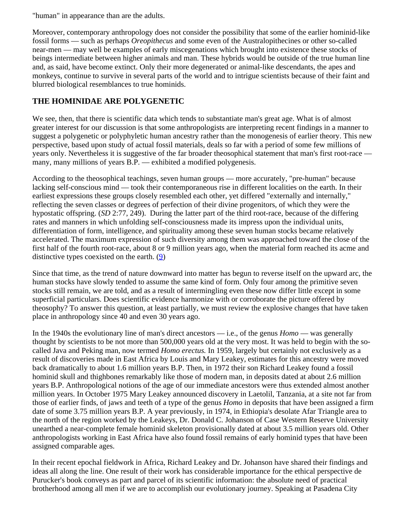"human" in appearance than are the adults.

Moreover, contemporary anthropology does not consider the possibility that some of the earlier hominid-like fossil forms — such as perhaps *Oreopithecus* and some even of the Australopithecines or other so-called near-men — may well be examples of early miscegenations which brought into existence these stocks of beings intermediate between higher animals and man. These hybrids would be outside of the true human line and, as said, have become extinct. Only their more degenerated or animal-like descendants, the apes and monkeys, continue to survive in several parts of the world and to intrigue scientists because of their faint and blurred biological resemblances to true hominids.

# <span id="page-65-0"></span>**THE HOMINIDAE ARE POLYGENETIC**

We see, then, that there is scientific data which tends to substantiate man's great age. What is of almost greater interest for our discussion is that some anthropologists are interpreting recent findings in a manner to suggest a polygenetic or polyphyletic human ancestry rather than the monogenesis of earlier theory. This new perspective, based upon study of actual fossil materials, deals so far with a period of some few millions of years only. Nevertheless it is suggestive of the far broader theosophical statement that man's first root-race many, many millions of years B.P. — exhibited a modified polygenesis.

According to the theosophical teachings, seven human groups — more accurately, "pre-human" because lacking self-conscious mind — took their contemporaneous rise in different localities on the earth. In their earliest expressions these groups closely resembled each other, yet differed "externally and internally," reflecting the seven classes or degrees of perfection of their divine progenitors, of which they were the hypostatic offspring. (*SD* 2:77, 249). During the latter part of the third root-race, because of the differing rates and manners in which unfolding self-consciousness made its impress upon the individual units, differentiation of form, intelligence, and spirituality among these seven human stocks became relatively accelerated. The maximum expression of such diversity among them was approached toward the close of the first half of the fourth root-race, about 8 or 9 million years ago, when the material form reached its acme and distinctive types coexisted on the earth.  $(9)$  $(9)$ 

Since that time, as the trend of nature downward into matter has begun to reverse itself on the upward arc, the human stocks have slowly tended to assume the same kind of form. Only four among the primitive seven stocks still remain, we are told, and as a result of intermingling even these now differ little except in some superficial particulars. Does scientific evidence harmonize with or corroborate the picture offered by theosophy? To answer this question, at least partially, we must review the explosive changes that have taken place in anthropology since 40 and even 30 years ago.

In the 1940s the evolutionary line of man's direct ancestors — i.e., of the genus *Homo* — was generally thought by scientists to be not more than 500,000 years old at the very most. It was held to begin with the socalled Java and Peking man, now termed *Homo erectus.* In 1959, largely but certainly not exclusively as a result of discoveries made in East Africa by Louis and Mary Leakey, estimates for this ancestry were moved back dramatically to about 1.6 million years B.P. Then, in 1972 their son Richard Leakey found a fossil hominid skull and thighbones remarkably like those of modern man, in deposits dated at about 2.6 million years B.P. Anthropological notions of the age of our immediate ancestors were thus extended almost another million years. In October 1975 Mary Leakey announced discovery in Laetolil, Tanzania, at a site not far from those of earlier finds, of jaws and teeth of a type of the genus *Homo* in deposits that have been assigned a firm date of some 3.75 million years B.P. A year previously, in 1974, in Ethiopia's desolate Afar Triangle area to the north of the region worked by the Leakeys, Dr. Donald C. Johanson of Case Western Reserve University unearthed a near-complete female hominid skeleton provisionally dated at about 3.5 million years old. Other anthropologists working in East Africa have also found fossil remains of early hominid types that have been assigned comparable ages.

In their recent epochal fieldwork in Africa, Richard Leakey and Dr. Johanson have shared their findings and ideas all along the line. One result of their work has considerable importance for the ethical perspective de Purucker's book conveys as part and parcel of its scientific information: the absolute need of practical brotherhood among all men if we are to accomplish our evolutionary journey. Speaking at Pasadena City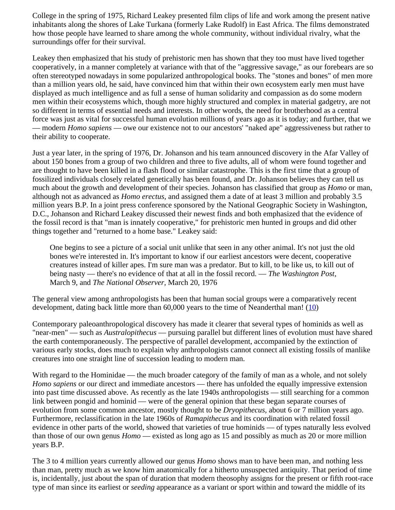College in the spring of 1975, Richard Leakey presented film clips of life and work among the present native inhabitants along the shores of Lake Turkana (formerly Lake Rudolf) in East Africa. The films demonstrated how those people have learned to share among the whole community, without individual rivalry, what the surroundings offer for their survival.

Leakey then emphasized that his study of prehistoric men has shown that they too must have lived together cooperatively, in a manner completely at variance with that of the "aggressive savage," as our forebears are so often stereotyped nowadays in some popularized anthropological books. The "stones and bones" of men more than a million years old, he said, have convinced him that within their own ecosystem early men must have displayed as much intelligence and as full a sense of human solidarity and compassion as do some modern men within their ecosystems which, though more highly structured and complex in material gadgetry, are not so different in terms of essential needs and interests. In other words, the need for brotherhood as a central force was just as vital for successful human evolution millions of years ago as it is today; and further, that we — modern *Homo sapiens* — owe our existence not to our ancestors' "naked ape" aggressiveness but rather to their ability to cooperate.

Just a year later, in the spring of 1976, Dr. Johanson and his team announced discovery in the Afar Valley of about 150 bones from a group of two children and three to five adults, all of whom were found together and are thought to have been killed in a flash flood or similar catastrophe. This is the first time that a group of fossilized individuals closely related genetically has been found, and Dr. Johanson believes they can tell us much about the growth and development of their species. Johanson has classified that group as *Homo* or man, although not as advanced as *Homo erectus,* and assigned them a date of at least 3 million and probably 3.5 million years B.P. In a joint press conference sponsored by the National Geographic Society in Washington, D.C., Johanson and Richard Leakey discussed their newest finds and both emphasized that the evidence of the fossil record is that "man is innately cooperative," for prehistoric men hunted in groups and did other things together and "returned to a home base." Leakey said:

One begins to see a picture of a social unit unlike that seen in any other animal. It's not just the old bones we're interested in. It's important to know if our earliest ancestors were decent, cooperative creatures instead of killer apes. I'm sure man was a predator. But to kill, to be like us, to kill out of being nasty — there's no evidence of that at all in the fossil record. — *The Washington Post,* March 9, and *The National Observer,* March 20, 1976

The general view among anthropologists has been that human social groups were a comparatively recent development, dating back little more than  $60,000$  years to the time of Neanderthal man! ( $10$ )

Contemporary paleoanthropological discovery has made it clearer that several types of hominids as well as "near-men" — such as *Australopithecus* — pursuing parallel but different lines of evolution must have shared the earth contemporaneously. The perspective of parallel development, accompanied by the extinction of various early stocks, does much to explain why anthropologists cannot connect all existing fossils of manlike creatures into one straight line of succession leading to modern man.

With regard to the Hominidae — the much broader category of the family of man as a whole, and not solely *Homo sapiens* or our direct and immediate ancestors — there has unfolded the equally impressive extension into past time discussed above. As recently as the late 1940s anthropologists — still searching for a common link between pongid and hominid — were of the general opinion that these began separate courses of evolution from some common ancestor, mostly thought to be *Dryopithecus,* about 6 or 7 million years ago. Furthermore, reclassification in the late 1960s of *Ramapithecus* and its coordination with related fossil evidence in other parts of the world, showed that varieties of true hominids — of types naturally less evolved than those of our own genus *Homo* — existed as long ago as 15 and possibly as much as 20 or more million years B.P.

The 3 to 4 million years currently allowed our genus *Homo* shows man to have been man, and nothing less than man, pretty much as we know him anatomically for a hitherto unsuspected antiquity. That period of time is, incidentally, just about the span of duration that modern theosophy assigns for the present or fifth root-race type of man since its earliest or *seeding* appearance as a variant or sport within and toward the middle of its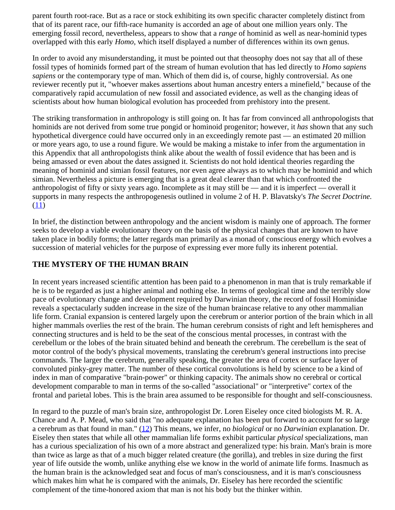parent fourth root-race. But as a race or stock exhibiting its own specific character completely distinct from that of its parent race, our fifth-race humanity is accorded an age of about one million years only. The emerging fossil record, nevertheless, appears to show that a *range* of hominid as well as near-hominid types overlapped with this early *Homo*, which itself displayed a number of differences within its own genus.

In order to avoid any misunderstanding, it must be pointed out that theosophy does not say that all of these fossil types of hominids formed part of the stream of human evolution that has led directly to *Homo sapiens sapiens* or the contemporary type of man. Which of them did is, of course, highly controversial. As one reviewer recently put it, "whoever makes assertions about human ancestry enters a minefield," because of the comparatively rapid accumulation of new fossil and associated evidence, as well as the changing ideas of scientists about how human biological evolution has proceeded from prehistory into the present.

The striking transformation in anthropology is still going on. It has far from convinced all anthropologists that hominids are not derived from some true pongid or hominoid progenitor; however, it *has* shown that any such hypothetical divergence could have occurred only in an exceedingly remote past — an estimated 20 million or more years ago, to use a round figure. We would be making a mistake to infer from the argumentation in this Appendix that all anthropologists think alike about the wealth of fossil evidence that has been and is being amassed or even about the dates assigned it. Scientists do not hold identical theories regarding the meaning of hominid and simian fossil features, nor even agree always as to which may be hominid and which simian. Nevertheless a picture is emerging that is a great deal clearer than that which confronted the anthropologist of fifty or sixty years ago. Incomplete as it may still be — and it is imperfect — overall it supports in many respects the anthropogenesis outlined in volume 2 of H. P. Blavatsky's *The Secret Doctrine.*  $(11)$  $(11)$ 

In brief, the distinction between anthropology and the ancient wisdom is mainly one of approach. The former seeks to develop a viable evolutionary theory on the basis of the physical changes that are known to have taken place in bodily forms; the latter regards man primarily as a monad of conscious energy which evolves a succession of material vehicles for the purpose of expressing ever more fully its inherent potential.

# <span id="page-67-0"></span>**THE MYSTERY OF THE HUMAN BRAIN**

In recent years increased scientific attention has been paid to a phenomenon in man that is truly remarkable if he is to be regarded as just a higher animal and nothing else. In terms of geological time and the terribly slow pace of evolutionary change and development required by Darwinian theory, the record of fossil Hominidae reveals a spectacularly sudden increase in the size of the human braincase relative to any other mammalian life form. Cranial expansion is centered largely upon the cerebrum or anterior portion of the brain which in all higher mammals overlies the rest of the brain. The human cerebrum consists of right and left hemispheres and connecting structures and is held to be the seat of the conscious mental processes, in contrast with the cerebellum or the lobes of the brain situated behind and beneath the cerebrum. The cerebellum is the seat of motor control of the body's physical movements, translating the cerebrum's general instructions into precise commands. The larger the cerebrum, generally speaking, the greater the area of cortex or surface layer of convoluted pinky-grey matter. The number of these cortical convolutions is held by science to be a kind of index in man of comparative "brain-power" or thinking capacity. The animals show no cerebral or cortical development comparable to man in terms of the so-called "associational" or "interpretive" cortex of the frontal and parietal lobes. This is the brain area assumed to be responsible for thought and self-consciousness.

In regard to the puzzle of man's brain size, anthropologist Dr. Loren Eiseley once cited biologists M. R. A. Chance and A. P. Mead, who said that "no adequate explanation has been put forward to account for so large a cerebrum as that found in man." ([12\)](#page-74-4) This means, we infer, no *biological* or no *Darwinian* explanation. Dr. Eiseley then states that while all other mammalian life forms exhibit particular *physical* specializations, man has a curious specialization of his own of a more abstract and generalized type: his brain. Man's brain is more than twice as large as that of a much bigger related creature (the gorilla), and trebles in size during the first year of life outside the womb, unlike anything else we know in the world of animate life forms. Inasmuch as the human brain is the acknowledged seat and focus of man's consciousness, and it is man's consciousness which makes him what he is compared with the animals, Dr. Eiseley has here recorded the scientific complement of the time-honored axiom that man is not his body but the thinker within.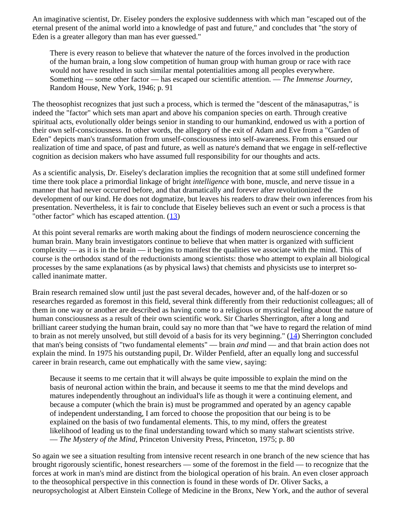An imaginative scientist, Dr. Eiseley ponders the explosive suddenness with which man "escaped out of the eternal present of the animal world into a knowledge of past and future," and concludes that "the story of Eden is a greater allegory than man has ever guessed."

There is every reason to believe that whatever the nature of the forces involved in the production of the human brain, a long slow competition of human group with human group or race with race would not have resulted in such similar mental potentialities among all peoples everywhere. Something — some other factor — has escaped our scientific attention. — *The Immense Journey*, Random House, New York, 1946; p. 91

The theosophist recognizes that just such a process, which is termed the "descent of the mānasaputras," is indeed the "factor" which sets man apart and above his companion species on earth. Through creative spiritual acts, evolutionally older beings senior in standing to our humankind, endowed us with a portion of their own self-consciousness. In other words, the allegory of the exit of Adam and Eve from a "Garden of Eden" depicts man's transformation from unself-consciousness into self-awareness. From this ensued our realization of time and space, of past and future, as well as nature's demand that we engage in self-reflective cognition as decision makers who have assumed full responsibility for our thoughts and acts.

As a scientific analysis, Dr. Eiseley's declaration implies the recognition that at some still undefined former time there took place a primordial linkage of bright *intelligence* with bone, muscle, and nerve tissue in a manner that had never occurred before, and that dramatically and forever after revolutionized the development of our kind. He does not dogmatize, but leaves his readers to draw their own inferences from his presentation. Nevertheless, it is fair to conclude that Eiseley believes such an event or such a process is that "other factor" which has escaped attention.  $(13)$  $(13)$ 

At this point several remarks are worth making about the findings of modern neuroscience concerning the human brain. Many brain investigators continue to believe that when matter is organized with sufficient complexity — as it is in the brain — it begins to manifest the qualities we associate with the mind. This of course is the orthodox stand of the reductionists among scientists: those who attempt to explain all biological processes by the same explanations (as by physical laws) that chemists and physicists use to interpret socalled inanimate matter.

Brain research remained slow until just the past several decades, however and, of the half-dozen or so researches regarded as foremost in this field, several think differently from their reductionist colleagues; all of them in one way or another are described as having come to a religious or mystical feeling about the nature of human consciousness as a result of their own scientific work. Sir Charles Sherrington, after a long and brilliant career studying the human brain, could say no more than that "we have to regard the relation of mind to brain as not merely unsolved, but still devoid of a basis for its very beginning."  $(14)$  $(14)$  Sherrington concluded that man's being consists of "two fundamental elements" — brain *and* mind — and that brain action does not explain the mind. In 1975 his outstanding pupil, Dr. Wilder Penfield, after an equally long and successful career in brain research, came out emphatically with the same view, saying:

Because it seems to me certain that it will always be quite impossible to explain the mind on the basis of neuronal action within the brain, and because it seems to me that the mind develops and matures independently throughout an individual's life as though it were a continuing element, and because a computer (which the brain is) must be programmed and operated by an agency capable of independent understanding, I am forced to choose the proposition that our being is to be explained on the basis of two fundamental elements. This, to my mind, offers the greatest likelihood of leading us to the final understanding toward which so many stalwart scientists strive. — *The Mystery of the Mind*, Princeton University Press, Princeton, 1975; p. 80

So again we see a situation resulting from intensive recent research in one branch of the new science that has brought rigorously scientific, honest researchers — some of the foremost in the field — to recognize that the forces at work in man's mind are distinct from the biological operation of his brain. An even closer approach to the theosophical perspective in this connection is found in these words of Dr. Oliver Sacks, a neuropsychologist at Albert Einstein College of Medicine in the Bronx, New York, and the author of several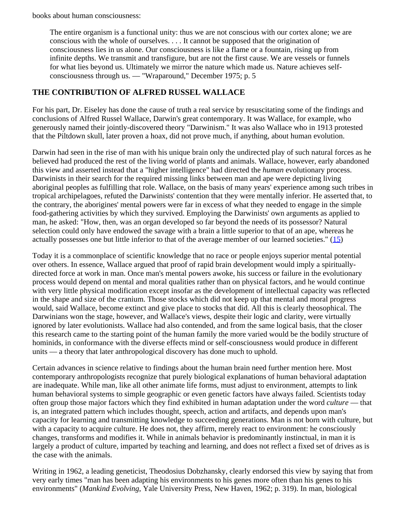books about human consciousness:

The entire organism is a functional unity: thus we are not conscious with our cortex alone; we are conscious with the whole of ourselves. . . . It cannot be supposed that the origination of consciousness lies in us alone. Our consciousness is like a flame or a fountain, rising up from infinite depths. We transmit and transfigure, but are not the first cause. We are vessels or funnels for what lies beyond us. Ultimately we mirror the nature which made us. Nature achieves selfconsciousness through us. — "Wraparound," December 1975; p. 5

# <span id="page-69-0"></span>**THE CONTRIBUTION OF ALFRED RUSSEL WALLACE**

For his part, Dr. Eiseley has done the cause of truth a real service by resuscitating some of the findings and conclusions of Alfred Russel Wallace, Darwin's great contemporary. It was Wallace, for example, who generously named their jointly-discovered theory "Darwinism." It was also Wallace who in 1913 protested that the Piltdown skull, later proven a hoax, did not prove much, if anything, about human evolution.

Darwin had seen in the rise of man with his unique brain only the undirected play of such natural forces as he believed had produced the rest of the living world of plants and animals. Wallace, however, early abandoned this view and asserted instead that a "higher intelligence" had directed the *human* evolutionary process. Darwinists in their search for the required missing links between man and ape were depicting living aboriginal peoples as fulfilling that role. Wallace, on the basis of many years' experience among such tribes in tropical archipelagoes, refuted the Darwinists' contention that they were mentally inferior. He asserted that, to the contrary, the aborigines' mental powers were far in excess of what they needed to engage in the simple food-gathering activities by which they survived. Employing the Darwinists' own arguments as applied to man, he asked: "How, then, was an organ developed so far beyond the needs of its possessor? Natural selection could only have endowed the savage with a brain a little superior to that of an ape, whereas he actually possesses one but little inferior to that of the average member of our learned societies."  $(15)$  $(15)$ 

Today it is a commonplace of scientific knowledge that no race or people enjoys superior mental potential over others. In essence, Wallace argued that proof of rapid brain development would imply a spirituallydirected force at work in man. Once man's mental powers awoke, his success or failure in the evolutionary process would depend on mental and moral qualities rather than on physical factors, and he would continue with very little physical modification except insofar as the development of intellectual capacity was reflected in the shape and size of the cranium. Those stocks which did not keep up that mental and moral progress would, said Wallace, become extinct and give place to stocks that did. All this is clearly theosophical. The Darwinians won the stage, however, and Wallace's views, despite their logic and clarity, were virtually ignored by later evolutionists. Wallace had also contended, and from the same logical basis, that the closer this research came to the starting point of the human family the more varied would be the bodily structure of hominids, in conformance with the diverse effects mind or self-consciousness would produce in different units — a theory that later anthropological discovery has done much to uphold.

Certain advances in science relative to findings about the human brain need further mention here. Most contemporary anthropologists recognize that purely biological explanations of human behavioral adaptation are inadequate. While man, like all other animate life forms, must adjust to environment, attempts to link human behavioral systems to simple geographic or even genetic factors have always failed. Scientists today often group those major factors which they find exhibited in human adaptation under the word *culture* — that is, an integrated pattern which includes thought, speech, action and artifacts, and depends upon man's capacity for learning and transmitting knowledge to succeeding generations. Man is not born with culture, but with a capacity to acquire culture. He does not, they affirm, merely react to environment: he consciously changes, transforms and modifies it. While in animals behavior is predominantly instinctual, in man it is largely a product of culture, imparted by teaching and learning, and does not reflect a fixed set of drives as is the case with the animals.

Writing in 1962, a leading geneticist, Theodosius Dobzhansky, clearly endorsed this view by saying that from very early times "man has been adapting his environments to his genes more often than his genes to his environments" (*Mankind Evolving*, Yale University Press, New Haven, 1962; p. 319). In man, biological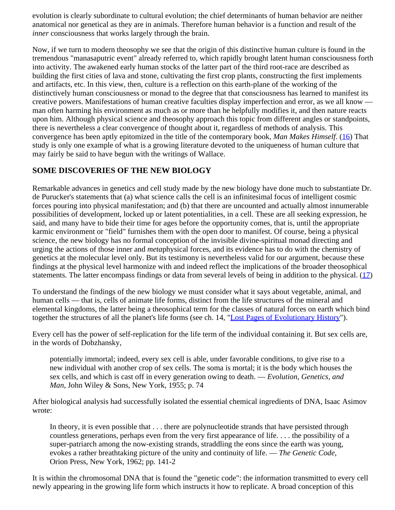evolution is clearly subordinate to cultural evolution; the chief determinants of human behavior are neither anatomical nor genetical as they are in animals. Therefore human behavior is a function and result of the *inner* consciousness that works largely through the brain.

Now, if we turn to modern theosophy we see that the origin of this distinctive human culture is found in the tremendous "manasaputric event" already referred to, which rapidly brought latent human consciousness forth into activity. The awakened early human stocks of the latter part of the third root-race are described as building the first cities of lava and stone, cultivating the first crop plants, constructing the first implements and artifacts, etc. In this view, then, culture is a reflection on this earth-plane of the working of the distinctively human consciousness or monad to the degree that that consciousness has learned to manifest its creative powers. Manifestations of human creative faculties display imperfection and error, as we all know man often harming his environment as much as or more than he helpfully modifies it, and then nature reacts upon him. Although physical science and theosophy approach this topic from different angles or standpoints, there is nevertheless a clear convergence of thought about it, regardless of methods of analysis. This convergence has been aptly epitomized in the title of the contemporary book, *Man Makes Himself*. [\(16](#page-75-2)) That study is only one example of what is a growing literature devoted to the uniqueness of human culture that may fairly be said to have begun with the writings of Wallace.

# <span id="page-70-0"></span>**SOME DISCOVERIES OF THE NEW BIOLOGY**

Remarkable advances in genetics and cell study made by the new biology have done much to substantiate Dr. de Purucker's statements that (a) what science calls the cell is an infinitesimal focus of intelligent cosmic forces pouring into physical manifestation; and (b) that there are uncounted and actually almost innumerable possibilities of development, locked up or latent potentialities, in a cell. These are all seeking expression, he said, and many have to bide their time for ages before the opportunity comes, that is, until the appropriate karmic environment or "field" furnishes them with the open door to manifest. Of course, being a physical science, the new biology has no formal conception of the invisible divine-spiritual monad directing and urging the actions of those inner and *meta*physical forces, and its evidence has to do with the chemistry of genetics at the molecular level only. But its testimony is nevertheless valid for our argument, because these findings at the physical level harmonize with and indeed reflect the implications of the broader theosophical statements. The latter encompass findings or data from several levels of being in addition to the physical. ([17\)](#page-75-3)

To understand the findings of the new biology we must consider what it says about vegetable, animal, and human cells — that is, cells of animate life forms, distinct from the life structures of the mineral and elemental kingdoms, the latter being a theosophical term for the classes of natural forces on earth which bind together the structures of all the planet's life forms (see ch. 14, ["Lost Pages of Evolutionary History](#page-51-0)").

Every cell has the power of self-replication for the life term of the individual containing it. But sex cells are, in the words of Dobzhansky,

potentially immortal; indeed, every sex cell is able, under favorable conditions, to give rise to a new individual with another crop of sex cells. The soma is mortal; it is the body which houses the sex cells, and which is cast off in every generation owing to death. — *Evolution, Genetics, and Man*, John Wiley & Sons, New York, 1955; p. 74

After biological analysis had successfully isolated the essential chemical ingredients of DNA, Isaac Asimov wrote:

In theory, it is even possible that . . . there are polynucleotide strands that have persisted through countless generations, perhaps even from the very first appearance of life. . . . the possibility of a super-patriarch among the now-existing strands, straddling the eons since the earth was young, evokes a rather breathtaking picture of the unity and continuity of life. — *The Genetic Code,* Orion Press, New York, 1962; pp. 141-2

It is within the chromosomal DNA that is found the "genetic code": the information transmitted to every cell newly appearing in the growing life form which instructs it how to replicate. A broad conception of this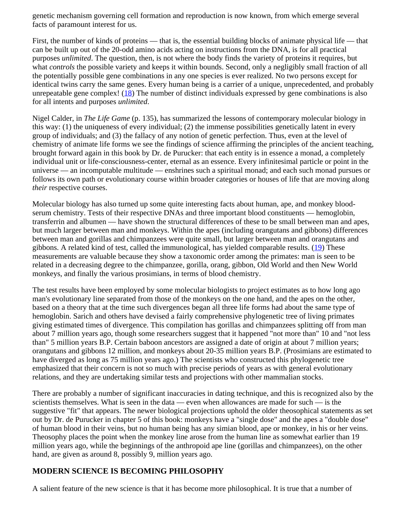genetic mechanism governing cell formation and reproduction is now known, from which emerge several facts of paramount interest for us.

First, the number of kinds of proteins — that is, the essential building blocks of animate physical life — that can be built up out of the 20-odd amino acids acting on instructions from the DNA, is for all practical purposes *unlimited*. The question, then, is not where the body finds the variety of proteins it requires, but what *controls* the possible variety and keeps it within bounds. Second, only a negligibly small fraction of all the potentially possible gene combinations in any one species is ever realized. No two persons except for identical twins carry the same genes. Every human being is a carrier of a unique, unprecedented, and probably unrepeatable gene complex! [\(18](#page-75-4)) The number of distinct individuals expressed by gene combinations is also for all intents and purposes *unlimited*.

Nigel Calder, in *The Life Game* (p. 135), has summarized the lessons of contemporary molecular biology in this way: (1) the uniqueness of every individual; (2) the immense possibilities genetically latent in every group of individuals; and (3) the fallacy of any notion of genetic perfection. Thus, even at the level of chemistry of animate life forms we see the findings of science affirming the principles of the ancient teaching, brought forward again in this book by Dr. de Purucker: that each entity is in essence a monad, a completely individual unit or life-consciousness-center, eternal as an essence. Every infinitesimal particle or point in the universe — an incomputable multitude — enshrines such a spiritual monad; and each such monad pursues or follows its own path or evolutionary course within broader categories or houses of life that are moving along *their* respective courses.

Molecular biology has also turned up some quite interesting facts about human, ape, and monkey bloodserum chemistry. Tests of their respective DNAs and three important blood constituents — hemoglobin, transferrin and albumen — have shown the structural differences of these to be small between man and apes, but much larger between man and monkeys. Within the apes (including orangutans and gibbons) differences between man and gorillas and chimpanzees were quite small, but larger between man and orangutans and gibbons. A related kind of test, called the immunological, has yielded comparable results.  $(19)$  $(19)$  These measurements are valuable because they show a taxonomic order among the primates: man is seen to be related in a decreasing degree to the chimpanzee, gorilla, orang, gibbon, Old World and then New World monkeys, and finally the various prosimians, in terms of blood chemistry.

The test results have been employed by some molecular biologists to project estimates as to how long ago man's evolutionary line separated from those of the monkeys on the one hand, and the apes on the other, based on a theory that at the time such divergences began all three life forms had about the same type of hemoglobin. Sarich and others have devised a fairly comprehensive phylogenetic tree of living primates giving estimated times of divergence. This compilation has gorillas and chimpanzees splitting off from man about 7 million years ago, though some researchers suggest that it happened "not more than" 10 and "not less than" 5 million years B.P. Certain baboon ancestors are assigned a date of origin at about 7 million years; orangutans and gibbons 12 million, and monkeys about 20-35 million years B.P. (Prosimians are estimated to have diverged as long as 75 million years ago.) The scientists who constructed this phylogenetic tree emphasized that their concern is not so much with precise periods of years as with general evolutionary relations, and they are undertaking similar tests and projections with other mammalian stocks.

There are probably a number of significant inaccuracies in dating technique, and this is recognized also by the scientists themselves. What is seen in the data — even when allowances are made for such — is the suggestive "fit" that appears. The newer biological projections uphold the older theosophical statements as set out by Dr. de Purucker in chapter 5 of this book: monkeys have a "single dose" and the apes a "double dose" of human blood in their veins, but no human being has any simian blood, ape or monkey, in his or her veins. Theosophy places the point when the monkey line arose from the human line as somewhat earlier than 19 million years ago, while the beginnings of the anthropoid ape line (gorillas and chimpanzees), on the other hand, are given as around 8, possibly 9, million years ago.

# <span id="page-71-0"></span>**MODERN SCIENCE IS BECOMING PHILOSOPHY**

A salient feature of the new science is that it has become more philosophical. It is true that a number of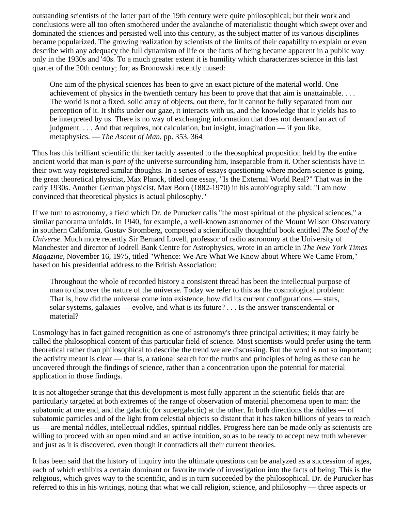outstanding scientists of the latter part of the 19th century were quite philosophical; but their work and conclusions were all too often smothered under the avalanche of materialistic thought which swept over and dominated the sciences and persisted well into this century, as the subject matter of its various disciplines became popularized. The growing realization by scientists of the limits of their capability to explain or even describe with any adequacy the full dynamism of life or the facts of being became apparent in a public way only in the 1930s and '40s. To a much greater extent it is humility which characterizes science in this last quarter of the 20th century; for, as Bronowski recently mused:

One aim of the physical sciences has been to give an exact picture of the material world. One achievement of physics in the twentieth century has been to prove that that aim is unattainable. . . . The world is not a fixed, solid array of objects, out there, for it cannot be fully separated from our perception of it. It shifts under our gaze, it interacts with us, and the knowledge that it yields has to be interpreted by us. There is no way of exchanging information that does not demand an act of judgment. . . . And that requires, not calculation, but insight, imagination — if you like, metaphysics. — *The Ascent of Man*, pp. 353, 364

Thus has this brilliant scientific thinker tacitly assented to the theosophical proposition held by the entire ancient world that man *is part of* the universe surrounding him, inseparable from it. Other scientists have in their own way registered similar thoughts. In a series of essays questioning where modern science is going, the great theoretical physicist, Max Planck, titled one essay, "Is the External World Real?" That was in the early 1930s. Another German physicist, Max Born (1882-1970) in his autobiography said: "I am now convinced that theoretical physics is actual philosophy."

If we turn to astronomy, a field which Dr. de Purucker calls "the most spiritual of the physical sciences," a similar panorama unfolds. In 1940, for example, a well-known astronomer of the Mount Wilson Observatory in southern California, Gustav Stromberg, composed a scientifically thoughtful book entitled *The Soul of the Universe.* Much more recently Sir Bernard Lovell, professor of radio astronomy at the University of Manchester and director of Jodrell Bank Centre for Astrophysics, wrote in an article in *The New York Times Magazine,* November 16, 1975, titled "Whence: We Are What We Know about Where We Came From," based on his presidential address to the British Association:

Throughout the whole of recorded history a consistent thread has been the intellectual purpose of man to discover the nature of the universe. Today we refer to this as the cosmological problem: That is, how did the universe come into existence, how did its current configurations — stars, solar systems, galaxies — evolve, and what is its future? . . . Is the answer transcendental or material?

Cosmology has in fact gained recognition as one of astronomy's three principal activities; it may fairly be called the philosophical content of this particular field of science. Most scientists would prefer using the term theoretical rather than philosophical to describe the trend we are discussing. But the word is not so important; the activity meant is clear — that is, a rational search for the truths and principles of being as these can be uncovered through the findings of science, rather than a concentration upon the potential for material application in those findings.

It is not altogether strange that this development is most fully apparent in the scientific fields that are particularly targeted at both extremes of the range of observation of material phenomena open to man: the subatomic at one end, and the galactic (or supergalactic) at the other. In both directions the riddles — of subatomic particles and of the light from celestial objects so distant that it has taken billions of years to reach us — are mental riddles, intellectual riddles, spiritual riddles. Progress here can be made only as scientists are willing to proceed with an open mind and an active intuition, so as to be ready to accept new truth wherever and just as it is discovered, even though it contradicts all their current theories.

It has been said that the history of inquiry into the ultimate questions can be analyzed as a succession of ages, each of which exhibits a certain dominant or favorite mode of investigation into the facts of being. This is the religious, which gives way to the scientific, and is in turn succeeded by the philosophical. Dr. de Purucker has referred to this in his writings, noting that what we call religion, science, and philosophy — three aspects or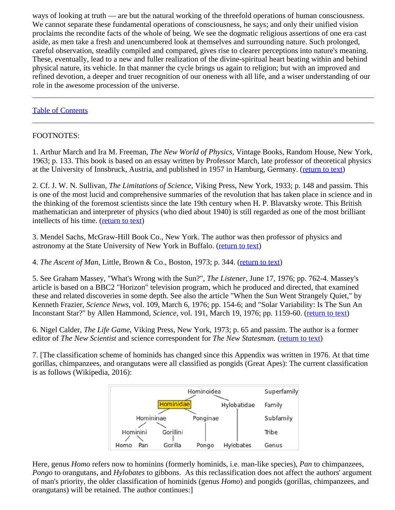ways of looking at truth — are but the natural working of the threefold operations of human consciousness. We cannot separate these fundamental operations of consciousness, he says; and only their unified vision proclaims the recondite facts of the whole of being. We see the dogmatic religious assertions of one era cast aside, as men take a fresh and unencumbered look at themselves and surrounding nature. Such prolonged, careful observation, steadily compiled and compared, gives rise to clearer perceptions into nature's meaning. These, eventually, lead to a new and fuller realization of the divine-spiritual heart beating within and behind physical nature, its vehicle. In that manner the cycle brings us again to religion; but with an improved and refined devotion, a deeper and truer recognition of our oneness with all life, and a wiser understanding of our role in the awesome procession of the universe.

## [Table of Contents](#page-0-0)

## FOOTNOTES:

1. Arthur March and Ira M. Freeman, *The New World of Physics,* Vintage Books, Random House, New York, 1963; p. 133. This book is based on an essay written by Professor March, late professor of theoretical physics at the University of Innsbruck, Austria, and published in 1957 in Hamburg, Germany. [\(return to text](#page-61-0))

2. Cf. J. W. N. Sullivan, *The Limitations of Science,* Viking Press, New York, 1933; p. 148 and passim. This is one of the most lucid and comprehensive summaries of the revolution that has taken place in science and in the thinking of the foremost scientists since the late 19th century when H. P. Blavatsky wrote. This British mathematician and interpreter of physics (who died about 1940) is still regarded as one of the most brilliant intellects of his time. ([return to text\)](#page-62-0)

3. Mendel Sachs, McGraw-Hill Book Co., New York. The author was then professor of physics and astronomy at the State University of New York in Buffalo. [\(return to text](#page-62-1))

4. *The Ascent of Man*, Little, Brown & Co., Boston, 1973; p. 344. [\(return to text](#page-62-2))

5. See Graham Massey, "What's Wrong with the Sun?", *The Listener*, June 17, 1976; pp. 762-4. Massey's article is based on a BBC2 "Horizon" television program, which he produced and directed, that examined these and related discoveries in some depth. See also the article "When the Sun Went Strangely Quiet," by Kenneth Frazier, *Science News,* vol. 109, March 6, 1976; pp. 154-6; and "Solar Variability: Is The Sun An Inconstant Star?" by Allen Hammond, *Science*, vol. 191, March 19, 1976; pp. 1159-60. ([return to text\)](#page-62-3)

6. Nigel Calder, *The Life Game*, Viking Press, New York, 1973; p. 65 and passim. The author is a former editor of *The New Scientist* and science correspondent for *The New Statesman.* [\(return to text](#page-63-0))

7. [The classification scheme of hominids has changed since this Appendix was written in 1976. At that time gorillas, chimpanzees, and orangutans were all classified as pongids (Great Apes): The current classification is as follows (Wikipedia, 2016):



Here, genus *Homo* refers now to hominins (formerly hominids, i.e. man-like species), *Pan* to chimpanzees, *Pongo* to orangutans, and *Hylobates* to gibbons. As this reclassification does not affect the authors' argument of man's priority, the older classification of hominids (genus *Homo*) and pongids (gorillas, chimpanzees, and orangutans) will be retained. The author continues:]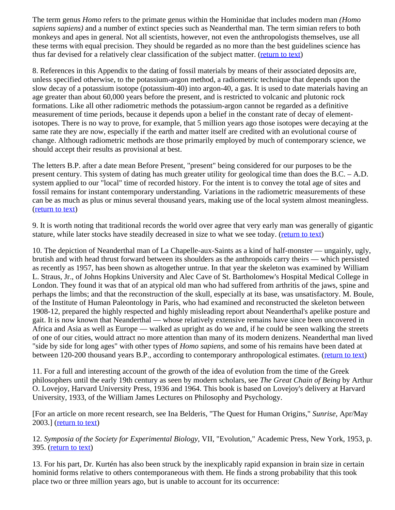The term genus *Homo* refers to the primate genus within the Hominidae that includes modern man *(Homo sapiens sapiens)* and a number of extinct species such as Neanderthal man. The term simian refers to both monkeys and apes in general. Not all scientists, however, not even the anthropologists themselves, use all these terms with equal precision. They should be regarded as no more than the best guidelines science has thus far devised for a relatively clear classification of the subject matter. ([return to text](#page-64-0))

8. References in this Appendix to the dating of fossil materials by means of their associated deposits are, unless specified otherwise, to the potassium-argon method, a radiometric technique that depends upon the slow decay of a potassium isotope (potassium-40) into argon-40, a gas. It is used to date materials having an age greater than about 60,000 years before the present, and is restricted to volcanic and plutonic rock formations. Like all other radiometric methods the potassium-argon cannot be regarded as a definitive measurement of time periods, because it depends upon a belief in the constant rate of decay of elementisotopes. There is no way to prove, for example, that 5 million years ago those isotopes were decaying at the same rate they are now, especially if the earth and matter itself are credited with an evolutional course of change. Although radiometric methods are those primarily employed by much of contemporary science, we should accept their results as provisional at best.

The letters B.P. after a date mean Before Present, "present" being considered for our purposes to be the present century. This system of dating has much greater utility for geological time than does the B.C. – A.D. system applied to our "local" time of recorded history. For the intent is to convey the total age of sites and fossil remains for instant contemporary understanding. Variations in the radiometric measurements of these can be as much as plus or minus several thousand years, making use of the local system almost meaningless. [\(return to text](#page-64-1))

9. It is worth noting that traditional records the world over agree that very early man was generally of gigantic stature, while later stocks have steadily decreased in size to what we see today. [\(return to text](#page-65-0))

10. The depiction of Neanderthal man of La Chapelle-aux-Saints as a kind of half-monster — ungainly, ugly, brutish and with head thrust forward between its shoulders as the anthropoids carry theirs — which persisted as recently as 1957, has been shown as altogether untrue. In that year the skeleton was examined by William L. Straus, Jr., of Johns Hopkins University and Alec Cave of St. Bartholomew's Hospital Medical College in London. They found it was that of an atypical old man who had suffered from arthritis of the jaws, spine and perhaps the limbs; and that the reconstruction of the skull, especially at its base, was unsatisfactory. M. Boule, of the Institute of Human Paleontology in Paris, who had examined and reconstructed the skeleton between 1908-12, prepared the highly respected and highly misleading report about Neanderthal's apelike posture and gait. It is now known that Neanderthal — whose relatively extensive remains have since been uncovered in Africa and Asia as well as Europe — walked as upright as do we and, if he could be seen walking the streets of one of our cities, would attract no more attention than many of its modern denizens. Neanderthal man lived "side by side for long ages" with other types of *Homo sapiens,* and some of his remains have been dated at between 120-200 thousand years B.P., according to contemporary anthropological estimates. ([return to text\)](#page-66-0)

11. For a full and interesting account of the growth of the idea of evolution from the time of the Greek philosophers until the early 19th century as seen by modern scholars, see *The Great Chain of Being* by Arthur O. Lovejoy, Harvard University Press, 1936 and 1964. This book is based on Lovejoy's delivery at Harvard University, 1933, of the William James Lectures on Philosophy and Psychology.

[For an article on more recent research, see Ina Belderis, "The Quest for Human Origins," *Sunrise*, Apr/May 2003.] [\(return to text](#page-67-0))

12. *Symposia of the Society for Experimental Biology,* VII, "Evolution," Academic Press, New York, 1953, p. 395. [\(return to text](#page-67-1))

13. For his part, Dr. Kurtén has also been struck by the inexplicably rapid expansion in brain size in certain hominid forms relative to others contemporaneous with them. He finds a strong probability that this took place two or three million years ago, but is unable to account for its occurrence: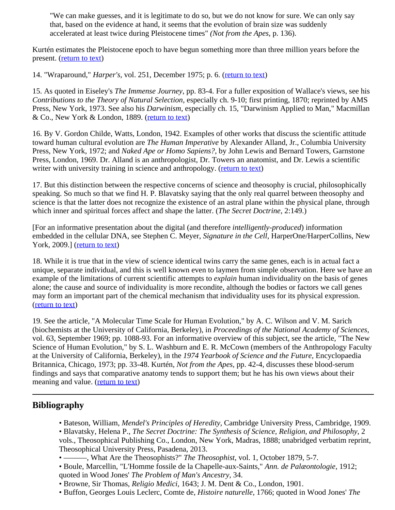"We can make guesses, and it is legitimate to do so, but we do not know for sure. We can only say that, based on the evidence at hand, it seems that the evolution of brain size was suddenly accelerated at least twice during Pleistocene times" *(Not from the Apes,* p. 136).

Kurtén estimates the Pleistocene epoch to have begun something more than three million years before the present. ([return to text\)](#page-68-0)

14. "Wraparound," *Harper's,* vol. 251, December 1975; p. 6. [\(return to text](#page-68-1))

15. As quoted in Eiseley's *The Immense Journey*, pp. 83-4. For a fuller exposition of Wallace's views, see his *Contributions to the Theory of Natural Selection,* especially ch. 9-10; first printing, 1870; reprinted by AMS Press, New York, 1973. See also his *Darwinism*, especially ch. 15, "Darwinism Applied to Man," Macmillan & Co., New York & London, 1889. [\(return to text](#page-69-0))

16. By V. Gordon Childe, Watts, London, 1942. Examples of other works that discuss the scientific attitude toward human cultural evolution are *The Human Imperative* by Alexander Alland, Jr., Columbia University Press, New York, 1972; and *Naked Ape or Homo Sapiens?,* by John Lewis and Bernard Towers, Garnstone Press, London, 1969. Dr. Alland is an anthropologist, Dr. Towers an anatomist, and Dr. Lewis a scientific writer with university training in science and anthropology. [\(return to text](#page-70-0))

17. But this distinction between the respective concerns of science and theosophy is crucial, philosophically speaking. So much so that we find H. P. Blavatsky saying that the only real quarrel between theosophy and science is that the latter does not recognize the existence of an astral plane within the physical plane, through which inner and spiritual forces affect and shape the latter. (*The Secret Doctrine*, 2:149.)

[For an informative presentation about the digital (and therefore *intelligently-produced*) information embedded in the cellular DNA, see Stephen C. Meyer, *Signature in the Cell*, HarperOne/HarperCollins, New York, 2009.] ([return to text\)](#page-70-1)

18. While it is true that in the view of science identical twins carry the same genes, each is in actual fact a unique, separate individual, and this is well known even to laymen from simple observation. Here we have an example of the limitations of current scientific attempts to *explain* human individuality on the basis of genes alone; the cause and source of individuality is more recondite, although the bodies or factors we call genes may form an important part of the chemical mechanism that individuality uses for its physical expression. [\(return to text](#page-71-0))

19. See the article, "A Molecular Time Scale for Human Evolution," by A. C. Wilson and V. M. Sarich (biochemists at the University of California, Berkeley), in *Proceedings of the National Academy of Sciences,* vol. 63, September 1969; pp. 1088-93. For an informative overview of this subject, see the article, "The New Science of Human Evolution," by S. L. Washburn and E. R. McCown (members of the Anthropology Faculty at the University of California, Berkeley), in the *1974 Yearbook of Science and the Future,* Encyclopaedia Britannica, Chicago, 1973; pp. 33-48. Kurtén, *Not from the Apes,* pp. 42-4, discusses these blood-serum findings and says that comparative anatomy tends to support them; but he has his own views about their meaning and value. ([return to text\)](#page-71-1)

## **Bibliography**

- Bateson, William, *Mendel's Principles of Heredity,* Cambridge University Press, Cambridge, 1909.
- Blavatsky, Helena P., *The Secret Doctrine: The Synthesis of Science, Religion, and Philosophy*, 2 vols., Theosophical Publishing Co., London, New York, Madras, 1888; unabridged verbatim reprint,

Theosophical University Press, Pasadena, 2013.

- ———, What Are the Theosophists?" *The Theosophist*, vol. 1, October 1879, 5-7.
- Boule, Marcellin, "L'Homme fossile de la Chapelle-aux-Saints," *Ann. de Palæontologie,* 1912; quoted in Wood Jones' *The Problem of Man's Ancestry,* 34.
- Browne, Sir Thomas, *Religio Medici,* 1643; J. M. Dent & Co., London, 1901.
- Buffon, Georges Louis Leclerc, Comte de, *Histoire naturelle,* 1766; quoted in Wood Jones' *The*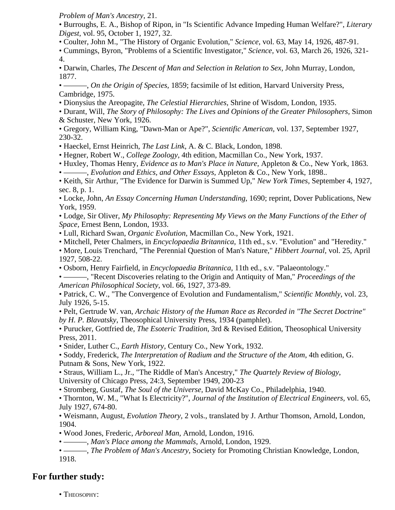*Problem of Man's Ancestry,* 21.

• Burroughs, E. A., Bishop of Ripon, in "Is Scientific Advance Impeding Human Welfare?", *Literary Digest,* vol. 95, October 1, 1927, 32.

• Coulter, John M., "The History of Organic Evolution," *Science*, vol. 63, May 14, 1926, 487-91.

• Cummings, Byron, "Problems of a Scientific Investigator," *Science,* vol. 63, March 26, 1926, 321- 4.

• Darwin, Charles, *The Descent of Man and Selection in Relation to Sex,* John Murray, London, 1877.

• ———, *On the Origin of Species,* 1859; facsimile of lst edition, Harvard University Press, Cambridge, 1975.

• Dionysius the Areopagite, *The Celestial Hierarchies,* Shrine of Wisdom, London, 1935.

• Durant, Will, *The Story of Philosophy: The Lives and Opinions of the Greater Philosophers,* Simon & Schuster, New York, 1926.

• Gregory, William King, "Dawn-Man or Ape?", *Scientific American,* vol. 137, September 1927, 230-32.

• Haeckel, Ernst Heinrich, *The Last Link*, A. & C. Black, London, 1898.

• Hegner, Robert W., *College Zoology,* 4th edition, Macmillan Co., New York, 1937.

• Huxley, Thomas Henry, *Evidence as to Man's Place in Nature*, Appleton & Co., New York, 1863*.* • ———, *Evolution and Ethics, and Other Essays,* Appleton & Co., New York, 1898..

• Keith, Sir Arthur, "The Evidence for Darwin is Summed Up," *New York Times,* September 4, 1927, sec. 8, p. 1.

• Locke, John, *An Essay Concerning Human Understanding*, 1690; reprint, Dover Publications, New York, 1959.

• Lodge, Sir Oliver, *My Philosophy: Representing My Views on the Many Functions of the Ether of Space,* Ernest Benn, London, 1933.

• Lull, Richard Swan, *Organic Evolution*, Macmillan Co., New York, 1921.

• Mitchell, Peter Chalmers, in *Encyclopaedia Britannica*, 11th ed., s.v. "Evolution" and "Heredity."

• More, Louis Trenchard, "The Perennial Question of Man's Nature," *Hibbert Journal,* vol. 25, April 1927, 508-22.

• Osborn, Henry Fairfield, in *Encyclopaedia Britannica,* 11th ed., s.v. "Palaeontology."

• ———, "Recent Discoveries relating to the Origin and Antiquity of Man," *Proceedings of the American Philosophical Society,* vol. 66, 1927, 373-89.

• Patrick, C. W., "The Convergence of Evolution and Fundamentalism," *Scientific Monthly*, vol. 23, July 1926, 5-15.

• Pelt, Gertrude W. van, *Archaic History of the Human Race as Recorded in "The Secret Doctrine" by H. P. Blavatsky*, Theosophical University Press, 1934 (pamphlet).

• Purucker, Gottfried de, *The Esoteric Tradition*, 3rd & Revised Edition, Theosophical University Press, 2011.

• Snider, Luther C., *Earth History,* Century Co., New York, 1932.

• Soddy, Frederick, *The Interpretation of Radium and the Structure of the Atom*, 4th edition, G. Putnam & Sons, New York, 1922.

• Straus, William L., Jr., "The Riddle of Man's Ancestry," *The Quartely Review of Biology*, University of Chicago Press, 24:3, September 1949, 200-23

• Stromberg, Gustaf, *The Soul of the Universe,* David McKay Co., Philadelphia, 1940.

• Thornton, W. M., "What Is Electricity?", *Journal of the Institution of Electrical Engineers,* vol. 65, July 1927, 674-80.

• Weismann, August, *Evolution Theory,* 2 vols., translated by J. Arthur Thomson, Arnold, London, 1904.

• Wood Jones, Frederic, *Arboreal Man*, Arnold, London, 1916.

• ———, *Man's Place among the Mammals,* Arnold, London, 1929.

• ———, *The Problem of Man's Ancestry,* Society for Promoting Christian Knowledge, London, 1918.

## **For further study:**

• THEOSOPHY: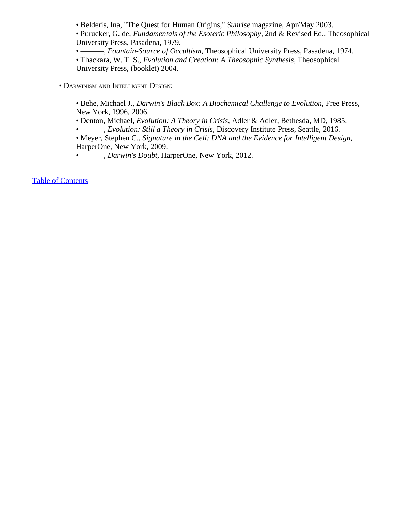• Belderis, Ina, "The Quest for Human Origins," *Sunrise* magazine, Apr/May 2003.

• Purucker, G. de, *Fundamentals of the Esoteric Philosophy*, 2nd & Revised Ed., Theosophical University Press, Pasadena, 1979.

• ———, *Fountain-Source of Occultism*, Theosophical University Press, Pasadena, 1974.

• Thackara, W. T. S., *Evolution and Creation: A Theosophic Synthesis*, Theosophical University Press, (booklet) 2004.

• Darwinism and Intelligent Design:

• Behe, Michael J., *Darwin's Black Box: A Biochemical Challenge to Evolution*, Free Press, New York, 1996, 2006.

• Denton, Michael, *Evolution: A Theory in Crisis*, Adler & Adler, Bethesda, MD, 1985.

• ———, *Evolution: Still a Theory in Crisis*, Discovery Institute Press, Seattle, 2016.

• Meyer, Stephen C., *Signature in the Cell: DNA and the Evidence for Intelligent Design*, HarperOne, New York, 2009.

• ———, *Darwin's Doubt*, HarperOne, New York, 2012.

[Table of Contents](#page-0-0)